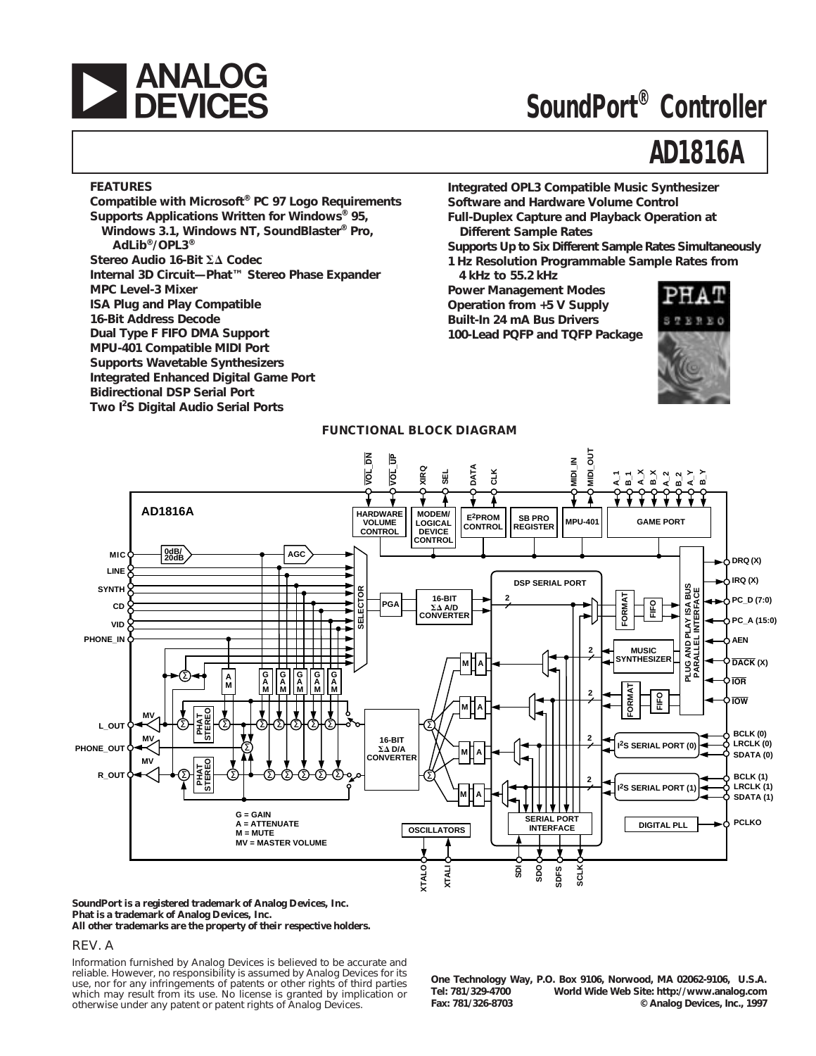

# **SoundPort® Controller**

# **AD1816A**

#### **FEATURES**

**Compatible with Microsoft® PC 97 Logo Requirements Supports Applications Written for Windows® 95, Windows 3.1, Windows NT, SoundBlaster® Pro, AdLib®/OPL3® Stereo Audio 16-Bit**  $\Sigma\Delta$  **Codec Internal 3D Circuit—Phat™ Stereo Phase Expander MPC Level-3 Mixer ISA Plug and Play Compatible 16-Bit Address Decode Dual Type F FIFO DMA Support MPU-401 Compatible MIDI Port Supports Wavetable Synthesizers Integrated Enhanced Digital Game Port Bidirectional DSP Serial Port Two I<sup>2</sup> S Digital Audio Serial Ports**

**Integrated OPL3 Compatible Music Synthesizer Software and Hardware Volume Control Full-Duplex Capture and Playback Operation at Different Sample Rates**

**Supports Up to Six Different Sample Rates Simultaneously 1 Hz Resolution Programmable Sample Rates from**

**4 kHz to 55.2 kHz Power Management Modes Operation from +5 V Supply Built-In 24 mA Bus Drivers 100-Lead PQFP and TQFP Package**





#### **SoundPort is a registered trademark of Analog Devices, Inc. Phat is a trademark of Analog Devices, Inc. All other trademarks are the property of their respective holders.**

#### REV. A

Information furnished by Analog Devices is believed to be accurate and reliable. However, no responsibility is assumed by Analog Devices for its use, nor for any infringements of patents or other rights of third parties which may result from its use. No license is granted by implication or otherwise under any patent or patent rights of Analog Devices.

**One Technology Way, P.O. Box 9106, Norwood, MA 02062-9106, U.S.A. Tel: 781/329-4700 World Wide Web Site: http://www.analog.com Fax: 781/326-8703 © Analog Devices, Inc., 1997**

#### **FUNCTIONAL BLOCK DIAGRAM**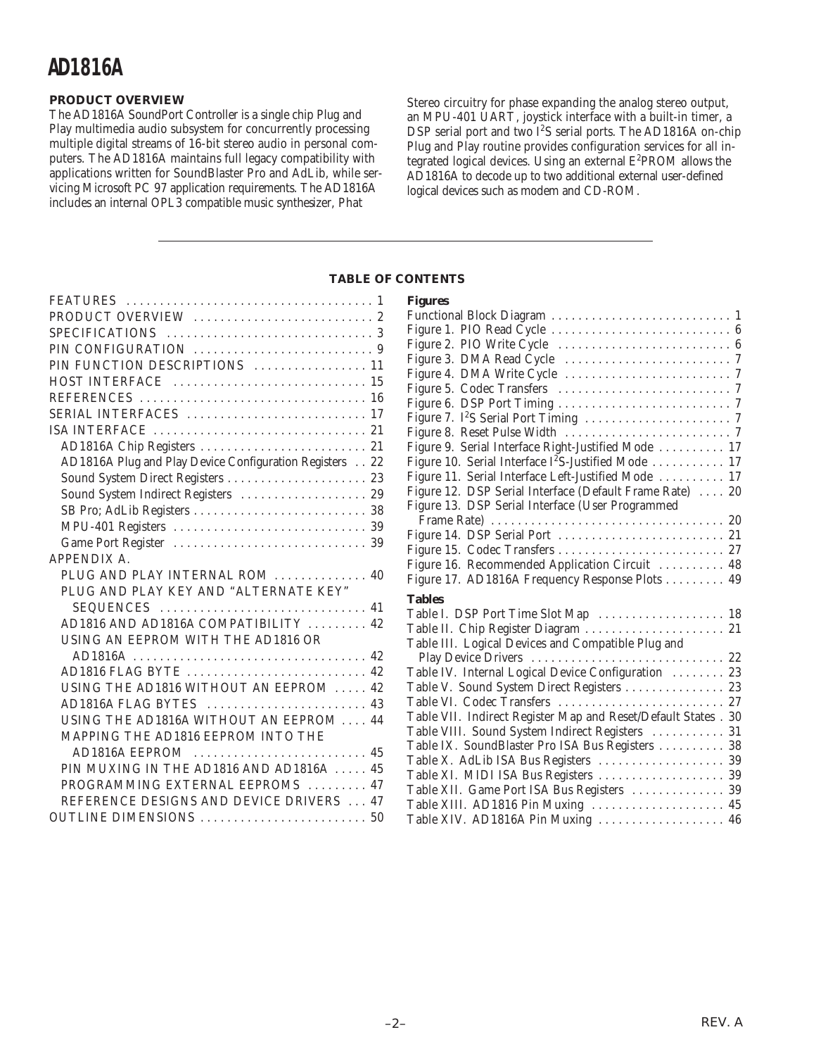### **PRODUCT OVERVIEW**

The AD1816A SoundPort Controller is a single chip Plug and Play multimedia audio subsystem for concurrently processing multiple digital streams of 16-bit stereo audio in personal computers. The AD1816A maintains full legacy compatibility with applications written for SoundBlaster Pro and AdLib, while servicing Microsoft PC 97 application requirements. The AD1816A includes an internal OPL3 compatible music synthesizer, Phat

Stereo circuitry for phase expanding the analog stereo output, an MPU-401 UART, joystick interface with a built-in timer, a DSP serial port and two  $I^2S$  serial ports. The AD1816A on-chip Plug and Play routine provides configuration services for all integrated logical devices. Using an external  $E^2$ PROM allows the AD1816A to decode up to two additional external user-defined logical devices such as modem and CD-ROM.

### **TABLE OF CONTENTS**

**Figures**

| PIN FUNCTION DESCRIPTIONS  11                           |
|---------------------------------------------------------|
|                                                         |
| REFERENCES  16                                          |
| SERIAL INTERFACES  17                                   |
|                                                         |
|                                                         |
| AD1816A Plug and Play Device Configuration Registers 22 |
|                                                         |
| Sound System Indirect Registers  29                     |
|                                                         |
|                                                         |
|                                                         |
| <b>APPENDIX A.</b>                                      |
| PLUG AND PLAY INTERNAL ROM  40                          |
| PLUG AND PLAY KEY AND "ALTERNATE KEY"                   |
|                                                         |
| AD1816 AND AD1816A COMPATIBILITY  42                    |
| USING AN EEPROM WITH THE AD1816 OR                      |
|                                                         |
| AD1816 FLAG BYTE  42                                    |
| USING THE AD1816 WITHOUT AN EEPROM  42                  |
| AD1816A FLAG BYTES  43                                  |
| USING THE AD1816A WITHOUT AN EEPROM  44                 |
| MAPPING THE AD1816 EEPROM INTO THE                      |
|                                                         |
| PIN MUXING IN THE AD1816 AND AD1816A  45                |
| PROGRAMMING EXTERNAL EEPROMS  47                        |
| REFERENCE DESIGNS AND DEVICE DRIVERS  47                |
|                                                         |
|                                                         |

| r igul es                                                       |  |
|-----------------------------------------------------------------|--|
|                                                                 |  |
|                                                                 |  |
|                                                                 |  |
|                                                                 |  |
|                                                                 |  |
|                                                                 |  |
|                                                                 |  |
|                                                                 |  |
|                                                                 |  |
| Figure 9. Serial Interface Right-Justified Mode  17             |  |
| Figure 10. Serial Interface I <sup>2</sup> S-Justified Mode  17 |  |
| Figure 11. Serial Interface Left-Justified Mode  17             |  |
| Figure 12. DSP Serial Interface (Default Frame Rate)  20        |  |
| Figure 13. DSP Serial Interface (User Programmed                |  |
|                                                                 |  |
|                                                                 |  |
|                                                                 |  |
| Figure 16. Recommended Application Circuit  48                  |  |
| Figure 17. AD1816A Frequency Response Plots  49                 |  |
| <b>Tables</b>                                                   |  |
| Table I. DSP Port Time Slot Map  18                             |  |
| Table II. Chip Register Diagram  21                             |  |
| Table III. Logical Devices and Compatible Plug and              |  |
|                                                                 |  |
| Table IV. Internal Logical Device Configuration  23             |  |
| Table V. Sound System Direct Registers  23                      |  |
| Table VI. Codec Transfers  27                                   |  |
| Table VII. Indirect Register Map and Reset/Default States . 30  |  |
| Table VIII. Sound System Indirect Registers  31                 |  |
| Table IX. SoundBlaster Pro ISA Bus Registers  38                |  |
| Table X. AdLib ISA Bus Registers  39                            |  |
| Table XI. MIDI ISA Bus Registers  39                            |  |
| Table XII. Game Port ISA Bus Registers  39                      |  |
| Table XIII. AD1816 Pin Muxing  45                               |  |
| Table XIV. AD1816A Pin Muxing  46                               |  |
|                                                                 |  |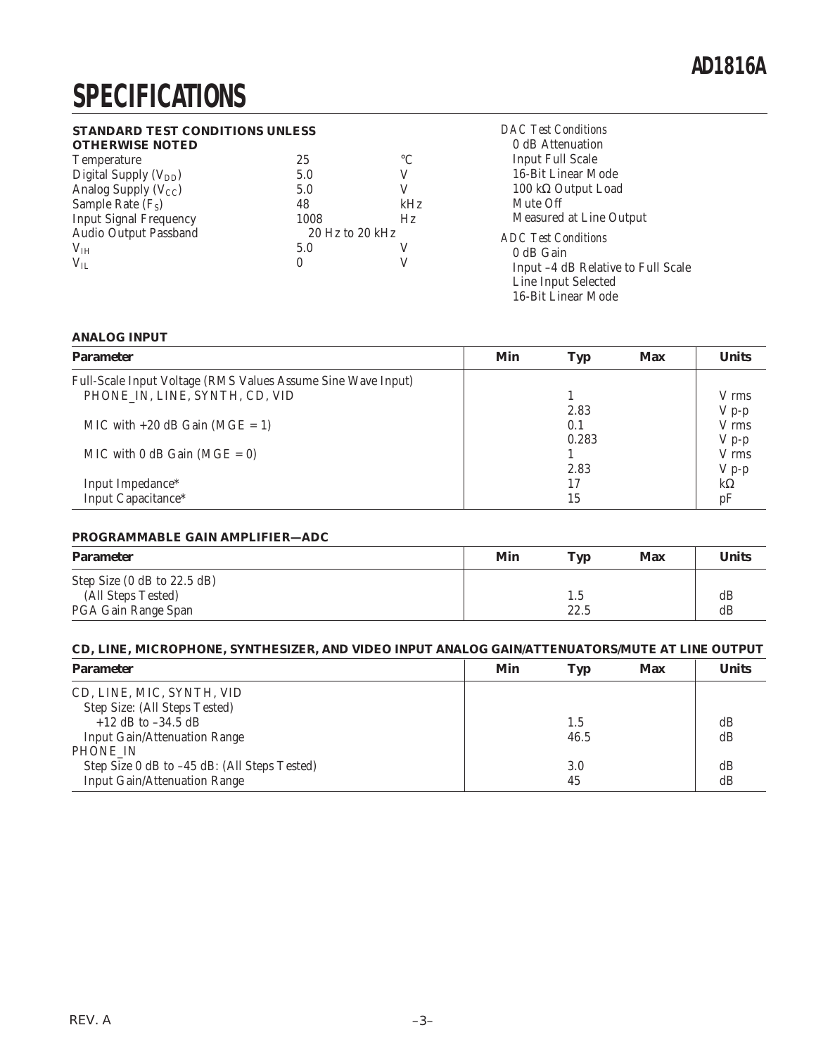# **SPECIFICATIONS**

### **STANDARD TEST CONDITIONS UNLESS**

| STANDARD TEST CONDITIONS UNLESS |                     |                 | <b>DAC</b> Test Conditions         |
|---------------------------------|---------------------|-----------------|------------------------------------|
| <b>OTHERWISE NOTED</b>          |                     |                 | 0 dB Attenuation                   |
| <b>Temperature</b>              | 25                  | $\rm ^{\circ}C$ | <b>Input Full Scale</b>            |
| Digital Supply $(V_{DD})$       | 5.0                 |                 | 16-Bit Linear Mode                 |
| Analog Supply $(V_{CC})$        | 5.0                 |                 | 100 k $\Omega$ Output Load         |
| Sample Rate $(F_S)$             | 48                  | kHz             | Mute Off                           |
| <b>Input Signal Frequency</b>   | 1008                | Hz              | Measured at Line Output            |
| Audio Output Passband           | $20$ Hz to $20$ kHz |                 | <b>ADC</b> Test Conditions         |
| V <sub>IH</sub>                 | 5.0                 |                 | 0 dB Gain                          |
| $V_{IL}$                        | 0                   |                 | Input -4 dB Relative to Full Scale |
|                                 |                     |                 | Line Input Selected                |

### **ANALOG INPUT**

| <b>Parameter</b>                                             | Min | <b>Typ</b> | <b>Max</b> | <b>Units</b> |
|--------------------------------------------------------------|-----|------------|------------|--------------|
| Full-Scale Input Voltage (RMS Values Assume Sine Wave Input) |     |            |            |              |
| PHONE IN, LINE, SYNTH, CD, VID                               |     |            |            | V rms        |
|                                                              |     | 2.83       |            | $V p-p$      |
| MIC with $+20$ dB Gain (MGE = 1)                             |     | 0.1        |            | V rms        |
|                                                              |     | 0.283      |            | $V p-p$      |
| MIC with $0$ dB Gain (MGE = 0)                               |     |            |            | V rms        |
|                                                              |     | 2.83       |            | $V p-p$      |
| Input Impedance*                                             |     | 17         |            | $k\Omega$    |
| Input Capacitance*                                           |     | 15         |            | pF           |

16-Bit Linear Mode

#### **PROGRAMMABLE GAIN AMPLIFIER—ADC**

| <b>Parameter</b>                                  | Min | Typ  | <b>Max</b> | <b>Units</b> |
|---------------------------------------------------|-----|------|------------|--------------|
| Step Size (0 dB to 22.5 dB)<br>(All Steps Tested) |     | 1.5  |            | dB           |
| PGA Gain Range Span                               |     | 22.5 |            | dB           |

### **CD, LINE, MICROPHONE, SYNTHESIZER, AND VIDEO INPUT ANALOG GAIN/ATTENUATORS/MUTE AT LINE OUTPUT**

| <b>Parameter</b>                             | Min | Typ  | <b>Max</b> | <b>Units</b> |
|----------------------------------------------|-----|------|------------|--------------|
| CD, LINE, MIC, SYNTH, VID                    |     |      |            |              |
| Step Size: (All Steps Tested)                |     |      |            |              |
| $+12$ dB to $-34.5$ dB                       |     | 1.5  |            | dB           |
| <b>Input Gain/Attenuation Range</b>          |     | 46.5 |            | dB           |
| PHONE IN                                     |     |      |            |              |
| Step Size 0 dB to -45 dB: (All Steps Tested) |     | 3.0  |            | dB           |
| <b>Input Gain/Attenuation Range</b>          |     | 45   |            | dB           |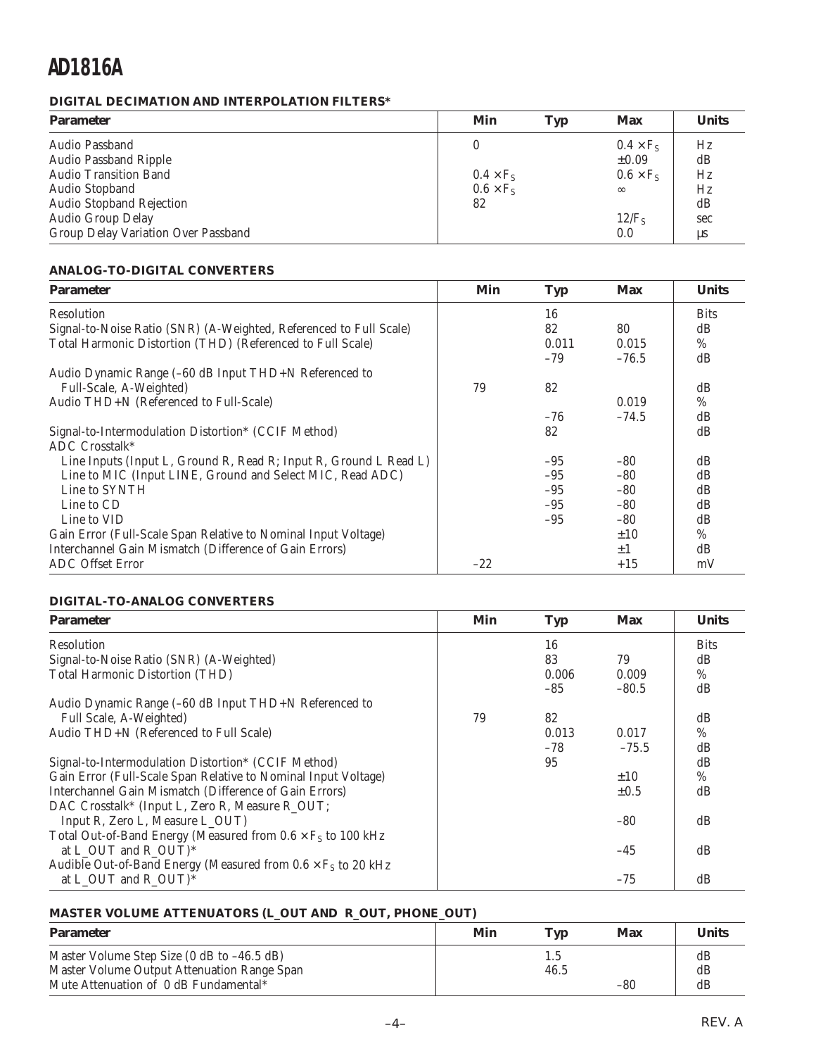### **DIGITAL DECIMATION AND INTERPOLATION FILTERS\***

| <b>Parameter</b>                    | Min              | Typ | <b>Max</b>       | <b>Units</b> |
|-------------------------------------|------------------|-----|------------------|--------------|
| Audio Passband                      |                  |     | $0.4 \times F_s$ | Hz           |
| <b>Audio Passband Ripple</b>        |                  |     | $\pm 0.09$       | dB           |
| <b>Audio Transition Band</b>        | $0.4 \times F_s$ |     | $0.6 \times F_s$ | Hz           |
| Audio Stopband                      | $0.6 \times F_s$ |     | $\infty$         | Hz           |
| <b>Audio Stopband Rejection</b>     | 82               |     |                  | dB           |
| Audio Group Delay                   |                  |     | $12/F_s$         | sec          |
| Group Delay Variation Over Passband |                  |     | 0.0              | $\mu s$      |

### **ANALOG-TO-DIGITAL CONVERTERS**

| <b>Parameter</b>                                                   | Min   | <b>Typ</b> | <b>Max</b> | <b>Units</b> |
|--------------------------------------------------------------------|-------|------------|------------|--------------|
| Resolution                                                         |       | 16         |            | <b>Bits</b>  |
| Signal-to-Noise Ratio (SNR) (A-Weighted, Referenced to Full Scale) |       | 82         | 80         | dB           |
| Total Harmonic Distortion (THD) (Referenced to Full Scale)         |       | 0.011      | 0.015      | $\%$         |
|                                                                    |       | $-79$      | $-76.5$    | dB           |
| Audio Dynamic Range (-60 dB Input THD+N Referenced to              |       |            |            |              |
| Full-Scale, A-Weighted)                                            | 79    | 82         |            | dB           |
| Audio THD+N (Referenced to Full-Scale)                             |       |            | 0.019      | $\%$         |
|                                                                    |       | $-76$      | $-74.5$    | dB           |
| Signal-to-Intermodulation Distortion* (CCIF Method)                |       | 82         |            | dB           |
| ADC Crosstalk*                                                     |       |            |            |              |
| Line Inputs (Input L, Ground R, Read R; Input R, Ground L Read L)  |       | $-95$      | $-80$      | dB           |
| Line to MIC (Input LINE, Ground and Select MIC, Read ADC)          |       | $-95$      | $-80$      | dB           |
| Line to SYNTH                                                      |       | $-95$      | $-80$      | dB           |
| Line to CD                                                         |       | $-95$      | $-80$      | dB           |
| Line to VID                                                        |       | $-95$      | $-80$      | dB           |
| Gain Error (Full-Scale Span Relative to Nominal Input Voltage)     |       |            | ±10        | $\%$         |
| Interchannel Gain Mismatch (Difference of Gain Errors)             |       |            | $\pm 1$    | dB           |
| <b>ADC</b> Offset Error                                            | $-22$ |            | $+15$      | mV           |

### **DIGITAL-TO-ANALOG CONVERTERS**

| <b>Parameter</b>                                                     | Min | <b>Typ</b> | <b>Max</b> | <b>Units</b> |
|----------------------------------------------------------------------|-----|------------|------------|--------------|
| Resolution                                                           |     | 16         |            | <b>Bits</b>  |
| Signal-to-Noise Ratio (SNR) (A-Weighted)                             |     | 83         | 79         | dB           |
| <b>Total Harmonic Distortion (THD)</b>                               |     | 0.006      | 0.009      | %            |
|                                                                      |     | $-85$      | $-80.5$    | dB           |
| Audio Dynamic Range (-60 dB Input THD+N Referenced to                |     |            |            |              |
| Full Scale, A-Weighted)                                              | 79  | 82         |            | dB           |
| Audio THD+N (Referenced to Full Scale)                               |     | 0.013      | 0.017      | $\%$         |
|                                                                      |     | $-78$      | $-75.5$    | dB           |
| Signal-to-Intermodulation Distortion* (CCIF Method)                  |     | 95         |            | dB           |
| Gain Error (Full-Scale Span Relative to Nominal Input Voltage)       |     |            | $\pm 10$   | %            |
| Interchannel Gain Mismatch (Difference of Gain Errors)               |     |            | $\pm 0.5$  | dB           |
| DAC Crosstalk* (Input L, Zero R, Measure R_OUT;                      |     |            |            |              |
| Input R, Zero L, Measure L_OUT)                                      |     |            | $-80$      | dB           |
| Total Out-of-Band Energy (Measured from $0.6 \times F_S$ to 100 kHz  |     |            |            |              |
| at L_OUT and R_OUT) $*$                                              |     |            | $-45$      | dB           |
| Audible Out-of-Band Energy (Measured from $0.6 \times F_S$ to 20 kHz |     |            |            |              |
| at L_OUT and R_OUT)*                                                 |     |            | $-75$      | dB           |

### **MASTER VOLUME ATTENUATORS (L\_OUT AND R\_OUT, PHONE\_OUT)**

| <b>Parameter</b>                                                                          | Min | Tvp         | Max   | <b>Units</b> |
|-------------------------------------------------------------------------------------------|-----|-------------|-------|--------------|
| Master Volume Step Size (0 dB to -46.5 dB)<br>Master Volume Output Attenuation Range Span |     | 1.5<br>46.5 |       | dB<br>dB     |
| Mute Attenuation of 0 dB Fundamental*                                                     |     |             | $-80$ | dB           |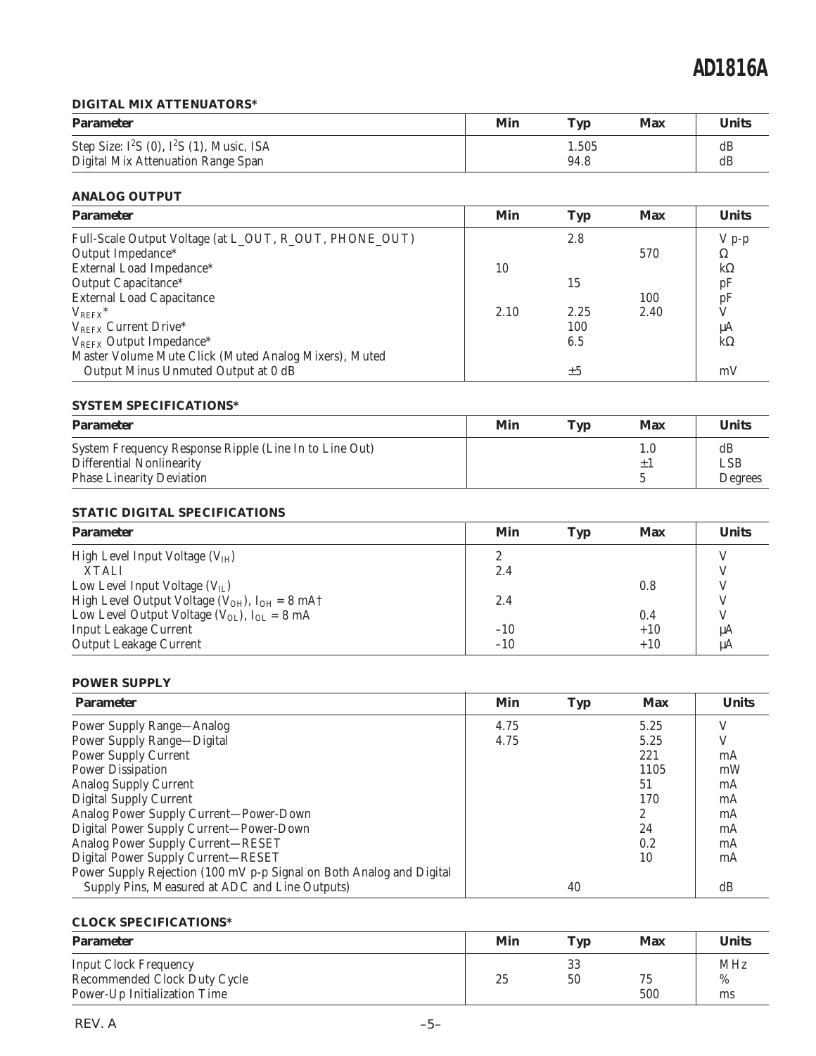### **DIGITAL MIX ATTENUATORS\***

| <b>Parameter</b>                              | Min | <b>Typ</b> | Max | <b>Units</b> |
|-----------------------------------------------|-----|------------|-----|--------------|
| Step Size: $I^2S$ (0), $I^2S$ (1), Music, ISA |     | 1.505      |     | dB           |
| Digital Mix Attenuation Range Span            |     | 94.8       |     | dB           |

### **ANALOG OUTPUT**

| <b>Parameter</b>                                       | Min  | <b>Typ</b> | <b>Max</b> | <b>Units</b>   |
|--------------------------------------------------------|------|------------|------------|----------------|
| Full-Scale Output Voltage (at L_OUT, R_OUT, PHONE_OUT) |      | 2.8        |            | $V p-p$        |
| Output Impedance*                                      |      |            | 570        | Ω              |
| External Load Impedance*                               | 10   |            |            | $k\Omega$      |
| Output Capacitance*                                    |      | 15         |            | pF             |
| <b>External Load Capacitance</b>                       |      |            | 100        | $\frac{pF}{V}$ |
| $V_{REFX}$ *                                           | 2.10 | 2.25       | 2.40       |                |
| $V_{REFX}$ Current Drive*                              |      | 100        |            | μA             |
| V <sub>REFX</sub> Output Impedance*                    |      | 6.5        |            | $k\Omega$      |
| Master Volume Mute Click (Muted Analog Mixers), Muted  |      |            |            |                |
| Output Minus Unmuted Output at 0 dB                    |      | ±5         |            | mV             |

### **SYSTEM SPECIFICATIONS\***

| <b>Parameter</b>                                       | Min | Tvn | Max | <b>Units</b> |
|--------------------------------------------------------|-----|-----|-----|--------------|
| System Frequency Response Ripple (Line In to Line Out) |     |     |     | dB           |
| Differential Nonlinearity                              |     |     |     | LSB          |
| <b>Phase Linearity Deviation</b>                       |     |     |     | Degrees      |

### **STATIC DIGITAL SPECIFICATIONS**

| <b>Parameter</b>                                                          | Min         | <b>Typ</b> | <b>Max</b> | <b>Units</b> |
|---------------------------------------------------------------------------|-------------|------------|------------|--------------|
| High Level Input Voltage $(VIH)$                                          | $2^{\circ}$ |            |            |              |
| <b>XTALI</b>                                                              | 2.4         |            |            |              |
| Low Level Input Voltage $(V_{II})$                                        |             |            | 0.8        |              |
| High Level Output Voltage ( $V_{OH}$ ), $I_{OH} = 8 \text{ mA}^{\dagger}$ | 2.4         |            |            | V            |
| Low Level Output Voltage $(V_{OL})$ , $I_{OL} = 8$ mA                     |             |            | 0.4        | V            |
| <b>Input Leakage Current</b>                                              | $-10$       |            | $+10$      | μA           |
| <b>Output Leakage Current</b>                                             | $-10$       |            | $+10$      | μA           |

### **POWER SUPPLY**

| <b>Parameter</b>                                                     | Min  | <b>Typ</b> | <b>Max</b> | <b>Units</b> |
|----------------------------------------------------------------------|------|------------|------------|--------------|
| <b>Power Supply Range—Analog</b>                                     | 4.75 |            | 5.25       | V            |
| Power Supply Range-Digital                                           | 4.75 |            | 5.25       | V            |
| <b>Power Supply Current</b>                                          |      |            | 221        | mA           |
| <b>Power Dissipation</b>                                             |      |            | 1105       | mW           |
| <b>Analog Supply Current</b>                                         |      |            | 51         | mA           |
| <b>Digital Supply Current</b>                                        |      |            | 170        | mA           |
| Analog Power Supply Current-Power-Down                               |      |            | 2          | mA           |
| Digital Power Supply Current-Power-Down                              |      |            | 24         | mA           |
| Analog Power Supply Current-RESET                                    |      |            | 0.2        | mA           |
| Digital Power Supply Current-RESET                                   |      |            | 10         | mA           |
| Power Supply Rejection (100 mV p-p Signal on Both Analog and Digital |      |            |            |              |
| Supply Pins, Measured at ADC and Line Outputs)                       |      | 40         |            | dB           |

### **CLOCK SPECIFICATIONS\***

| <b>Parameter</b>                                                                             | Min | Tvp      | Max       | <b>Units</b>          |
|----------------------------------------------------------------------------------------------|-----|----------|-----------|-----------------------|
| <b>Input Clock Frequency</b><br>Recommended Clock Duty Cycle<br>Power-Up Initialization Time | 25  | 33<br>50 | 75<br>500 | <b>MHz</b><br>%<br>ms |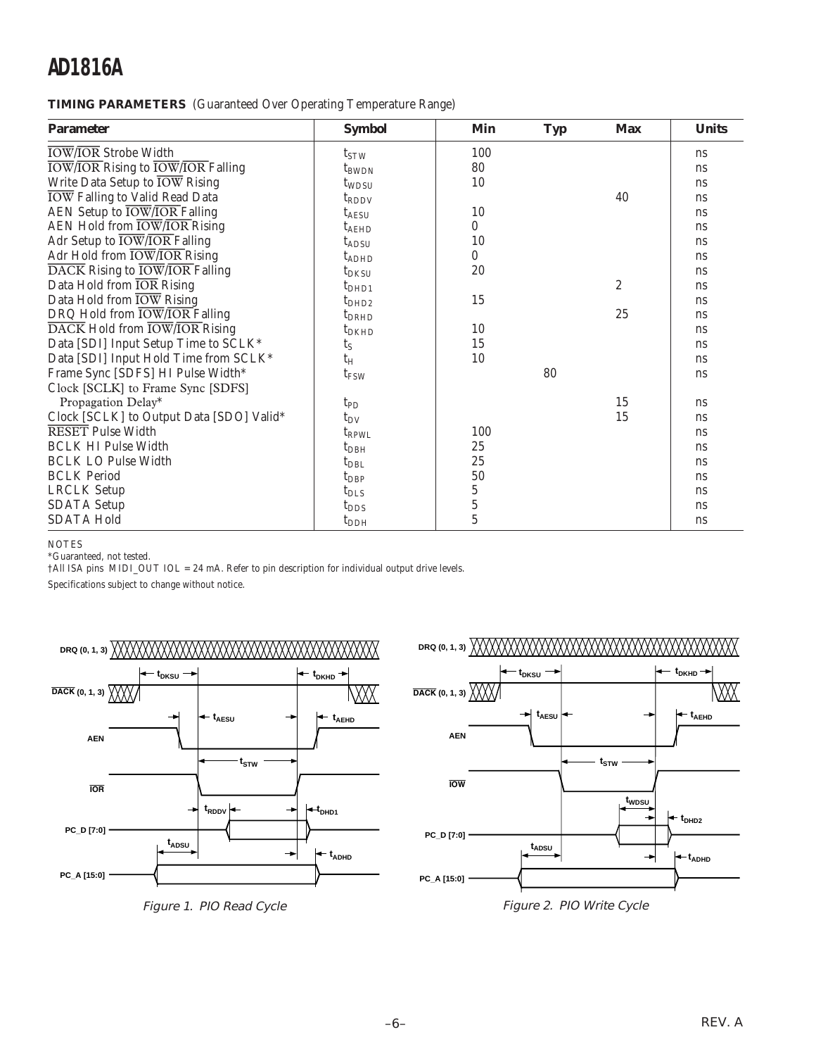**TIMING PARAMETERS** (Guaranteed Over Operating Temperature Range)

| <b>Parameter</b>                                                   | <b>Symbol</b>     | Min            | <b>Typ</b> | <b>Max</b>     | <b>Units</b>  |
|--------------------------------------------------------------------|-------------------|----------------|------------|----------------|---------------|
| <b>IOW/IOR Strobe Width</b>                                        | $t_{STW}$         | 100            |            |                | <sub>ns</sub> |
| <b>IOW/IOR Rising to IOW/IOR Falling</b>                           | $t_{BWDN}$        | 80             |            |                | <sub>ns</sub> |
| Write Data Setup to IOW Rising                                     | t <sub>WDSU</sub> | 10             |            |                | <sub>ns</sub> |
| <b>IOW</b> Falling to Valid Read Data                              | $t_{\rm RDDV}$    |                |            | 40             | ns            |
| AEN Setup to <b>IOW/IOR</b> Falling                                | $t_{\rm AESU}$    | 10             |            |                | <sub>ns</sub> |
| AEN Hold from $\overline{\text{low}}/\overline{\text{IOR}}$ Rising | $t_{A\text{EHD}}$ | $\bf{0}$       |            |                | ns            |
| Adr Setup to IOW/IOR Falling                                       | $t_{\rm ADSU}$    | 10             |            |                | <sub>ns</sub> |
| Adr Hold from IOW/IOR Rising                                       | $t_{ADHD}$        | $\bf{0}$       |            |                | <sub>ns</sub> |
| DACK Rising to IOW/IOR Falling                                     | $t_{DKSU}$        | 20             |            |                | <sub>ns</sub> |
| Data Hold from IOR Rising                                          | t <sub>DHD1</sub> |                |            | $\overline{2}$ | ns            |
| Data Hold from IOW Rising                                          | $t_{DHD2}$        | 15             |            |                | <sub>ns</sub> |
| DRQ Hold from $\overline{\text{IOW}/\text{IOR}}$ Falling           | $t_{DRHD}$        |                |            | 25             | <sub>ns</sub> |
| DACK Hold from IOW/IOR Rising                                      | $t_{DKHD}$        | 10             |            |                | <sub>ns</sub> |
| Data [SDI] Input Setup Time to SCLK*                               | $t_{S}$           | 15             |            |                | <sub>ns</sub> |
| Data [SDI] Input Hold Time from SCLK*                              | $t_H$             | 10             |            |                | <sub>ns</sub> |
| Frame Sync [SDFS] HI Pulse Width*                                  | t <sub>FSW</sub>  |                | 80         |                | <sub>ns</sub> |
| Clock [SCLK] to Frame Sync [SDFS]                                  |                   |                |            |                |               |
| Propagation Delay*                                                 | $t_{PD}$          |                |            | 15             | ns            |
| Clock [SCLK] to Output Data [SDO] Valid*                           | $t_{DV}$          |                |            | 15             | <sub>ns</sub> |
| <b>RESET</b> Pulse Width                                           | $t_{RPWL}$        | 100            |            |                | <sub>ns</sub> |
| <b>BCLK HI Pulse Width</b>                                         | $t_{DBH}$         | 25             |            |                | <sub>ns</sub> |
| <b>BCLK LO Pulse Width</b>                                         | $t_{DBL}$         | 25             |            |                | <sub>ns</sub> |
| <b>BCLK</b> Period                                                 | $t_{\rm DBP}$     | 50             |            |                | <sub>ns</sub> |
| <b>LRCLK</b> Setup                                                 | $t_{\rm DLS}$     | $\overline{5}$ |            |                | <sub>ns</sub> |
| <b>SDATA Setup</b>                                                 | $t_{\rm{DDS}}$    | $\overline{5}$ |            |                | <sub>ns</sub> |
| <b>SDATA Hold</b>                                                  | $t_{\rm DDH}$     | $\overline{5}$ |            |                | ns            |

NOTES

\*Guaranteed, not tested.

†All ISA pins MIDI\_OUT IOL = 24 mA. Refer to pin description for individual output drive levels.

Specifications subject to change without notice.



Figure 1. PIO Read Cycle



Figure 2. PIO Write Cycle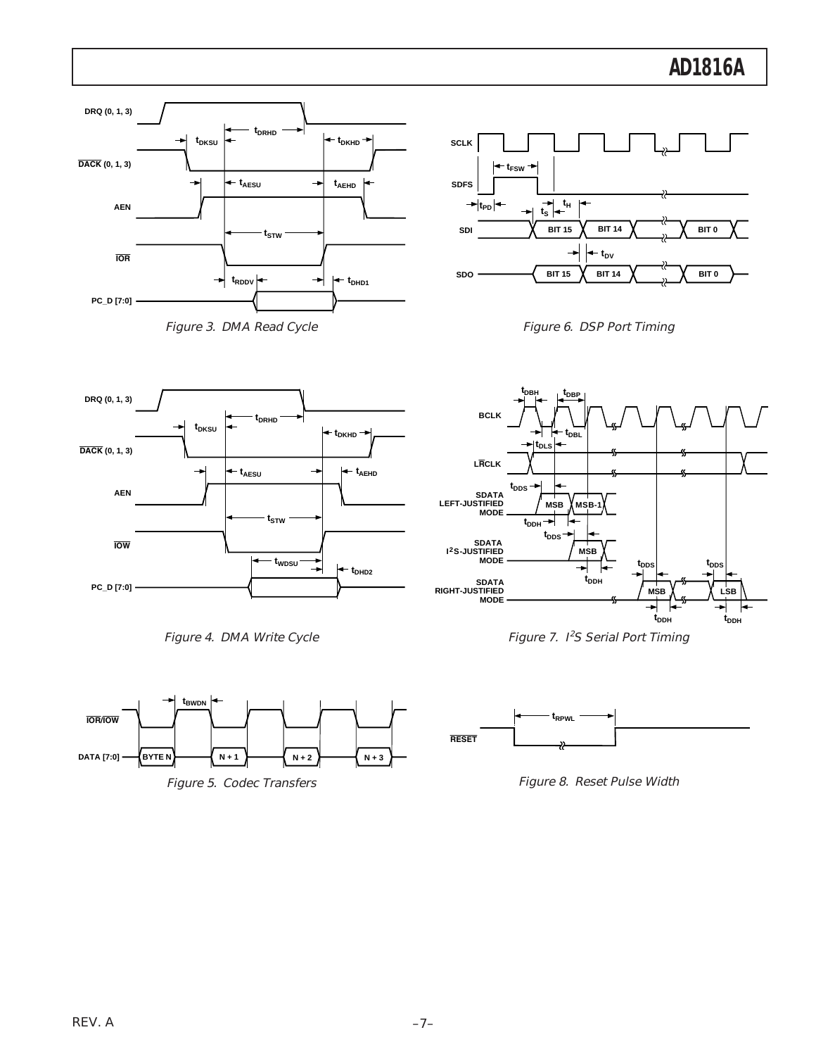





**RESET**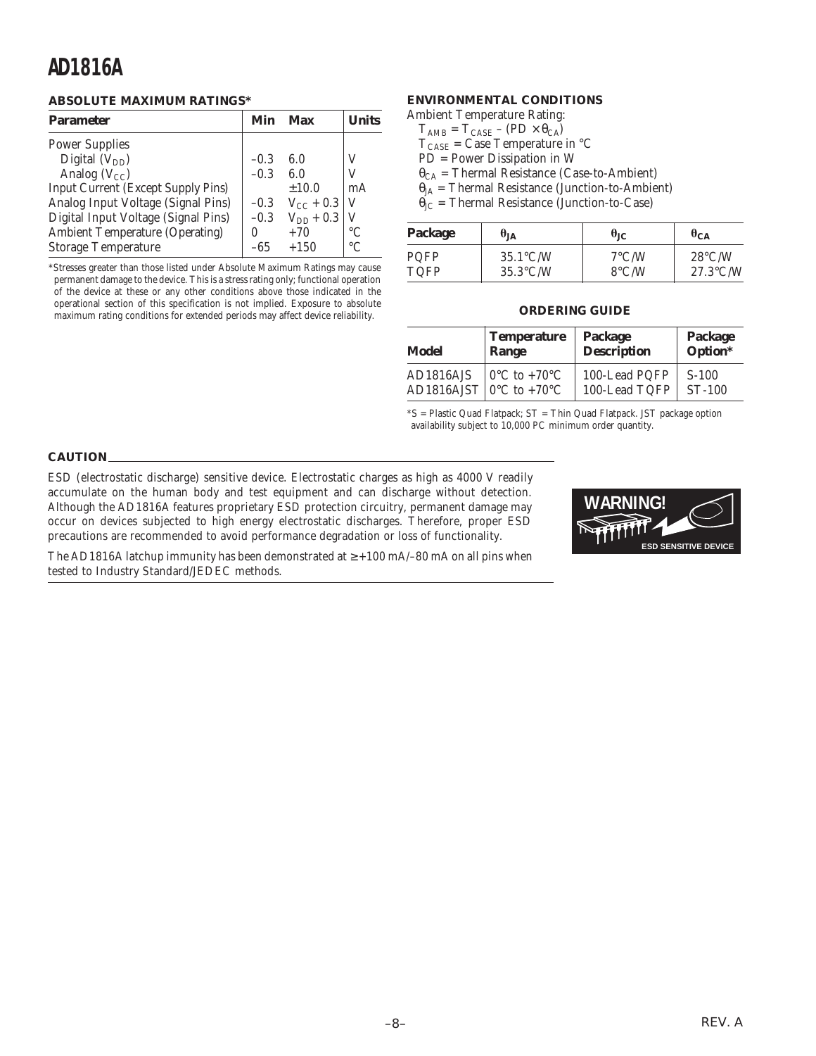### **ABSOLUTE MAXIMUM RATINGS\***

| <b>Parameter</b>                          | Min    | Max            | <b>I</b> Inits |
|-------------------------------------------|--------|----------------|----------------|
| <b>Power Supplies</b>                     |        |                |                |
| Digital $(V_{DD})$                        | $-0.3$ | 6.0            | V              |
| Analog $(V_{CC})$                         | $-0.3$ | 6.0            |                |
| <b>Input Current (Except Supply Pins)</b> |        | ±10.0          | mA             |
| Analog Input Voltage (Signal Pins)        | $-0.3$ | $V_{CC}$ + 0.3 | - V            |
| Digital Input Voltage (Signal Pins)       | $-0.3$ | $V_{DD}$ + 0.3 |                |
| <b>Ambient Temperature (Operating)</b>    | 0      | $+70$          | $\circ$ C      |
| <b>Storage Temperature</b>                | -65    | $+150$         | $\circ$ C      |

\*Stresses greater than those listed under Absolute Maximum Ratings may cause permanent damage to the device. This is a stress rating only; functional operation of the device at these or any other conditions above those indicated in the operational section of this specification is not implied. Exposure to absolute maximum rating conditions for extended periods may affect device reliability.

### **ENVIRONMENTAL CONDITIONS**

Ambient Temperature Rating:

- $T_{\text{AMB}} = T_{\text{CASE}} (\text{PD} \times \theta_{\text{CA}})$
- $T_{\text{CASE}}$  = Case Temperature in °C
- PD = Power Dissipation in W
- $\theta_{CA}$  = Thermal Resistance (Case-to-Ambient)
- $\theta_{JA}$  = Thermal Resistance (Junction-to-Ambient)

 $\theta_{\text{JC}}$  = Thermal Resistance (Junction-to-Case)

| Package | $\theta_{JA}$      | $\theta_{CA}$<br>$\theta_{\rm JC}$ |                    |  |
|---------|--------------------|------------------------------------|--------------------|--|
| PQFP    | $35.1^{\circ}$ C/W | $7^{\circ}$ C/W                    | $28^{\circ}$ C/W   |  |
| TQFP    | $35.3^{\circ}$ C/W | $8^{\circ}$ C/W                    | $27.3^{\circ}$ C/W |  |

#### **ORDERING GUIDE**

| Model     | <b>Temperature</b>                         | Package            | Package  |  |
|-----------|--------------------------------------------|--------------------|----------|--|
|           | Range                                      | <b>Description</b> | Option*  |  |
| AD1816AJS | $\sim 0^{\circ}$ C to +70 $\rm{^{\circ}C}$ | 100-Lead PQFP      | $S-100$  |  |
|           | AD1816AJST $0^{\circ}$ C to +70°C          | 100-Lead TQFP      | $ST-100$ |  |

\*S = Plastic Quad Flatpack; ST = Thin Quad Flatpack. JST package option availability subject to 10,000 PC minimum order quantity.

#### **CAUTION**

ESD (electrostatic discharge) sensitive device. Electrostatic charges as high as 4000 V readily accumulate on the human body and test equipment and can discharge without detection. Although the AD1816A features proprietary ESD protection circuitry, permanent damage may occur on devices subjected to high energy electrostatic discharges. Therefore, proper ESD precautions are recommended to avoid performance degradation or loss of functionality.



The AD1816A latchup immunity has been demonstrated at  $\geq$  +100 mA/–80 mA on all pins when tested to Industry Standard/JEDEC methods.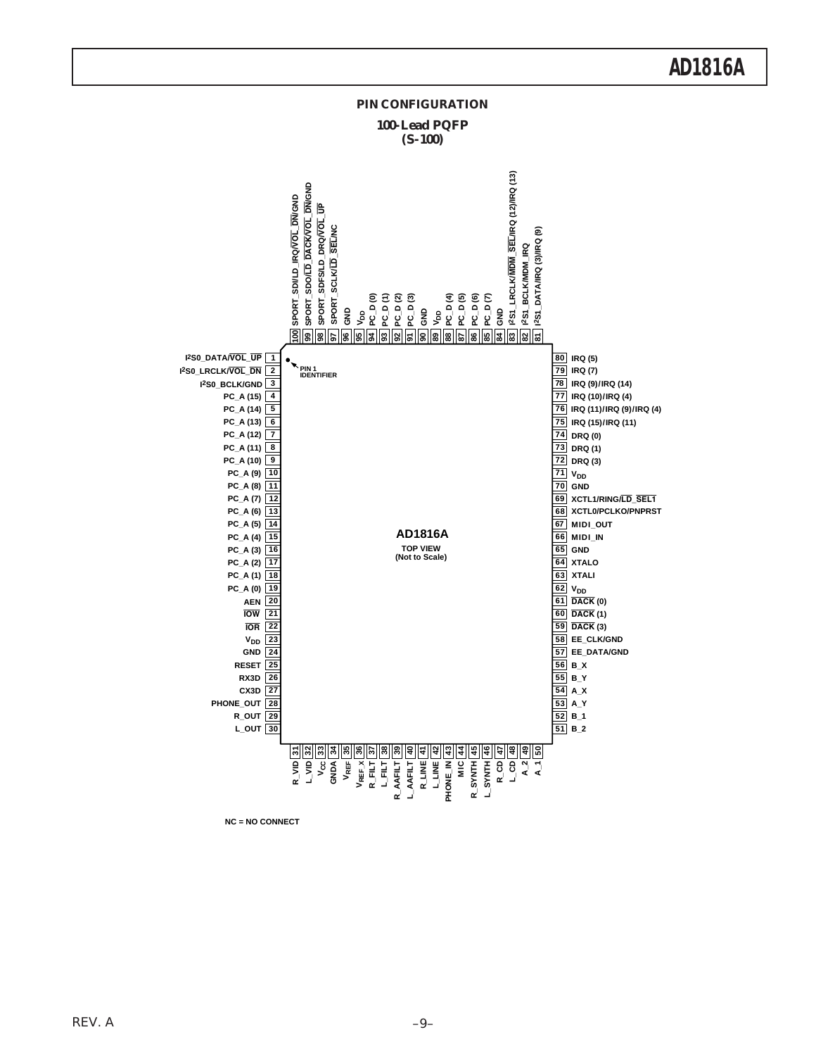

**NC = NO CONNECT**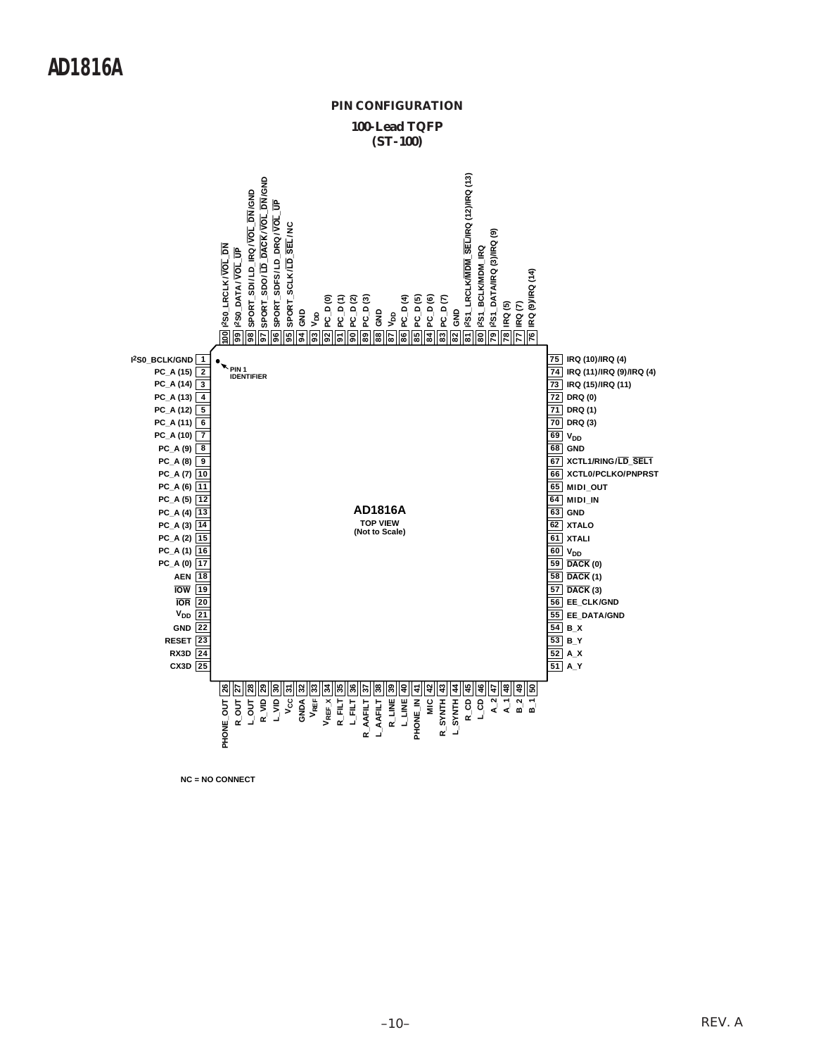

**NC = NO CONNECT**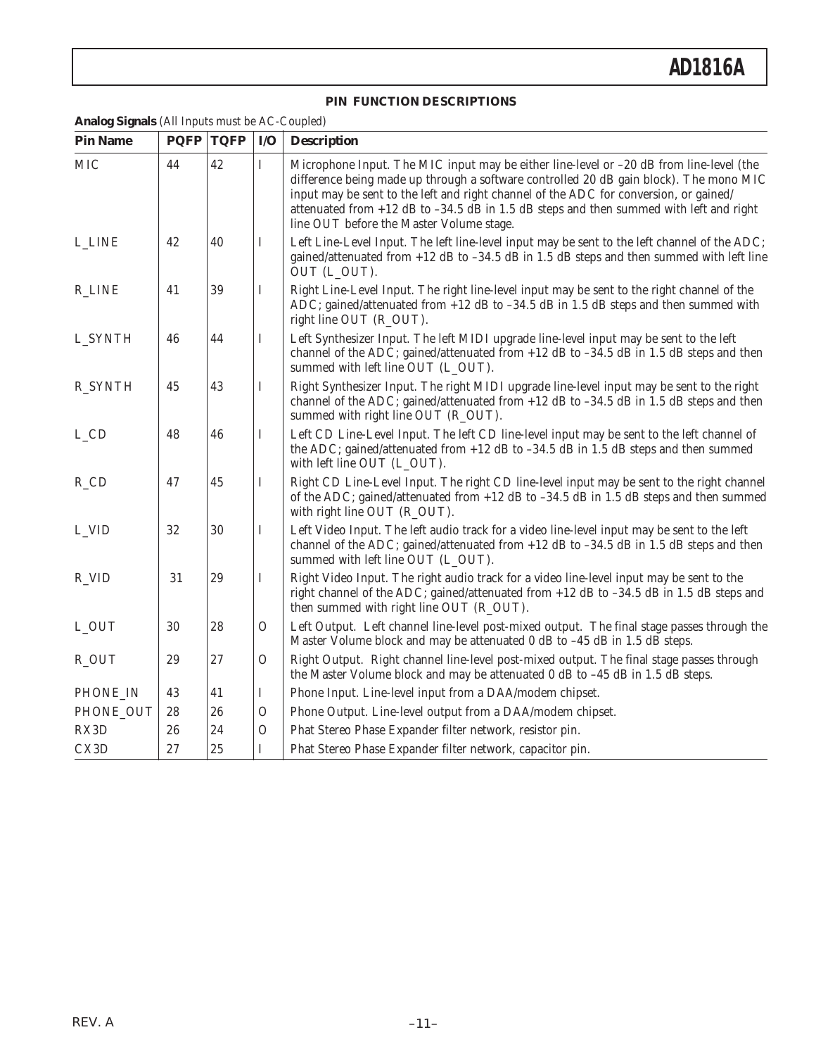### **PIN FUNCTION DESCRIPTIONS**

### **Analog Signals** (All Inputs must be AC-Coupled)

| <b>Pin Name</b>    | <b>PQFP</b> | <b>TQFP</b> | I/O           | <b>Description</b>                                                                                                                                                                                                                                                                                                                                                                                                   |
|--------------------|-------------|-------------|---------------|----------------------------------------------------------------------------------------------------------------------------------------------------------------------------------------------------------------------------------------------------------------------------------------------------------------------------------------------------------------------------------------------------------------------|
| <b>MIC</b>         | 44          | 42          | $\rm I$       | Microphone Input. The MIC input may be either line-level or -20 dB from line-level (the<br>difference being made up through a software controlled 20 dB gain block). The mono MIC<br>input may be sent to the left and right channel of the ADC for conversion, or gained/<br>attenuated from $+12$ dB to $-34.5$ dB in 1.5 dB steps and then summed with left and right<br>line OUT before the Master Volume stage. |
| <b>L_LINE</b>      | 42          | 40          | I             | Left Line-Level Input. The left line-level input may be sent to the left channel of the ADC;<br>gained/attenuated from $+12$ dB to $-34.5$ dB in 1.5 dB steps and then summed with left line<br>OUT (L_OUT).                                                                                                                                                                                                         |
| <b>R_LINE</b>      | 41          | 39          | I             | Right Line-Level Input. The right line-level input may be sent to the right channel of the<br>ADC; gained/attenuated from $+12$ dB to $-34.5$ dB in 1.5 dB steps and then summed with<br>right line OUT (R_OUT).                                                                                                                                                                                                     |
| L_SYNTH            | 46          | 44          | I             | Left Synthesizer Input. The left MIDI upgrade line-level input may be sent to the left<br>channel of the ADC; gained/attenuated from $+12$ dB to $-34.5$ dB in 1.5 dB steps and then<br>summed with left line OUT (L_OUT).                                                                                                                                                                                           |
| <b>R_SYNTH</b>     | 45          | 43          | I             | Right Synthesizer Input. The right MIDI upgrade line-level input may be sent to the right<br>channel of the ADC; gained/attenuated from $+12$ dB to $-34.5$ dB in 1.5 dB steps and then<br>summed with right line OUT (R_OUT).                                                                                                                                                                                       |
| L_CD               | 48          | 46          | $\mathbf I$   | Left CD Line-Level Input. The left CD line-level input may be sent to the left channel of<br>the ADC; gained/attenuated from $+12$ dB to $-34.5$ dB in 1.5 dB steps and then summed<br>with left line OUT (L_OUT).                                                                                                                                                                                                   |
| $R$ <sub>-CD</sub> | 47          | 45          | I             | Right CD Line-Level Input. The right CD line-level input may be sent to the right channel<br>of the ADC; gained/attenuated from $+12$ dB to $-34.5$ dB in 1.5 dB steps and then summed<br>with right line OUT (R_OUT).                                                                                                                                                                                               |
| L_VID              | 32          | 30          | $\mathbf I$   | Left Video Input. The left audio track for a video line-level input may be sent to the left<br>channel of the ADC; gained/attenuated from $+12$ dB to $-34.5$ dB in 1.5 dB steps and then<br>summed with left line OUT (L_OUT).                                                                                                                                                                                      |
| R_VID              | 31          | 29          | $\mathbf I$   | Right Video Input. The right audio track for a video line-level input may be sent to the<br>right channel of the ADC; gained/attenuated from +12 dB to -34.5 dB in 1.5 dB steps and<br>then summed with right line OUT (R_OUT).                                                                                                                                                                                      |
| L_OUT              | 30          | 28          | $\mathcal{O}$ | Left Output. Left channel line-level post-mixed output. The final stage passes through the<br>Master Volume block and may be attenuated 0 dB to -45 dB in 1.5 dB steps.                                                                                                                                                                                                                                              |
| R_OUT              | 29          | 27          | $\mathcal{O}$ | Right Output. Right channel line-level post-mixed output. The final stage passes through<br>the Master Volume block and may be attenuated 0 dB to -45 dB in 1.5 dB steps.                                                                                                                                                                                                                                            |
| PHONE_IN           | 43          | 41          | $\bf{I}$      | Phone Input. Line-level input from a DAA/modem chipset.                                                                                                                                                                                                                                                                                                                                                              |
| PHONE_OUT          | 28          | 26          | $\mathcal{O}$ | Phone Output. Line-level output from a DAA/modem chipset.                                                                                                                                                                                                                                                                                                                                                            |
| RX3D               | 26          | 24          | $\mathcal{O}$ | Phat Stereo Phase Expander filter network, resistor pin.                                                                                                                                                                                                                                                                                                                                                             |
| CX3D               | 27          | 25          | T             | Phat Stereo Phase Expander filter network, capacitor pin.                                                                                                                                                                                                                                                                                                                                                            |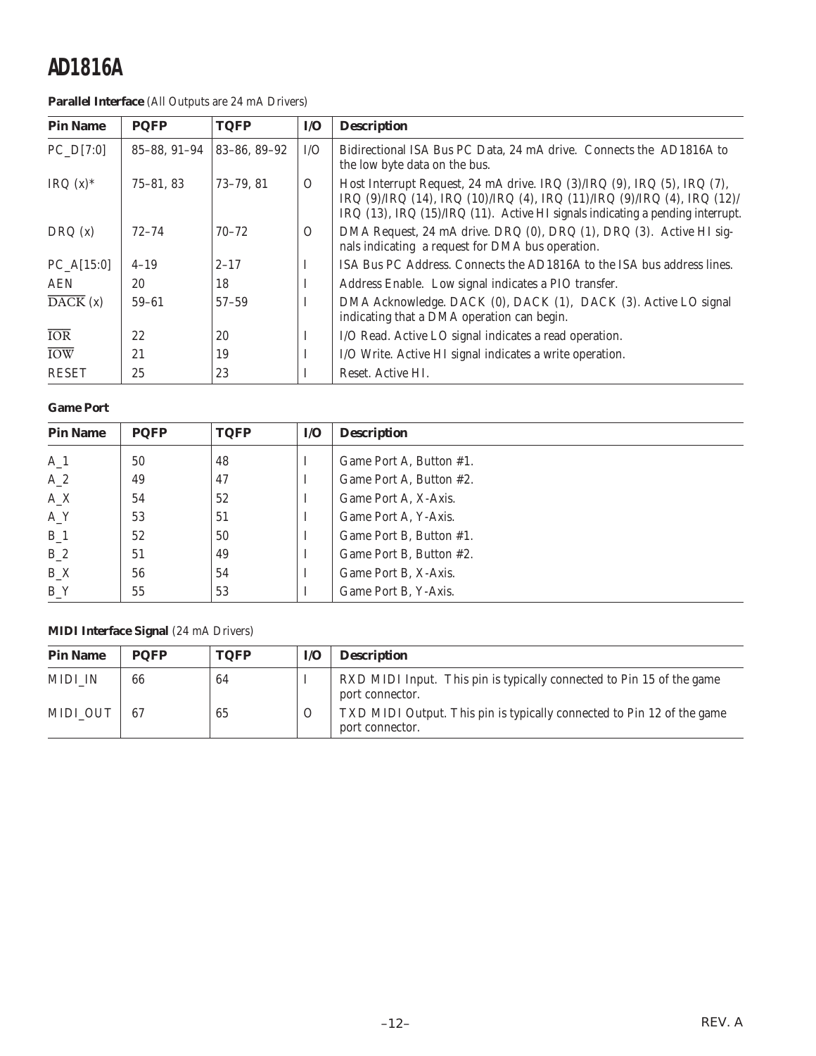**Parallel Interface** (All Outputs are 24 mA Drivers)

| <b>Pin Name</b>              | <b>PQFP</b>   | <b>TQFP</b>  | $\mathbf{I}/\mathbf{O}$ | <b>Description</b>                                                                                                                                                                                                                                      |
|------------------------------|---------------|--------------|-------------------------|---------------------------------------------------------------------------------------------------------------------------------------------------------------------------------------------------------------------------------------------------------|
| $PC_D[7:0]$                  | 85-88, 91-94  | 83-86, 89-92 | I/O                     | Bidirectional ISA Bus PC Data, 24 mA drive. Connects the AD1816A to<br>the low byte data on the bus.                                                                                                                                                    |
| IRQ $(x)$ <sup>*</sup>       | $75 - 81, 83$ | $73-79.81$   | $\Omega$                | Host Interrupt Request, 24 mA drive. IRQ (3)/IRQ (9), IRQ (5), IRQ (7),<br>IRQ $(9)/IRQ$ $(14)$ , IRQ $(10)/IRQ$ $(4)$ , IRQ $(11)/IRQ$ $(9)/IRQ$ $(4)$ , IRQ $(12)/$<br>IRQ (13), IRQ (15)/IRQ (11). Active HI signals indicating a pending interrupt. |
| DRQ(x)                       | $72 - 74$     | $70 - 72$    | $\Omega$                | DMA Request, 24 mA drive. DRQ (0), DRQ (1), DRQ (3). Active HI sig-<br>nals indicating a request for DMA bus operation.                                                                                                                                 |
| $PC_A[15:0]$                 | $4 - 19$      | $2 - 17$     | 1                       | ISA Bus PC Address. Connects the AD1816A to the ISA bus address lines.                                                                                                                                                                                  |
| <b>AEN</b>                   | 20            | 18           | I                       | Address Enable. Low signal indicates a PIO transfer.                                                                                                                                                                                                    |
| $\overline{\text{DACK}}$ (x) | $59 - 61$     | $57 - 59$    |                         | DMA Acknowledge. DACK (0), DACK (1), DACK (3). Active LO signal<br>indicating that a DMA operation can begin.                                                                                                                                           |
| <b>IOR</b>                   | 22            | 20           | I                       | I/O Read. Active LO signal indicates a read operation.                                                                                                                                                                                                  |
| <b>IOW</b>                   | 21            | 19           | I                       | I/O Write. Active HI signal indicates a write operation.                                                                                                                                                                                                |
| <b>RESET</b>                 | 25            | 23           | I                       | Reset. Active HI.                                                                                                                                                                                                                                       |

### **Game Port**

| <b>Pin Name</b> | <b>PQFP</b> | <b>TQFP</b> | I/O      | <b>Description</b>      |
|-----------------|-------------|-------------|----------|-------------------------|
| $A_1$           | 50          | 48          | Ι        | Game Port A, Button #1. |
| $A_2$           | 49          | 47          | I        | Game Port A, Button #2. |
| $A_X$           | 54          | 52          | I        | Game Port A, X-Axis.    |
| $A_Y$           | 53          | 51          | I        | Game Port A, Y-Axis.    |
| $B_1$           | 52          | 50          | I        | Game Port B, Button #1. |
| $B_2$           | 51          | 49          | $\bf{I}$ | Game Port B, Button #2. |
| $B_{X}$         | 56          | 54          | I        | Game Port B, X-Axis.    |
| BY              | 55          | 53          | I        | Game Port B, Y-Axis.    |

### **MIDI Interface Signal** (24 mA Drivers)

| <b>Pin Name</b> | <b>POFP</b> | <b>TOFP</b> | I/O      | <b>Description</b>                                                                        |
|-----------------|-------------|-------------|----------|-------------------------------------------------------------------------------------------|
| MIDI IN         | 66          | 64          |          | RXD MIDI Input. This pin is typically connected to Pin 15 of the game<br>port connector.  |
| MIDI OUT        | -67         | 65          | $\Omega$ | TXD MIDI Output. This pin is typically connected to Pin 12 of the game<br>port connector. |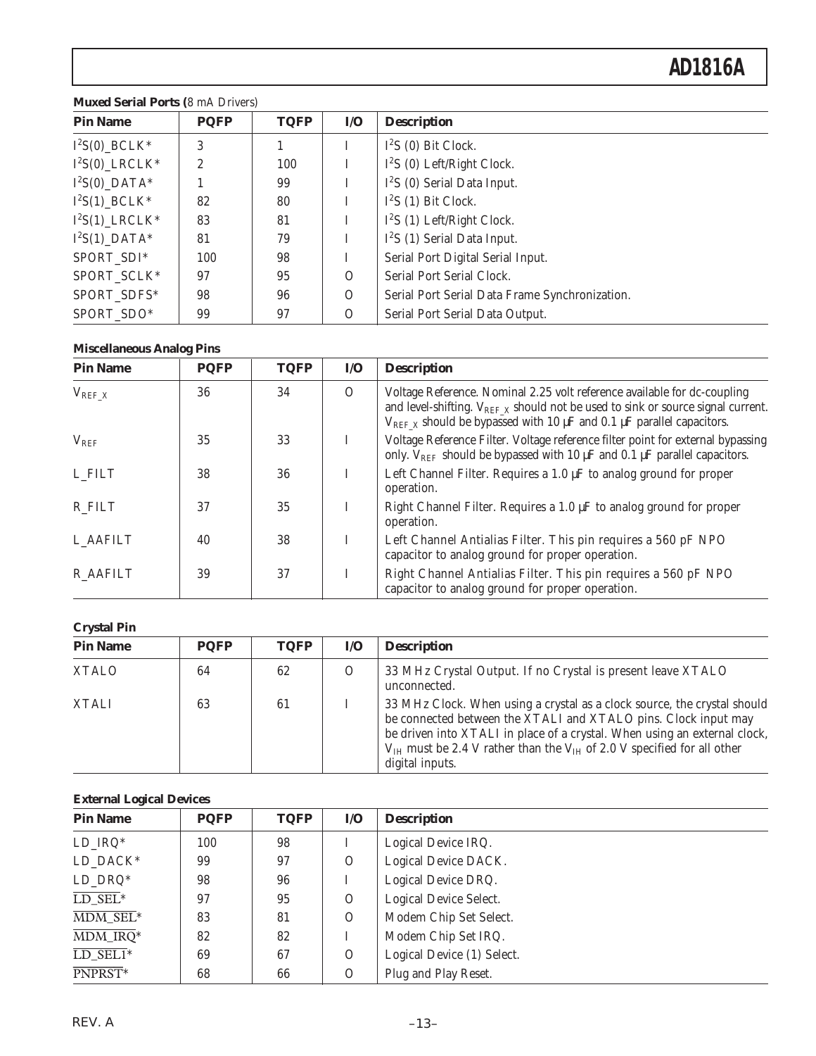| <b>Pin Name</b>  | <b>PQFP</b>    | <b>TQFP</b> | $\mathbf{I}/\mathbf{O}$ | <b>Description</b>                             |
|------------------|----------------|-------------|-------------------------|------------------------------------------------|
| $I^2S(0)$ _BCLK* | 3              |             |                         | $I^2S$ (0) Bit Clock.                          |
| $I^2S(0)$ LRCLK* | $\overline{2}$ | 100         |                         | $I^2S$ (0) Left/Right Clock.                   |
| $I^2S(0)$ _DATA* |                | 99          |                         | $I2S$ (0) Serial Data Input.                   |
| $I^2S(1)$ _BCLK* | 82             | 80          |                         | $I^2S(1)$ Bit Clock.                           |
| $I^2S(1)$ LRCLK* | 83             | 81          |                         | $I2S$ (1) Left/Right Clock.                    |
| $I^2S(1)$ DATA*  | 81             | 79          |                         | $I2S$ (1) Serial Data Input.                   |
| SPORT_SDI*       | 100            | 98          |                         | Serial Port Digital Serial Input.              |
| SPORT_SCLK*      | 97             | 95          | $\Omega$                | Serial Port Serial Clock.                      |
| SPORT_SDFS*      | 98             | 96          | $\Omega$                | Serial Port Serial Data Frame Synchronization. |
| SPORT_SDO*       | 99             | 97          | $\Omega$                | Serial Port Serial Data Output.                |

### **Muxed Serial Ports (**8 mA Drivers)

### **Miscellaneous Analog Pins**

| <b>Pin Name</b> | <b>PQFP</b> | <b>TQFP</b> | $\mathbf{I}/\mathbf{O}$ | <b>Description</b>                                                                                                                                                                                                                                       |
|-----------------|-------------|-------------|-------------------------|----------------------------------------------------------------------------------------------------------------------------------------------------------------------------------------------------------------------------------------------------------|
| $V_{REF\_X}$    | 36          | 34          | $\Omega$                | Voltage Reference. Nominal 2.25 volt reference available for dc-coupling<br>and level-shifting. $V_{REF\ X}$ should not be used to sink or source signal current.<br>$V_{REF X}$ should be bypassed with 10 $\mu$ F and 0.1 $\mu$ F parallel capacitors. |
| $V_{REF}$       | 35          | 33          | L                       | Voltage Reference Filter. Voltage reference filter point for external bypassing<br>only. $V_{REF}$ should be bypassed with 10 $\mu$ F and 0.1 $\mu$ F parallel capacitors.                                                                               |
| L FILT          | 38          | 36          |                         | Left Channel Filter. Requires a $1.0 \mu$ F to analog ground for proper<br>operation.                                                                                                                                                                    |
| R FILT          | 37          | 35          |                         | Right Channel Filter. Requires a 1.0 µF to analog ground for proper<br>operation.                                                                                                                                                                        |
| L AAFILT        | 40          | 38          | I                       | Left Channel Antialias Filter. This pin requires a 560 pF NPO<br>capacitor to analog ground for proper operation.                                                                                                                                        |
| <b>R_AAFILT</b> | 39          | 37          | I                       | Right Channel Antialias Filter. This pin requires a 560 pF NPO<br>capacitor to analog ground for proper operation.                                                                                                                                       |

#### **Crystal Pin**

| $\sim$ , $\sim$ $\sim$ |             |             |         |                                                                                                                                                                                                                                                                                                                                |
|------------------------|-------------|-------------|---------|--------------------------------------------------------------------------------------------------------------------------------------------------------------------------------------------------------------------------------------------------------------------------------------------------------------------------------|
| <b>Pin Name</b>        | <b>PQFP</b> | <b>TQFP</b> | I/O     | <b>Description</b>                                                                                                                                                                                                                                                                                                             |
| <b>XTALO</b>           | 64          | 62          | $\circ$ | 33 MHz Crystal Output. If no Crystal is present leave XTALO<br>unconnected.                                                                                                                                                                                                                                                    |
| <b>XTALI</b>           | 63          | 61          |         | 33 MHz Clock. When using a crystal as a clock source, the crystal should<br>be connected between the XTALI and XTALO pins. Clock input may<br>be driven into XTALI in place of a crystal. When using an external clock,<br>$V_{IH}$ must be 2.4 V rather than the $V_{IH}$ of 2.0 V specified for all other<br>digital inputs. |

### **External Logical Devices**

| $\cdot$<br><b>Pin Name</b>            | <b>PQFP</b> | <b>TQFP</b> | $\mathbf{I}/\mathbf{O}$ | <b>Description</b>         |
|---------------------------------------|-------------|-------------|-------------------------|----------------------------|
| $LD$ <sub>IRQ</sub> *                 | 100         | 98          |                         | Logical Device IRQ.        |
| LD_DACK*                              | 99          | 97          | $\Omega$                | Logical Device DACK.       |
| $LD\_DRQ^*$                           | 98          | 96          |                         | Logical Device DRQ.        |
| $LD$ $SEL^*$                          | 97          | 95          | $\Omega$                | Logical Device Select.     |
| $\overline{\text{MDM} \text{ SEL}^*}$ | 83          | 81          | $\Omega$                | Modem Chip Set Select.     |
| $\overline{\text{MDM\_IRQ}}^*$        | 82          | 82          |                         | Modem Chip Set IRQ.        |
| $LD$ <sub>SEL1</sub> *                | 69          | 67          | $\overline{O}$          | Logical Device (1) Select. |
| PNPRST <sup>*</sup>                   | 68          | 66          | $\overline{O}$          | Plug and Play Reset.       |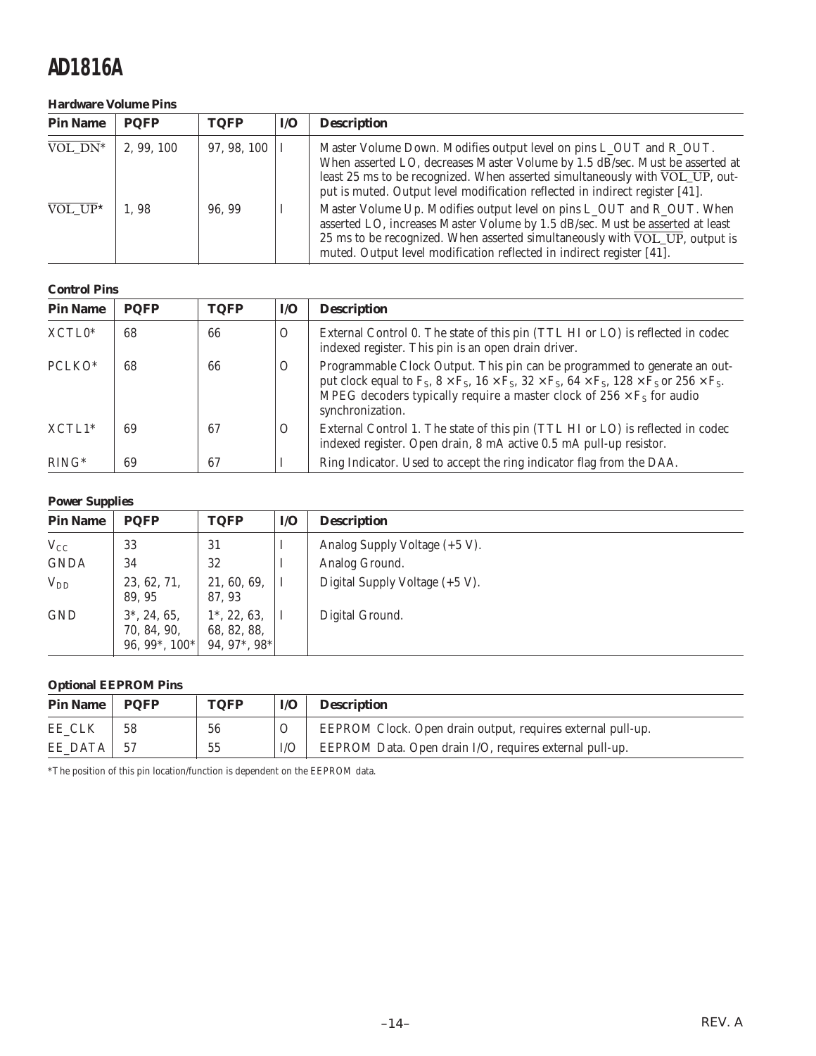### **Hardware Volume Pins**

| <b>Pin Name</b>                    | <b>POFP</b> | <b>TQFP</b> | I/O | <b>Description</b>                                                                                                                                                                                                                                                                                                               |
|------------------------------------|-------------|-------------|-----|----------------------------------------------------------------------------------------------------------------------------------------------------------------------------------------------------------------------------------------------------------------------------------------------------------------------------------|
| $\overline{VOL}$ $\overline{DN}^*$ | 2, 99, 100  | 97, 98, 100 |     | Master Volume Down. Modifies output level on pins L_OUT and R_OUT.<br>When asserted LO, decreases Master Volume by 1.5 dB/sec. Must be asserted at<br>least 25 ms to be recognized. When asserted simultaneously with $\overline{VOL_UP}$ , out-<br>put is muted. Output level modification reflected in indirect register [41]. |
| $\overline{VOL}$ UP*               | 1.98        | 96.99       |     | Master Volume Up. Modifies output level on pins L_OUT and R_OUT. When<br>asserted LO, increases Master Volume by 1.5 dB/sec. Must be asserted at least<br>25 ms to be recognized. When asserted simultaneously with $\overline{VOL}$ UP, output is<br>muted. Output level modification reflected in indirect register [41].      |

### **Control Pins**

| <b>Pin Name</b>         | <b>PQFP</b> | <b>TQFP</b> | I/O      | <b>Description</b>                                                                                                                                                                                                                                                                                                        |
|-------------------------|-------------|-------------|----------|---------------------------------------------------------------------------------------------------------------------------------------------------------------------------------------------------------------------------------------------------------------------------------------------------------------------------|
| $XCTL0*$                | 68          | 66          | $\Omega$ | External Control 0. The state of this pin (TTL HI or LO) is reflected in codec<br>indexed register. This pin is an open drain driver.                                                                                                                                                                                     |
| PCLKO*                  | 68          | 66          | $\Omega$ | Programmable Clock Output. This pin can be programmed to generate an out-<br>put clock equal to $F_S$ , $8 \times F_S$ , $16 \times F_S$ , $32 \times F_S$ , $64 \times F_S$ , $128 \times F_S$ or $256 \times F_S$ .<br>MPEG decoders typically require a master clock of $256 \times F_S$ for audio<br>synchronization. |
| $XCTL1*$                | 69          | 67          | $\Omega$ | External Control 1. The state of this pin (TTL HI or LO) is reflected in codec<br>indexed register. Open drain, 8 mA active 0.5 mA pull-up resistor.                                                                                                                                                                      |
| $\overline{R}$ IN $G^*$ | 69          | 67          |          | Ring Indicator. Used to accept the ring indicator flag from the DAA.                                                                                                                                                                                                                                                      |

### **Power Supplies**

| <b>Pin Name</b> | <b>POFP</b>                                              | <b>TQFP</b>                                    | $IO$ | <b>Description</b>             |
|-----------------|----------------------------------------------------------|------------------------------------------------|------|--------------------------------|
| $V_{CC}$        | 33                                                       | 31                                             |      | Analog Supply Voltage (+5 V).  |
| <b>GNDA</b>     | 34                                                       | 32                                             |      | Analog Ground.                 |
| $V_{DD}$        | 23, 62, 71,<br>89, 95                                    | 21, 60, 69,<br>87, 93                          |      | Digital Supply Voltage (+5 V). |
| <b>GND</b>      | $3^*$ , 24, 65,<br>70, 84, 90,<br>96, 99 $^*$ , 100 $^*$ | $1^*$ , 22, 63,<br>68, 82, 88,<br>94, 97*, 98* |      | Digital Ground.                |

### **Optional EEPROM Pins**

| <b>Pin Name</b> | <b>POFP</b> | <b>TOFP</b> | $\mathbf{I}/\mathbf{O}$ | <b>Description</b>                                          |
|-----------------|-------------|-------------|-------------------------|-------------------------------------------------------------|
| EE CLK          | 58          | 56          |                         | EEPROM Clock. Open drain output, requires external pull-up. |
| EE DATA         | -57         | 55          |                         | EEPROM Data. Open drain I/O, requires external pull-up.     |

\*The position of this pin location/function is dependent on the EEPROM data.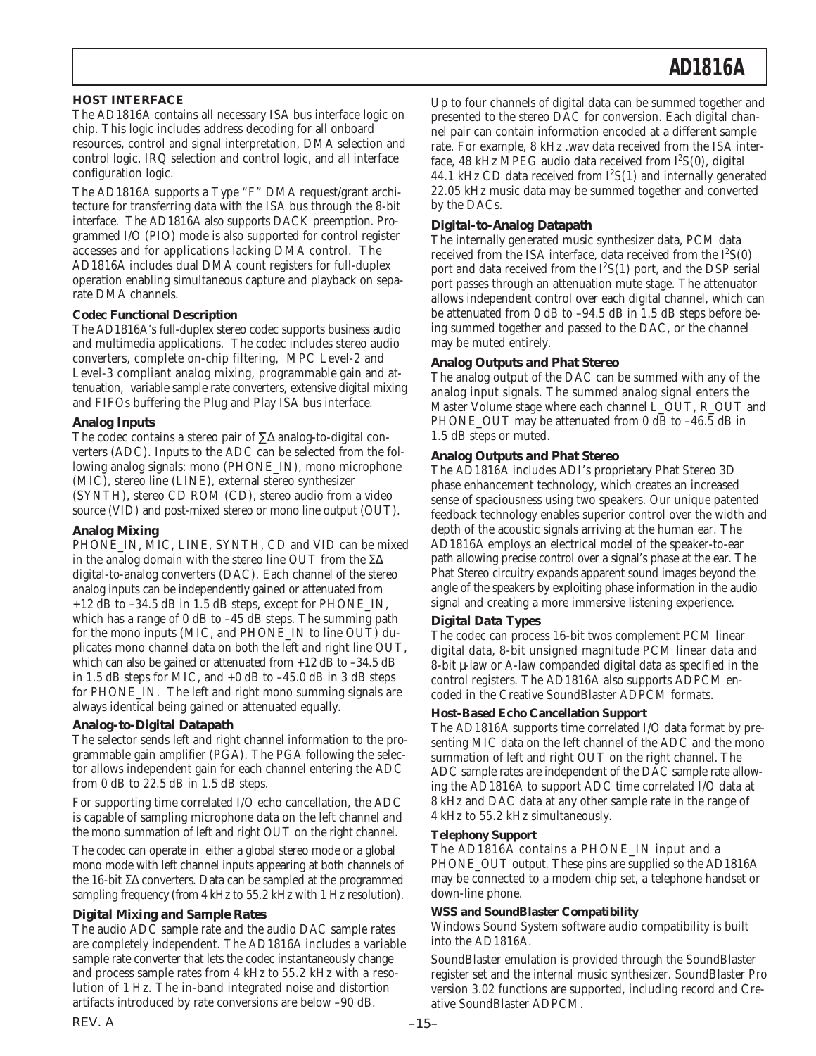### **HOST INTERFACE**

The AD1816A contains all necessary ISA bus interface logic on chip. This logic includes address decoding for all onboard resources, control and signal interpretation, DMA selection and control logic, IRQ selection and control logic, and all interface configuration logic.

The AD1816A supports a Type "F" DMA request/grant architecture for transferring data with the ISA bus through the 8-bit interface. The AD1816A also supports DACK preemption. Programmed I/O (PIO) mode is also supported for control register accesses and for applications lacking DMA control. The AD1816A includes dual DMA count registers for full-duplex operation enabling simultaneous capture and playback on separate DMA channels.

#### **Codec Functional Description**

The AD1816A's full-duplex stereo codec supports business audio and multimedia applications. The codec includes stereo audio converters, complete on-chip filtering, MPC Level-2 and Level-3 compliant analog mixing, programmable gain and attenuation, variable sample rate converters, extensive digital mixing and FIFOs buffering the Plug and Play ISA bus interface.

#### *Analog Inputs*

The codec contains a stereo pair of ∑∆ analog-to-digital converters (ADC). Inputs to the ADC can be selected from the following analog signals: mono (PHONE\_IN), mono microphone (MIC), stereo line (LINE), external stereo synthesizer (SYNTH), stereo CD ROM (CD), stereo audio from a video source (VID) and post-mixed stereo or mono line output (OUT).

#### *Analog Mixing*

PHONE IN, MIC, LINE, SYNTH, CD and VID can be mixed in the analog domain with the stereo line OUT from the Σ∆ digital-to-analog converters (DAC). Each channel of the stereo analog inputs can be independently gained or attenuated from +12 dB to –34.5 dB in 1.5 dB steps, except for PHONE\_IN, which has a range of 0 dB to  $-45$  dB steps. The summing path for the mono inputs (MIC, and PHONE\_IN to line OUT) duplicates mono channel data on both the left and right line OUT, which can also be gained or attenuated from  $+12$  dB to  $-34.5$  dB in 1.5 dB steps for MIC, and  $+0$  dB to  $-45.0$  dB in 3 dB steps for PHONE\_IN. The left and right mono summing signals are always identical being gained or attenuated equally.

#### *Analog-to-Digital Datapath*

The selector sends left and right channel information to the programmable gain amplifier (PGA). The PGA following the selector allows independent gain for each channel entering the ADC from 0 dB to 22.5 dB in 1.5 dB steps.

For supporting time correlated I/O echo cancellation, the ADC is capable of sampling microphone data on the left channel and the mono summation of left and right OUT on the right channel.

The codec can operate in either a global stereo mode or a global mono mode with left channel inputs appearing at both channels of the 16-bit Σ∆ converters. Data can be sampled at the programmed sampling frequency (from 4 kHz to 55.2 kHz with 1 Hz resolution).

#### *Digital Mixing and Sample Rates*

The audio ADC sample rate and the audio DAC sample rates are completely independent. The AD1816A includes a variable sample rate converter that lets the codec instantaneously change and process sample rates from 4 kHz to 55.2 kHz with a resolution of 1 Hz. The in-band integrated noise and distortion artifacts introduced by rate conversions are below –90 dB.

Up to four channels of digital data can be summed together and presented to the stereo DAC for conversion. Each digital channel pair can contain information encoded at a different sample rate. For example, 8 kHz .wav data received from the ISA interface, 48 kHz MPEG audio data received from  $I^2S(0)$ , digital 44.1 kHz CD data received from  $I^2S(1)$  and internally generated 22.05 kHz music data may be summed together and converted by the DACs.

### *Digital-to-Analog Datapath*

The internally generated music synthesizer data, PCM data received from the ISA interface, data received from the  $I^2S(0)$ port and data received from the  $I^2S(1)$  port, and the DSP serial port passes through an attenuation mute stage. The attenuator allows independent control over each digital channel, which can be attenuated from 0 dB to –94.5 dB in 1.5 dB steps before being summed together and passed to the DAC, or the channel may be muted entirely.

#### *Analog Outputs and Phat Stereo*

The analog output of the DAC can be summed with any of the analog input signals. The summed analog signal enters the Master Volume stage where each channel L\_OUT, R\_OUT and PHONE\_OUT may be attenuated from 0 dB to -46.5 dB in 1.5 dB steps or muted.

#### *Analog Outputs and Phat Stereo*

The AD1816A includes ADI's proprietary Phat Stereo 3D phase enhancement technology, which creates an increased sense of spaciousness using two speakers. Our unique patented feedback technology enables superior control over the width and depth of the acoustic signals arriving at the human ear. The AD1816A employs an electrical model of the speaker-to-ear path allowing precise control over a signal's phase at the ear. The Phat Stereo circuitry expands apparent sound images beyond the angle of the speakers by exploiting phase information in the audio signal and creating a more immersive listening experience.

#### *Digital Data Types*

The codec can process 16-bit twos complement PCM linear digital data, 8-bit unsigned magnitude PCM linear data and 8-bit µ-law or A-law companded digital data as specified in the control registers. The AD1816A also supports ADPCM encoded in the Creative SoundBlaster ADPCM formats.

#### **Host-Based Echo Cancellation Support**

The AD1816A supports time correlated I/O data format by presenting MIC data on the left channel of the ADC and the mono summation of left and right OUT on the right channel. The ADC sample rates are independent of the DAC sample rate allowing the AD1816A to support ADC time correlated I/O data at 8 kHz and DAC data at any other sample rate in the range of 4 kHz to 55.2 kHz simultaneously.

#### **Telephony Support**

The AD1816A contains a PHONE\_IN input and a PHONE\_OUT output. These pins are supplied so the AD1816A may be connected to a modem chip set, a telephone handset or down-line phone.

#### **WSS and SoundBlaster Compatibility**

Windows Sound System software audio compatibility is built into the AD1816A.

SoundBlaster emulation is provided through the SoundBlaster register set and the internal music synthesizer. SoundBlaster Pro version 3.02 functions are supported, including record and Creative SoundBlaster ADPCM.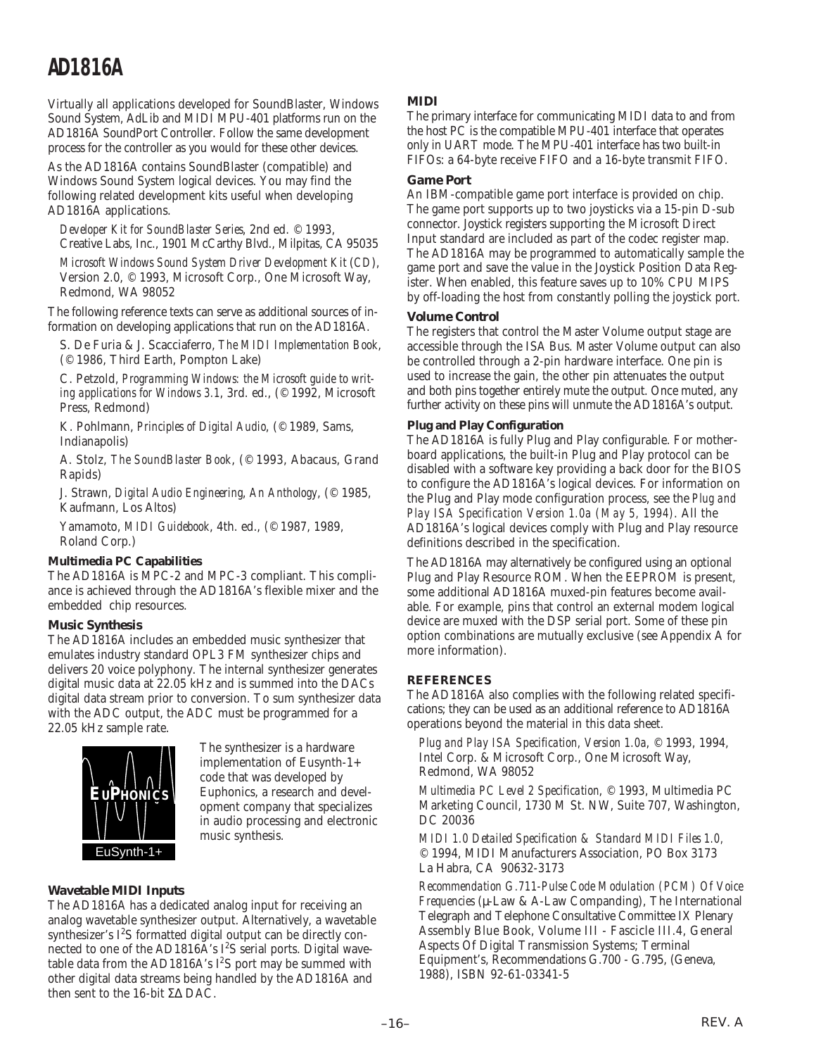Virtually all applications developed for SoundBlaster, Windows Sound System, AdLib and MIDI MPU-401 platforms run on the AD1816A SoundPort Controller. Follow the same development process for the controller as you would for these other devices.

As the AD1816A contains SoundBlaster (compatible) and Windows Sound System logical devices. You may find the following related development kits useful when developing AD1816A applications.

*Developer Kit for SoundBlaster Series*, 2nd ed. © 1993, Creative Labs, Inc., 1901 McCarthy Blvd., Milpitas, CA 95035

*Microsoft Windows Sound System Driver Development Kit* (*CD*), Version 2.0, © 1993, Microsoft Corp., One Microsoft Way, Redmond, WA 98052

The following reference texts can serve as additional sources of information on developing applications that run on the AD1816A.

S. De Furia & J. Scacciaferro, *The MIDI Implementation Book*, (© 1986, Third Earth, Pompton Lake)

C. Petzold, *Programming Windows: the Microsoft guide to writing applications for Windows 3.1*, 3rd. ed., (© 1992, Microsoft Press, Redmond)

K. Pohlmann, *Principles of Digital Audio*, (© 1989, Sams, Indianapolis)

A. Stolz, *The SoundBlaster Book*, (© 1993, Abacaus, Grand Rapids)

J. Strawn, *Digital Audio Engineering*, *An Anthology*, (© 1985, Kaufmann, Los Altos)

Yamamoto, *MIDI Guidebook*, 4th. ed., (© 1987, 1989, Roland Corp.)

### **Multimedia PC Capabilities**

The AD1816A is MPC-2 and MPC-3 compliant. This compliance is achieved through the AD1816A's flexible mixer and the embedded chip resources.

### *Music Synthesis*

The AD1816A includes an embedded music synthesizer that emulates industry standard OPL3 FM synthesizer chips and delivers 20 voice polyphony. The internal synthesizer generates digital music data at 22.05 kHz and is summed into the DACs digital data stream prior to conversion. To sum synthesizer data with the ADC output, the ADC must be programmed for a 22.05 kHz sample rate.



The synthesizer is a hardware implementation of Eusynth-1+ code that was developed by Euphonics, a research and development company that specializes in audio processing and electronic music synthesis.

### *Wavetable MIDI Inputs*

The AD1816A has a dedicated analog input for receiving an analog wavetable synthesizer output. Alternatively, a wavetable synthesizer's  $I^2S$  formatted digital output can be directly connected to one of the AD1816A's I<sup>2</sup>S serial ports. Digital wavetable data from the AD1816A's  $I^2S$  port may be summed with other digital data streams being handled by the AD1816A and then sent to the 16-bit Σ∆ DAC.

### *MIDI*

The primary interface for communicating MIDI data to and from the host PC is the compatible MPU-401 interface that operates only in UART mode. The MPU-401 interface has two built-in FIFOs: a 64-byte receive FIFO and a 16-byte transmit FIFO.

### *Game Port*

An IBM-compatible game port interface is provided on chip. The game port supports up to two joysticks via a 15-pin D-sub connector. Joystick registers supporting the Microsoft Direct Input standard are included as part of the codec register map. The AD1816A may be programmed to automatically sample the game port and save the value in the Joystick Position Data Register. When enabled, this feature saves up to 10% CPU MIPS by off-loading the host from constantly polling the joystick port.

### *Volume Control*

The registers that control the Master Volume output stage are accessible through the ISA Bus. Master Volume output can also be controlled through a 2-pin hardware interface. One pin is used to increase the gain, the other pin attenuates the output and both pins together entirely mute the output. Once muted, any further activity on these pins will unmute the AD1816A's output.

### **Plug and Play Configuration**

The AD1816A is fully Plug and Play configurable. For motherboard applications, the built-in Plug and Play protocol can be disabled with a software key providing a back door for the BIOS to configure the AD1816A's logical devices. For information on the Plug and Play mode configuration process, see the *Plug and Play ISA Specification Version 1.0a (May 5, 1994)*. All the AD1816A's logical devices comply with Plug and Play resource definitions described in the specification.

The AD1816A may alternatively be configured using an optional Plug and Play Resource ROM. When the EEPROM is present, some additional AD1816A muxed-pin features become available. For example, pins that control an external modem logical device are muxed with the DSP serial port. Some of these pin option combinations are mutually exclusive (see Appendix A for more information).

### **REFERENCES**

The AD1816A also complies with the following related specifications; they can be used as an additional reference to AD1816A operations beyond the material in this data sheet.

*Plug and Play ISA Specification, Version 1.0a*, © 1993, 1994, Intel Corp. & Microsoft Corp., One Microsoft Way, Redmond, WA 98052

*Multimedia PC Level 2 Specification*, © 1993, Multimedia PC Marketing Council, 1730 M St. NW, Suite 707, Washington, DC 20036

*MIDI 1.0 Detailed Specification & Standard MIDI Files 1.0,* © 1994, MIDI Manufacturers Association, PO Box 3173 La Habra, CA 90632-3173

*Recommendation G.711-Pulse Code Modulation (PCM) Of Voice Frequencies* (µ-Law & A-Law Companding), The International Telegraph and Telephone Consultative Committee IX Plenary Assembly Blue Book, Volume III - Fascicle III.4, General Aspects Of Digital Transmission Systems; Terminal Equipment's, Recommendations G.700 - G.795, (Geneva, 1988), ISBN 92-61-03341-5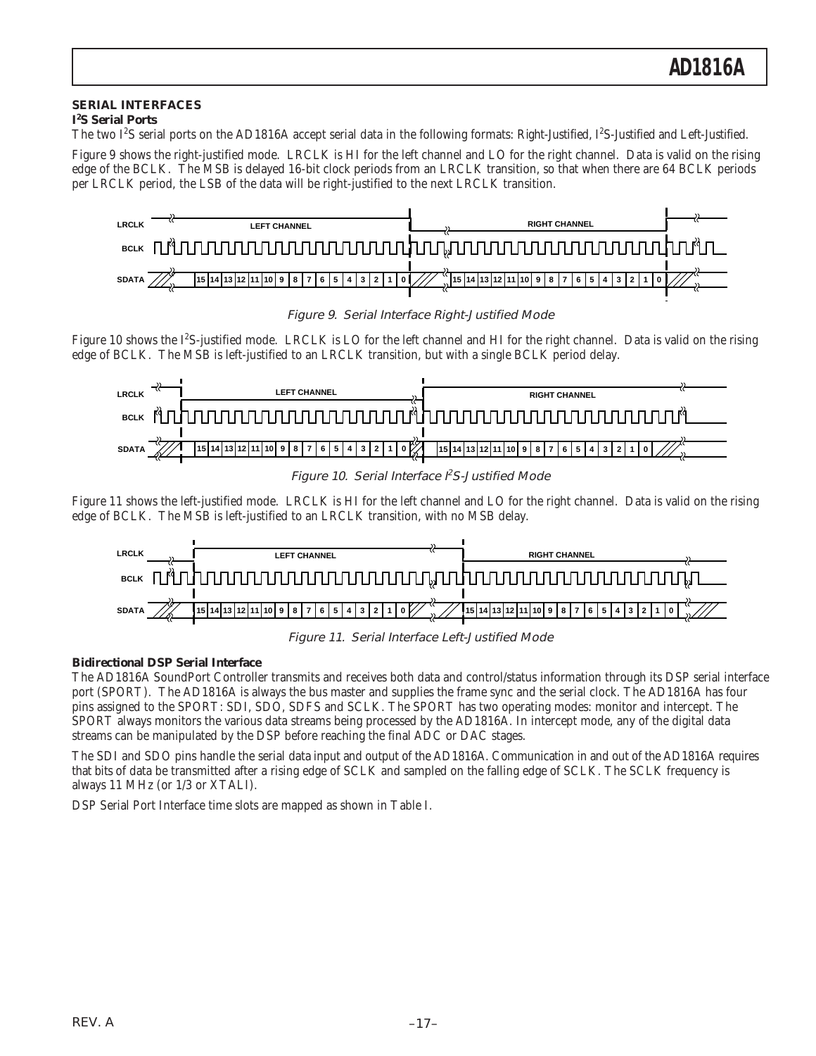### **SERIAL INTERFACES**

### **I2 S Serial Ports**

The two I<sup>2</sup>S serial ports on the AD1816A accept serial data in the following formats: Right-Justified, I<sup>2</sup>S-Justified and Left-Justified.

Figure 9 shows the right-justified mode. LRCLK is HI for the left channel and LO for the right channel. Data is valid on the rising edge of the BCLK. The MSB is delayed 16-bit clock periods from an LRCLK transition, so that when there are 64 BCLK periods per LRCLK period, the LSB of the data will be right-justified to the next LRCLK transition.



Figure 9. Serial Interface Right-Justified Mode

Figure 10 shows the I<sup>2</sup>S-justified mode. LRCLK is LO for the left channel and HI for the right channel. Data is valid on the rising edge of BCLK. The MSB is left-justified to an LRCLK transition, but with a single BCLK period delay.



Figure 10. Serial Interface I<sup>2</sup>S-Justified Mode

Figure 11 shows the left-justified mode. LRCLK is HI for the left channel and LO for the right channel. Data is valid on the rising edge of BCLK. The MSB is left-justified to an LRCLK transition, with no MSB delay.



Figure 11. Serial Interface Left-Justified Mode

### **Bidirectional DSP Serial Interface**

The AD1816A SoundPort Controller transmits and receives both data and control/status information through its DSP serial interface port (SPORT). The AD1816A is always the bus master and supplies the frame sync and the serial clock. The AD1816A has four pins assigned to the SPORT: SDI, SDO, SDFS and SCLK. The SPORT has two operating modes: monitor and intercept. The SPORT always monitors the various data streams being processed by the AD1816A. In intercept mode, any of the digital data streams can be manipulated by the DSP before reaching the final ADC or DAC stages.

The SDI and SDO pins handle the serial data input and output of the AD1816A. Communication in and out of the AD1816A requires that bits of data be transmitted after a rising edge of SCLK and sampled on the falling edge of SCLK. The SCLK frequency is always 11 MHz (or 1/3 or XTALI).

DSP Serial Port Interface time slots are mapped as shown in Table I.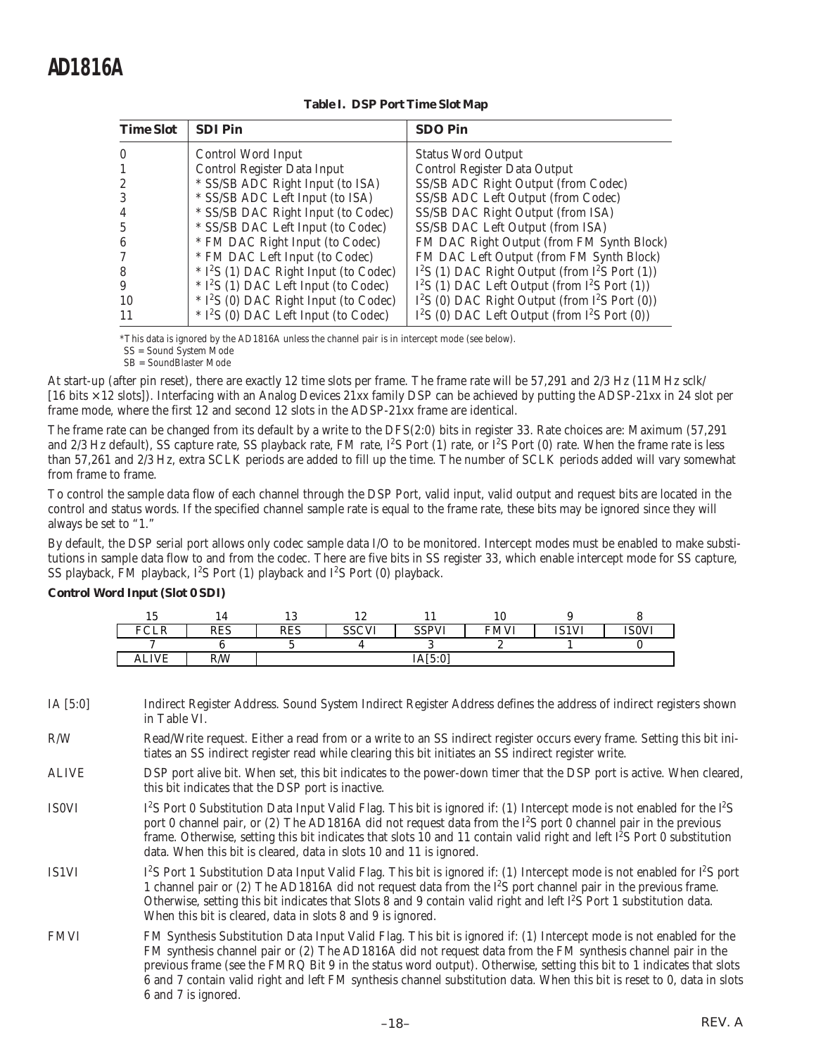| <b>Time Slot</b> | <b>SDI Pin</b>                                     | <b>SDO Pin</b>                                     |
|------------------|----------------------------------------------------|----------------------------------------------------|
| $\theta$         | Control Word Input                                 | <b>Status Word Output</b>                          |
|                  | Control Register Data Input                        | Control Register Data Output                       |
| 2                | * SS/SB ADC Right Input (to ISA)                   | SS/SB ADC Right Output (from Codec)                |
| 3                | * SS/SB ADC Left Input (to ISA)                    | SS/SB ADC Left Output (from Codec)                 |
| 4                | * SS/SB DAC Right Input (to Codec)                 | SS/SB DAC Right Output (from ISA)                  |
| 5                | * SS/SB DAC Left Input (to Codec)                  | SS/SB DAC Left Output (from ISA)                   |
| 6                | * FM DAC Right Input (to Codec)                    | FM DAC Right Output (from FM Synth Block)          |
|                  | * FM DAC Left Input (to Codec)                     | FM DAC Left Output (from FM Synth Block)           |
| 8                | * I <sup>2</sup> S (1) DAC Right Input (to Codec)  | $I^2S$ (1) DAC Right Output (from $I^2S$ Port (1)) |
| 9                | $*$ I <sup>2</sup> S (1) DAC Left Input (to Codec) | $I^2S$ (1) DAC Left Output (from $I^2S$ Port (1))  |
| 10               | * I <sup>2</sup> S (0) DAC Right Input (to Codec)  | $I^2S$ (0) DAC Right Output (from $I^2S$ Port (0)) |
| 11               | $*$ I <sup>2</sup> S (0) DAC Left Input (to Codec) | $I^2S$ (0) DAC Left Output (from $I^2S$ Port (0))  |

### **Table I. DSP Port Time Slot Map**

\*This data is ignored by the AD1816A unless the channel pair is in intercept mode (see below).

SS = Sound System Mode SB = SoundBlaster Mode

At start-up (after pin reset), there are exactly 12 time slots per frame. The frame rate will be 57,291 and 2/3 Hz (11 MHz sclk/ [16 bits × 12 slots]). Interfacing with an Analog Devices 21xx family DSP can be achieved by putting the ADSP-21xx in 24 slot per frame mode, where the first 12 and second 12 slots in the ADSP-21xx frame are identical.

The frame rate can be changed from its default by a write to the DFS(2:0) bits in register 33. Rate choices are: Maximum (57,291 and 2/3 Hz default), SS capture rate, SS playback rate, FM rate,  $I^2S$  Port (1) rate, or  $I^2S$  Port (0) rate. When the frame rate is less than 57,261 and 2/3 Hz, extra SCLK periods are added to fill up the time. The number of SCLK periods added will vary somewhat from frame to frame.

To control the sample data flow of each channel through the DSP Port, valid input, valid output and request bits are located in the control and status words. If the specified channel sample rate is equal to the frame rate, these bits may be ignored since they will always be set to "1."

By default, the DSP serial port allows only codec sample data I/O to be monitored. Intercept modes must be enabled to make substitutions in sample data flow to and from the codec. There are five bits in SS register 33, which enable intercept mode for SS capture, SS playback, FM playback,  $I^2S$  Port (1) playback and  $I^2S$  Port (0) playback.

### **Control Word Input (Slot 0 SDI)**

| ιJ                                           |            | $\Omega$<br>⊥∪ | ⊥∼           |                   | ΙV          |              |              |
|----------------------------------------------|------------|----------------|--------------|-------------------|-------------|--------------|--------------|
| $\overline{u}$ $\cap$ $\overline{v}$<br>'ULN | <b>RES</b> | <b>RES</b>     | <b>SSCVI</b> | <b>SSPVI</b><br>л | <b>FMVI</b> | <b>IS1VI</b> | <b>ISOVI</b> |
|                                              |            |                |              |                   |             |              |              |
| <b>ALIVE</b>                                 | R/W        |                |              | IA[5:0]           |             |              |              |

IA [5:0] Indirect Register Address. Sound System Indirect Register Address defines the address of indirect registers shown in Table VI.

R/W Read/Write request. Either a read from or a write to an SS indirect register occurs every frame. Setting this bit initiates an SS indirect register read while clearing this bit initiates an SS indirect register write.

- ALIVE DSP port alive bit. When set, this bit indicates to the power-down timer that the DSP port is active. When cleared, this bit indicates that the DSP port is inactive.
- **IS0VI** S Port 0 Substitution Data Input Valid Flag. This bit is ignored if: (1) Intercept mode is not enabled for the I<sup>2</sup>S port 0 channel pair, or (2) The AD1816A did not request data from the I<sup>2</sup>S port 0 channel pair in the previous frame. Otherwise, setting this bit indicates that slots 10 and 11 contain valid right and left  $\hat{I}^2$ S Port 0 substitution data. When this bit is cleared, data in slots 10 and 11 is ignored.
- IS1VI S Port 1 Substitution Data Input Valid Flag. This bit is ignored if: (1) Intercept mode is not enabled for  $l^2S$  port 1 channel pair or (2) The AD1816A did not request data from the I2 S port channel pair in the previous frame. Otherwise, setting this bit indicates that Slots 8 and 9 contain valid right and left I2S Port 1 substitution data. When this bit is cleared, data in slots 8 and 9 is ignored.
- FMVI FM Synthesis Substitution Data Input Valid Flag. This bit is ignored if: (1) Intercept mode is not enabled for the FM synthesis channel pair or (2) The AD1816A did not request data from the FM synthesis channel pair in the previous frame (see the FMRQ Bit 9 in the status word output). Otherwise, setting this bit to 1 indicates that slots 6 and 7 contain valid right and left FM synthesis channel substitution data. When this bit is reset to 0, data in slots 6 and 7 is ignored.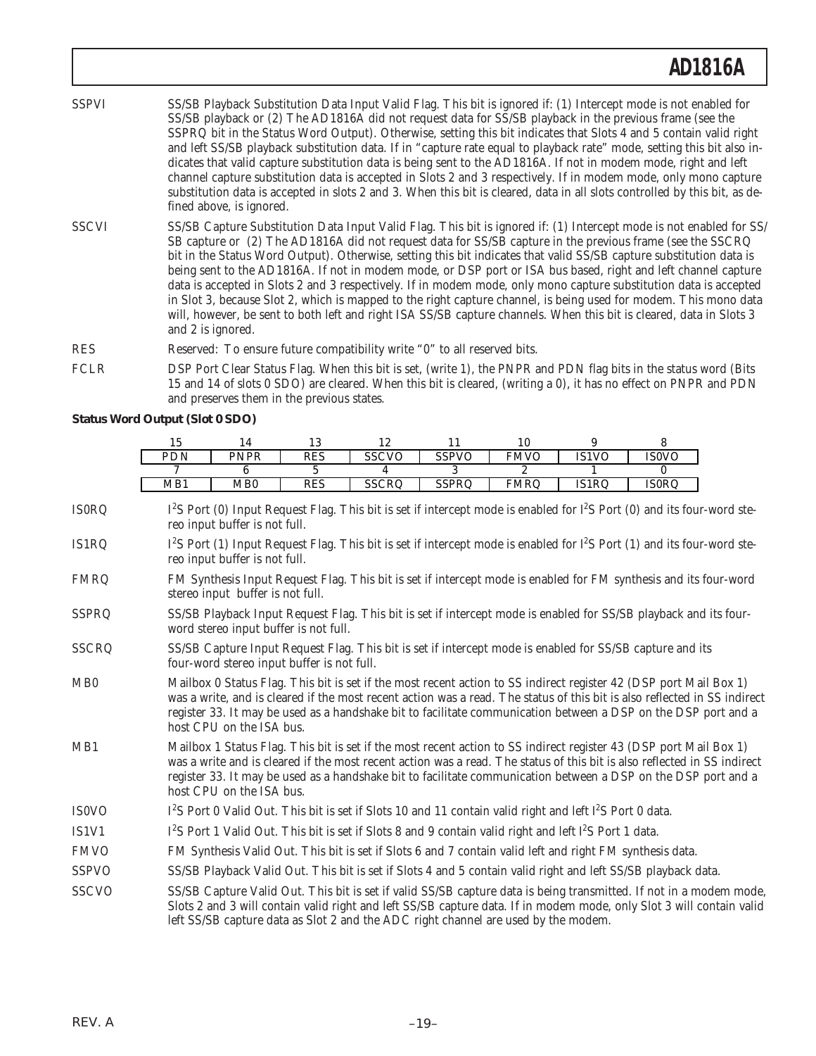- SSPVI SS/SB Playback Substitution Data Input Valid Flag. This bit is ignored if: (1) Intercept mode is not enabled for SS/SB playback or (2) The AD1816A did not request data for SS/SB playback in the previous frame (see the SSPRQ bit in the Status Word Output). Otherwise, setting this bit indicates that Slots 4 and 5 contain valid right and left SS/SB playback substitution data. If in "capture rate equal to playback rate" mode, setting this bit also indicates that valid capture substitution data is being sent to the AD1816A. If not in modem mode, right and left channel capture substitution data is accepted in Slots 2 and 3 respectively. If in modem mode, only mono capture substitution data is accepted in slots 2 and 3. When this bit is cleared, data in all slots controlled by this bit, as defined above, is ignored.
- SSCVI SS/SB Capture Substitution Data Input Valid Flag. This bit is ignored if: (1) Intercept mode is not enabled for SS/ SB capture or (2) The AD1816A did not request data for SS/SB capture in the previous frame (see the SSCRQ bit in the Status Word Output). Otherwise, setting this bit indicates that valid SS/SB capture substitution data is being sent to the AD1816A. If not in modem mode, or DSP port or ISA bus based, right and left channel capture data is accepted in Slots 2 and 3 respectively. If in modem mode, only mono capture substitution data is accepted in Slot 3, because Slot 2, which is mapped to the right capture channel, is being used for modem. This mono data will, however, be sent to both left and right ISA SS/SB capture channels. When this bit is cleared, data in Slots 3 and 2 is ignored.
- RES Reserved: To ensure future compatibility write "0" to all reserved bits.
- FCLR DSP Port Clear Status Flag. When this bit is set, (write 1), the PNPR and PDN flag bits in the status word (Bits 15 and 14 of slots 0 SDO) are cleared. When this bit is cleared, (writing a 0), it has no effect on PNPR and PDN and preserves them in the previous states.

**Status Word Output (Slot 0 SDO)**

| ιυ  |             |     |              |              | 10          |              |              |
|-----|-------------|-----|--------------|--------------|-------------|--------------|--------------|
| PDN | <b>PNPR</b> | RES | <b>SSCVO</b> | <b>SSPVO</b> | <b>FMVO</b> | <b>IS1VO</b> | <b>ISOVO</b> |
|     |             |     |              |              |             |              |              |
|     |             |     |              |              |             |              |              |

IS0RQ S Port (0) Input Request Flag. This bit is set if intercept mode is enabled for  $I^2S$  Port (0) and its four-word stereo input buffer is not full.

- $IS1RQ$ S Port (1) Input Request Flag. This bit is set if intercept mode is enabled for  $1^2S$  Port (1) and its four-word stereo input buffer is not full.
- FMRQ FM Synthesis Input Request Flag. This bit is set if intercept mode is enabled for FM synthesis and its four-word stereo input buffer is not full.
- SSPRQ SS/SB Playback Input Request Flag. This bit is set if intercept mode is enabled for SS/SB playback and its fourword stereo input buffer is not full.
- SSCRQ SS/SB Capture Input Request Flag. This bit is set if intercept mode is enabled for SS/SB capture and its four-word stereo input buffer is not full.
- MB0 Mailbox 0 Status Flag. This bit is set if the most recent action to SS indirect register 42 (DSP port Mail Box 1) was a write, and is cleared if the most recent action was a read. The status of this bit is also reflected in SS indirect register 33. It may be used as a handshake bit to facilitate communication between a DSP on the DSP port and a host CPU on the ISA bus.
- MB1 Mailbox 1 Status Flag. This bit is set if the most recent action to SS indirect register 43 (DSP port Mail Box 1) was a write and is cleared if the most recent action was a read. The status of this bit is also reflected in SS indirect register 33. It may be used as a handshake bit to facilitate communication between a DSP on the DSP port and a host CPU on the ISA bus.
- IS<sub>0</sub>VO S Port 0 Valid Out. This bit is set if Slots 10 and 11 contain valid right and left  $I^2S$  Port 0 data.
- $IS1V1$ S Port 1 Valid Out. This bit is set if Slots 8 and 9 contain valid right and left I<sup>2</sup>S Port 1 data.
- FMVO FM Synthesis Valid Out. This bit is set if Slots 6 and 7 contain valid left and right FM synthesis data.
- SSPVO SS/SB Playback Valid Out. This bit is set if Slots 4 and 5 contain valid right and left SS/SB playback data.

SSCVO SS/SB Capture Valid Out. This bit is set if valid SS/SB capture data is being transmitted. If not in a modem mode, Slots 2 and 3 will contain valid right and left SS/SB capture data. If in modem mode, only Slot 3 will contain valid left SS/SB capture data as Slot 2 and the ADC right channel are used by the modem.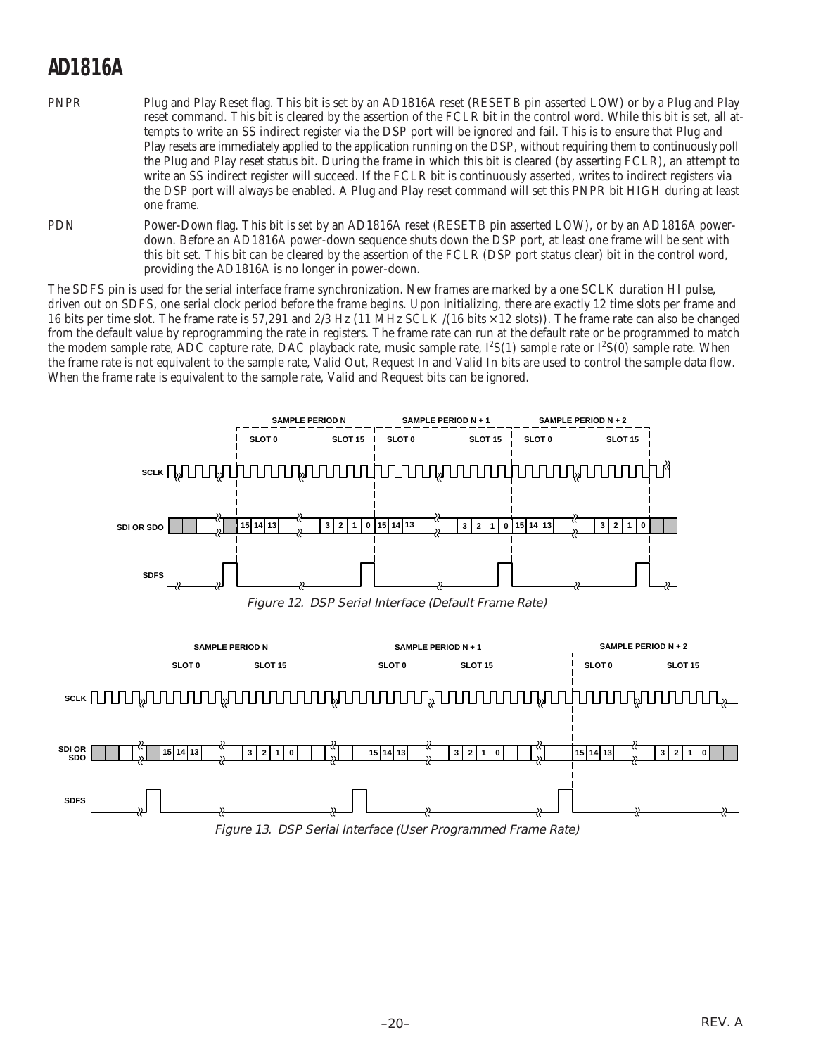- PNPR Plug and Play Reset flag. This bit is set by an AD1816A reset (RESETB pin asserted LOW) or by a Plug and Play reset command. This bit is cleared by the assertion of the FCLR bit in the control word. While this bit is set, all attempts to write an SS indirect register via the DSP port will be ignored and fail. This is to ensure that Plug and Play resets are immediately applied to the application running on the DSP, without requiring them to continuously poll the Plug and Play reset status bit. During the frame in which this bit is cleared (by asserting FCLR), an attempt to write an SS indirect register will succeed. If the FCLR bit is continuously asserted, writes to indirect registers via the DSP port will always be enabled. A Plug and Play reset command will set this PNPR bit HIGH during at least one frame.
- PDN Power-Down flag. This bit is set by an AD1816A reset (RESETB pin asserted LOW), or by an AD1816A powerdown. Before an AD1816A power-down sequence shuts down the DSP port, at least one frame will be sent with this bit set. This bit can be cleared by the assertion of the FCLR (DSP port status clear) bit in the control word, providing the AD1816A is no longer in power-down.

The SDFS pin is used for the serial interface frame synchronization. New frames are marked by a one SCLK duration HI pulse, driven out on SDFS, one serial clock period before the frame begins. Upon initializing, there are exactly 12 time slots per frame and 16 bits per time slot. The frame rate is 57,291 and 2/3 Hz (11 MHz SCLK /(16 bits × 12 slots)). The frame rate can also be changed from the default value by reprogramming the rate in registers. The frame rate can run at the default rate or be programmed to match the modem sample rate, ADC capture rate, DAC playback rate, music sample rate, I<sup>2</sup>S(1) sample rate or I<sup>2</sup>S(0) sample rate. When the frame rate is not equivalent to the sample rate, Valid Out, Request In and Valid In bits are used to control the sample data flow. When the frame rate is equivalent to the sample rate, Valid and Request bits can be ignored.



Figure 12. DSP Serial Interface (Default Frame Rate)



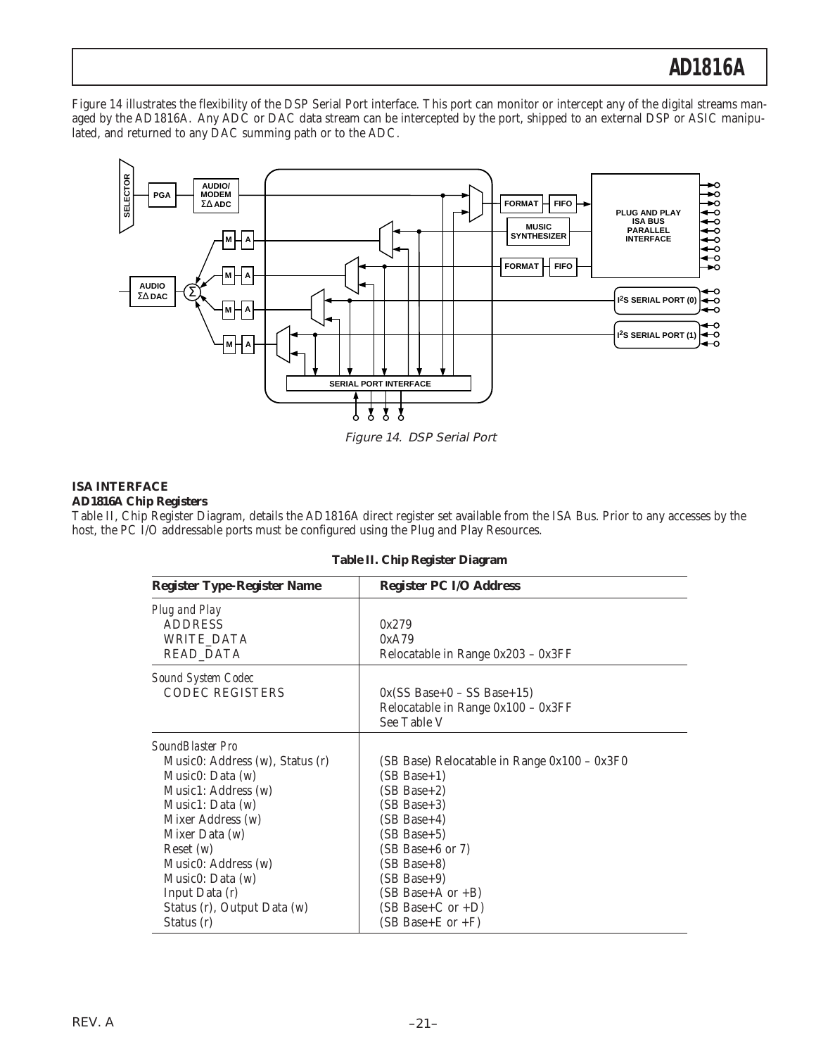Figure 14 illustrates the flexibility of the DSP Serial Port interface. This port can monitor or intercept any of the digital streams managed by the AD1816A. Any ADC or DAC data stream can be intercepted by the port, shipped to an external DSP or ASIC manipulated, and returned to any DAC summing path or to the ADC.



Figure 14. DSP Serial Port

### **ISA INTERFACE**

### **AD1816A Chip Registers**

Table II, Chip Register Diagram, details the AD1816A direct register set available from the ISA Bus. Prior to any accesses by the host, the PC I/O addressable ports must be configured using the Plug and Play Resources.

| <b>Register Type-Register Name</b>                                                                                                            | <b>Register PC I/O Address</b>                                                                                                     |  |  |  |  |
|-----------------------------------------------------------------------------------------------------------------------------------------------|------------------------------------------------------------------------------------------------------------------------------------|--|--|--|--|
| Plug and Play<br><b>ADDRESS</b><br><b>WRITE DATA</b><br>READ_DATA                                                                             | 0x279<br>0xA79<br>Relocatable in Range 0x203 - 0x3FF                                                                               |  |  |  |  |
| <b>Sound System Codec</b><br><b>CODEC REGISTERS</b>                                                                                           | $0x$ (SS Base+0 – SS Base+15)<br>Relocatable in Range 0x100 - 0x3FF<br>See Table V                                                 |  |  |  |  |
| SoundBlaster Pro<br>Music0: Address (w), Status (r)<br>Music $0:$ Data $(w)$<br>Music1: Address (w)<br>Music1: Data $(w)$                     | (SB Base) Relocatable in Range 0x100 - 0x3F0<br>$(SB Base+1)$<br>$(SB Base+2)$<br>$(SB Base+3)$                                    |  |  |  |  |
| Mixer Address (w)<br>Mixer Data (w)<br>Reset(w)<br>Music0: Address (w)<br>Music $0: Data(w)$<br>Input Data (r)<br>Status (r), Output Data (w) | $(SB Base+4)$<br>$(SB Base+5)$<br>$(SB Base+6$ or 7)<br>$(SB Base+8)$<br>$(SB Base+9)$<br>$(SB Base+A or +B)$<br>(SB Base+C or +D) |  |  |  |  |
| Status (r)                                                                                                                                    | $(SB Base + E or + F)$                                                                                                             |  |  |  |  |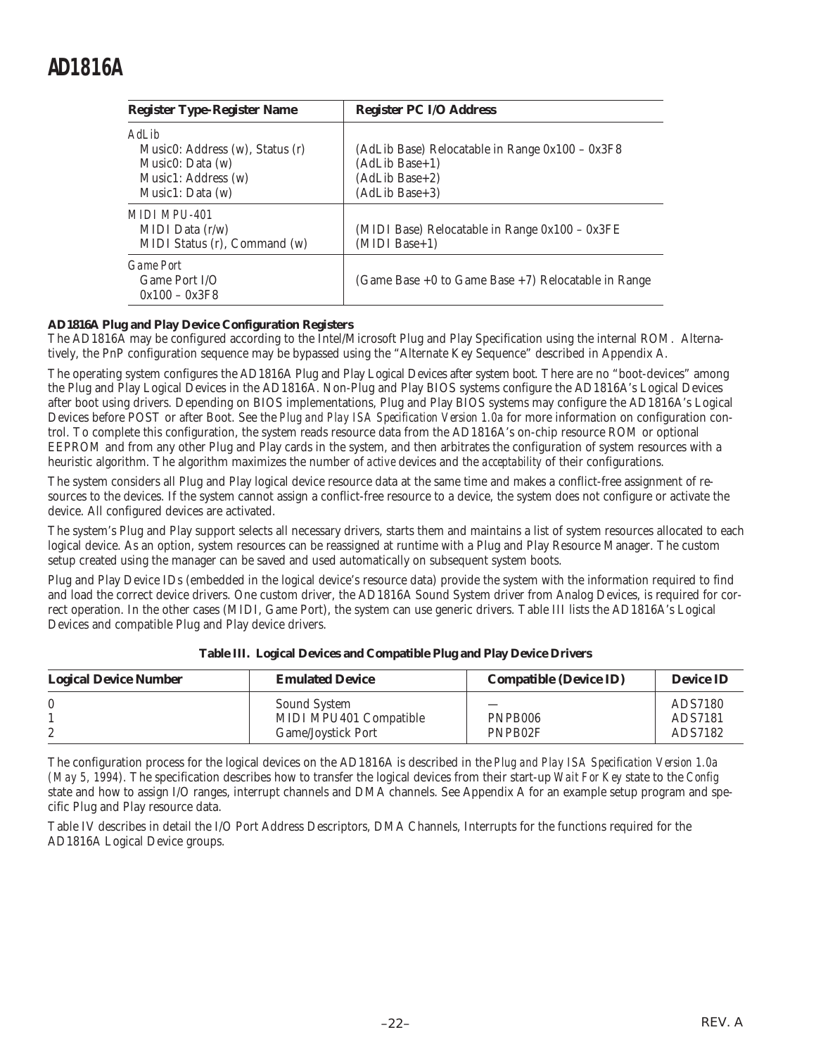| <b>Register Type-Register Name</b>                                                    | <b>Register PC I/O Address</b>                                                            |  |  |  |
|---------------------------------------------------------------------------------------|-------------------------------------------------------------------------------------------|--|--|--|
| AdLib<br>Music0: Address (w), Status (r)<br>Music $0: Data(w)$<br>Music1: Address (w) | (AdLib Base) Relocatable in Range $0x100 - 0x3F8$<br>$(AdLib Base+1)$<br>$(AdLib Base+2)$ |  |  |  |
| Music1: Data $(w)$                                                                    | (AdLib Base+3)                                                                            |  |  |  |
| MIDI MPIJ-401<br>MIDI Data $(r/w)$<br>MIDI Status (r), Command (w)                    | (MIDI Base) Relocatable in Range 0x100 - 0x3FE<br>$(MIDI Base+1)$                         |  |  |  |
| <b>Game Port</b><br>Game Port $I/O$<br>$0x100 - 0x3F8$                                | (Game Base $+0$ to Game Base $+7$ ) Relocatable in Range                                  |  |  |  |

### **AD1816A Plug and Play Device Configuration Registers**

The AD1816A may be configured according to the Intel/Microsoft Plug and Play Specification using the internal ROM. Alternatively, the PnP configuration sequence may be bypassed using the "Alternate Key Sequence" described in Appendix A.

The operating system configures the AD1816A Plug and Play Logical Devices after system boot. There are no "boot-devices" among the Plug and Play Logical Devices in the AD1816A. Non-Plug and Play BIOS systems configure the AD1816A's Logical Devices after boot using drivers. Depending on BIOS implementations, Plug and Play BIOS systems may configure the AD1816A's Logical Devices before POST or after Boot. See the *Plug and Play ISA Specification Version 1.0a* for more information on configuration control. To complete this configuration, the system reads resource data from the AD1816A's on-chip resource ROM or optional EEPROM and from any other Plug and Play cards in the system, and then arbitrates the configuration of system resources with a heuristic algorithm. The algorithm maximizes the number of *active* devices and the *acceptability* of their configurations.

The system considers all Plug and Play logical device resource data at the same time and makes a conflict-free assignment of resources to the devices. If the system cannot assign a conflict-free resource to a device, the system does not configure or activate the device. All configured devices are activated.

The system's Plug and Play support selects all necessary drivers, starts them and maintains a list of system resources allocated to each logical device. As an option, system resources can be reassigned at runtime with a Plug and Play Resource Manager. The custom setup created using the manager can be saved and used automatically on subsequent system boots.

Plug and Play Device IDs (embedded in the logical device's resource data) provide the system with the information required to find and load the correct device drivers. One custom driver, the AD1816A Sound System driver from Analog Devices, is required for correct operation. In the other cases (MIDI, Game Port), the system can use generic drivers. Table III lists the AD1816A's Logical Devices and compatible Plug and Play device drivers.

| <b>Logical Device Number</b> | <b>Emulated Device</b>                                              | <b>Compatible (Device ID)</b> | <b>Device ID</b>              |
|------------------------------|---------------------------------------------------------------------|-------------------------------|-------------------------------|
|                              | Sound System<br>MIDI MPU401 Compatible<br><b>Game/Joystick Port</b> | PNPB006<br>PNPB02F            | ADS7180<br>ADS7181<br>ADS7182 |

#### **Table III. Logical Devices and Compatible Plug and Play Device Drivers**

The configuration process for the logical devices on the AD1816A is described in the *Plug and Play ISA Specification Version 1.0a (May 5, 1994*). The specification describes how to transfer the logical devices from their start-up *Wait For Key* state to the *Config* state and how to assign I/O ranges, interrupt channels and DMA channels. See Appendix A for an example setup program and specific Plug and Play resource data.

Table IV describes in detail the I/O Port Address Descriptors, DMA Channels, Interrupts for the functions required for the AD1816A Logical Device groups.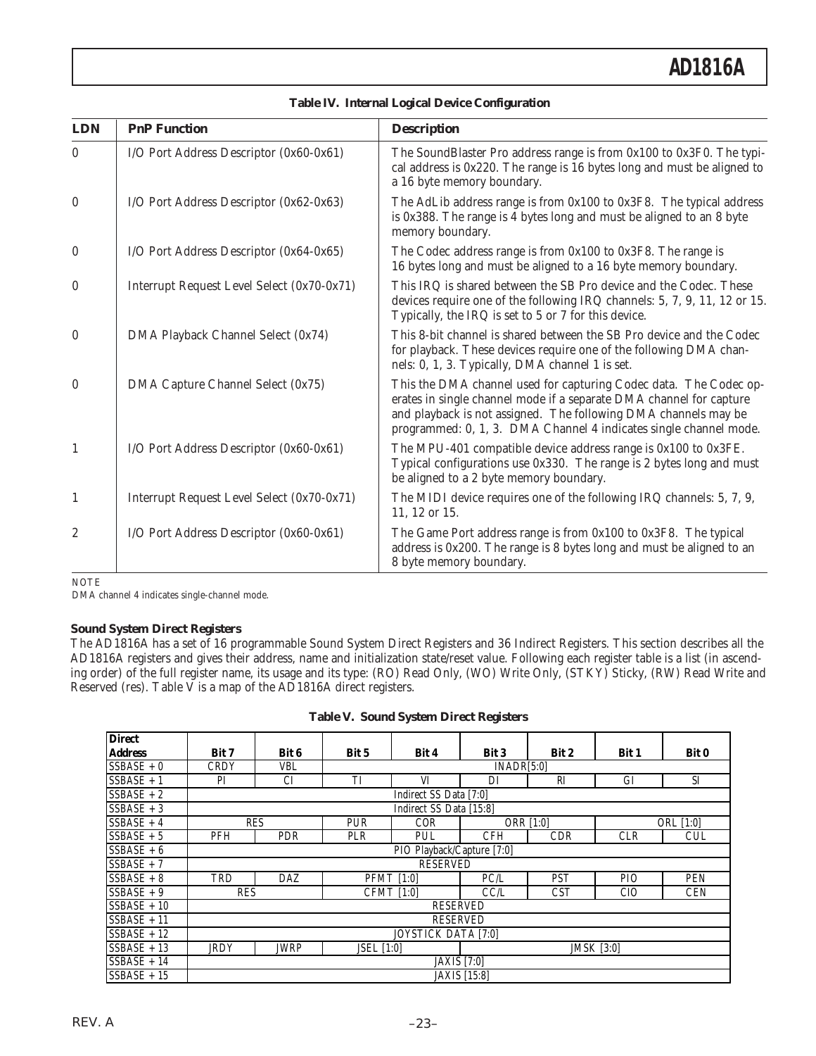| <b>LDN</b>       | <b>PnP Function</b>                        | <b>Description</b>                                                                                                                                                                                                                                                               |
|------------------|--------------------------------------------|----------------------------------------------------------------------------------------------------------------------------------------------------------------------------------------------------------------------------------------------------------------------------------|
| $\theta$         | I/O Port Address Descriptor (0x60-0x61)    | The SoundBlaster Pro address range is from 0x100 to 0x3F0. The typi-<br>cal address is 0x220. The range is 16 bytes long and must be aligned to<br>a 16 byte memory boundary.                                                                                                    |
| $\bf{0}$         | I/O Port Address Descriptor (0x62-0x63)    | The AdLib address range is from 0x100 to 0x3F8. The typical address<br>is 0x388. The range is 4 bytes long and must be aligned to an 8 byte<br>memory boundary.                                                                                                                  |
| $\bf{0}$         | I/O Port Address Descriptor (0x64-0x65)    | The Codec address range is from 0x100 to 0x3F8. The range is<br>16 bytes long and must be aligned to a 16 byte memory boundary.                                                                                                                                                  |
| $\boldsymbol{0}$ | Interrupt Request Level Select (0x70-0x71) | This IRQ is shared between the SB Pro device and the Codec. These<br>devices require one of the following IRQ channels: 5, 7, 9, 11, 12 or 15.<br>Typically, the IRQ is set to 5 or 7 for this device.                                                                           |
| $\boldsymbol{0}$ | DMA Playback Channel Select (0x74)         | This 8-bit channel is shared between the SB Pro device and the Codec<br>for playback. These devices require one of the following DMA chan-<br>nels: 0, 1, 3. Typically, DMA channel 1 is set.                                                                                    |
| $\boldsymbol{0}$ | DMA Capture Channel Select (0x75)          | This the DMA channel used for capturing Codec data. The Codec op-<br>erates in single channel mode if a separate DMA channel for capture<br>and playback is not assigned. The following DMA channels may be<br>programmed: 0, 1, 3. DMA Channel 4 indicates single channel mode. |
| $\mathbf{1}$     | I/O Port Address Descriptor (0x60-0x61)    | The MPU-401 compatible device address range is 0x100 to 0x3FE.<br>Typical configurations use 0x330. The range is 2 bytes long and must<br>be aligned to a 2 byte memory boundary.                                                                                                |
| $\mathbf{1}$     | Interrupt Request Level Select (0x70-0x71) | The MIDI device requires one of the following IRQ channels: 5, 7, 9,<br>11, 12 or 15.                                                                                                                                                                                            |
| $\boldsymbol{2}$ | I/O Port Address Descriptor (0x60-0x61)    | The Game Port address range is from 0x100 to 0x3F8. The typical<br>address is 0x200. The range is 8 bytes long and must be aligned to an<br>8 byte memory boundary.                                                                                                              |

| <b>Table IV. Internal Logical Device Configuration</b> |  |  |  |
|--------------------------------------------------------|--|--|--|
|                                                        |  |  |  |

**NOTE** 

DMA channel 4 indicates single-channel mode.

### **Sound System Direct Registers**

The AD1816A has a set of 16 programmable Sound System Direct Registers and 36 Indirect Registers. This section describes all the AD1816A registers and gives their address, name and initialization state/reset value. Following each register table is a list (in ascending order) of the full register name, its usage and its type: (RO) Read Only, (WO) Write Only, (STKY) Sticky, (RW) Read Write and Reserved (res). Table V is a map of the AD1816A direct registers.

| <b>Direct</b>  |                            |                                                       |       |                            |                     |            |            |            |  |
|----------------|----------------------------|-------------------------------------------------------|-------|----------------------------|---------------------|------------|------------|------------|--|
| <b>Address</b> | Bit 7                      | Bit 6                                                 | Bit 5 | Bit 4                      | Bit 3               | Bit 2      | Bit 1      | Bit 0      |  |
| $SSBASE + 0$   | <b>CRDY</b>                | <b>VBL</b>                                            |       |                            | INADR[5:0]          |            |            |            |  |
| $SSBASE + 1$   | PI                         | <b>CI</b>                                             | TI    | VI                         | DI                  | RI         | <b>GI</b>  | <b>SI</b>  |  |
| $SSBASE + 2$   |                            |                                                       |       | Indirect SS Data [7:0]     |                     |            |            |            |  |
| $SSBASE + 3$   |                            |                                                       |       | Indirect SS Data [15:8]    |                     |            |            |            |  |
| $SSBASE + 4$   | <b>RES</b>                 |                                                       | PUR   | <b>COR</b>                 |                     | ORR [1:0]  | ORL [1:0]  |            |  |
| $SSBASE + 5$   | PFH                        | PDR                                                   | PLR   | <b>PUL</b>                 | <b>CFH</b>          | <b>CDR</b> | <b>CLR</b> | <b>CUL</b> |  |
| $SSBASE + 6$   |                            |                                                       |       | PIO Playback/Capture [7:0] |                     |            |            |            |  |
| $SSBASE + 7$   |                            |                                                       |       | <b>RESERVED</b>            |                     |            |            |            |  |
| $SSBASE + 8$   | TRD                        | <b>DAZ</b>                                            |       | <b>PFMT</b> [1:0]          | PC/L                | <b>PST</b> | <b>PIO</b> | <b>PEN</b> |  |
| $SSBASE + 9$   | <b>RES</b>                 |                                                       |       | <b>CFMT</b> [1:0]          | CCL                 | <b>CST</b> | <b>CIO</b> | <b>CEN</b> |  |
| $SSBASE + 10$  |                            |                                                       |       | <b>RESERVED</b>            |                     |            |            |            |  |
| $SSBASE + 11$  | <b>RESERVED</b>            |                                                       |       |                            |                     |            |            |            |  |
| $SSBASE + 12$  | <b>JOYSTICK DATA [7:0]</b> |                                                       |       |                            |                     |            |            |            |  |
| $SSBASE + 13$  | <b>JRDY</b>                | <b>JWRP</b><br><b>JMSK</b> [3:0]<br><b>JSEL</b> [1:0] |       |                            |                     |            |            |            |  |
| $SSBASE + 14$  |                            |                                                       |       | <b>JAXIS</b> [7:0]         |                     |            |            |            |  |
| $SSBASE + 15$  |                            |                                                       |       |                            | <b>JAXIS</b> [15:8] |            |            |            |  |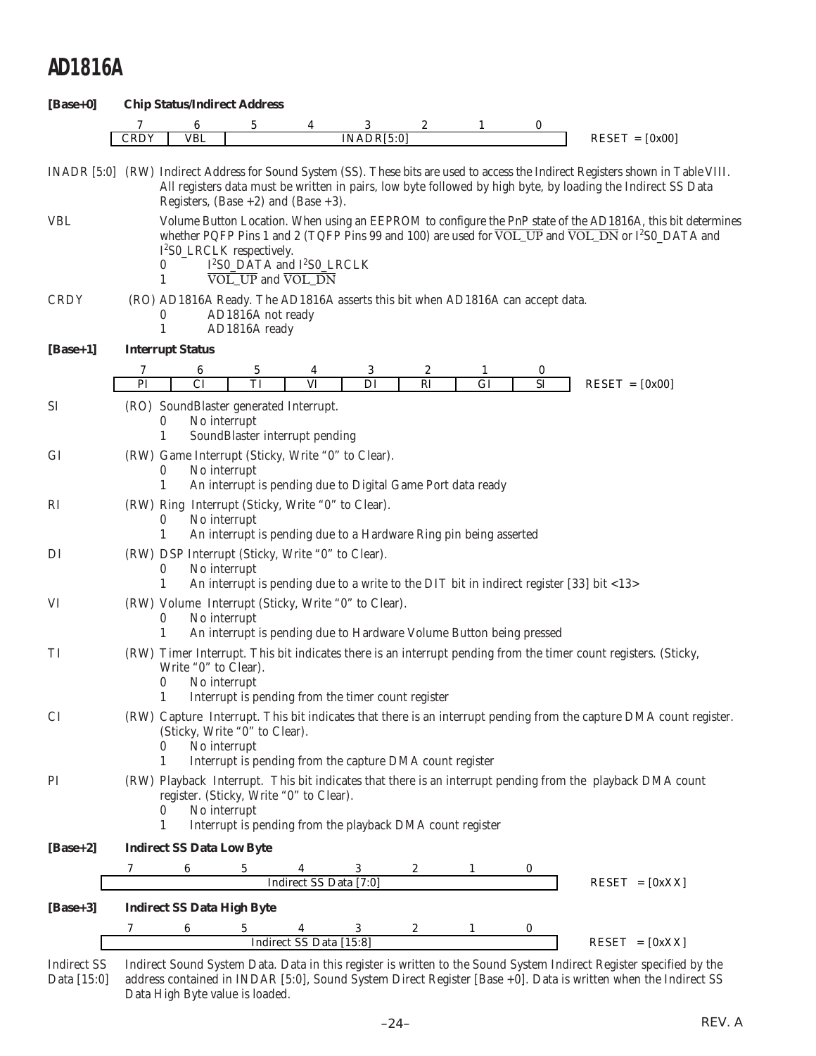| $[Base+0]$    |                                                                                                                                                                                                                                                                                                                                                              | <b>Chip Status/Indirect Address</b>   |                                                                                                                                            |                        |            |                  |              |          |                                                                                                                                 |  |
|---------------|--------------------------------------------------------------------------------------------------------------------------------------------------------------------------------------------------------------------------------------------------------------------------------------------------------------------------------------------------------------|---------------------------------------|--------------------------------------------------------------------------------------------------------------------------------------------|------------------------|------------|------------------|--------------|----------|---------------------------------------------------------------------------------------------------------------------------------|--|
|               | 7                                                                                                                                                                                                                                                                                                                                                            | 6                                     | 5                                                                                                                                          | 4                      | 3          | 2                | 1            | 0        |                                                                                                                                 |  |
|               | <b>CRDY</b>                                                                                                                                                                                                                                                                                                                                                  | <b>VBL</b>                            |                                                                                                                                            |                        | INADR[5:0] |                  |              |          | $REST = [0x00]$                                                                                                                 |  |
|               | INADR [5:0] (RW) Indirect Address for Sound System (SS). These bits are used to access the Indirect Registers shown in Table VIII.<br>All registers data must be written in pairs, low byte followed by high byte, by loading the Indirect SS Data<br>Registers, $(Base +2)$ and $(Base +3)$ .                                                               |                                       |                                                                                                                                            |                        |            |                  |              |          |                                                                                                                                 |  |
| <b>VBL</b>    | Volume Button Location. When using an EEPROM to configure the PnP state of the AD1816A, this bit determines<br>whether PQFP Pins 1 and 2 (TQFP Pins 99 and 100) are used for VOL_UP and VOL_DN or I <sup>2</sup> S0_DATA and<br>I <sup>2</sup> S0_LRCLK respectively.<br>I <sup>2</sup> S0_DATA and I <sup>2</sup> S0_LRCLK<br>$\theta$<br>VOL_UP and VOL_DN |                                       |                                                                                                                                            |                        |            |                  |              |          |                                                                                                                                 |  |
| <b>CRDY</b>   |                                                                                                                                                                                                                                                                                                                                                              | $\bf{0}$<br>1                         | (RO) AD1816A Ready. The AD1816A asserts this bit when AD1816A can accept data.<br>AD1816A not ready<br>AD1816A ready                       |                        |            |                  |              |          |                                                                                                                                 |  |
| $[Base+1]$    |                                                                                                                                                                                                                                                                                                                                                              | <b>Interrupt Status</b>               |                                                                                                                                            |                        |            |                  |              |          |                                                                                                                                 |  |
|               | 7                                                                                                                                                                                                                                                                                                                                                            | 6                                     | 5                                                                                                                                          | 4                      | 3          | $\boldsymbol{2}$ | $\mathbf{1}$ | 0        |                                                                                                                                 |  |
|               | PI                                                                                                                                                                                                                                                                                                                                                           | $\overline{\text{CI}}$                | $\overline{\text{T}}$                                                                                                                      | VI                     | DI         | $R_{I}$          | GI           | $\rm SI$ | $REST = [0x00]$                                                                                                                 |  |
| <b>SI</b>     |                                                                                                                                                                                                                                                                                                                                                              | $\bf{0}$<br>1                         | (RO) SoundBlaster generated Interrupt.<br>No interrupt<br>SoundBlaster interrupt pending                                                   |                        |            |                  |              |          |                                                                                                                                 |  |
| GI            |                                                                                                                                                                                                                                                                                                                                                              | $\bf{0}$<br>1                         | (RW) Game Interrupt (Sticky, Write "0" to Clear).<br>No interrupt<br>An interrupt is pending due to Digital Game Port data ready           |                        |            |                  |              |          |                                                                                                                                 |  |
| <sub>RI</sub> |                                                                                                                                                                                                                                                                                                                                                              | $\bf{0}$<br>1                         | (RW) Ring Interrupt (Sticky, Write "0" to Clear).<br>No interrupt<br>An interrupt is pending due to a Hardware Ring pin being asserted     |                        |            |                  |              |          |                                                                                                                                 |  |
| DI            |                                                                                                                                                                                                                                                                                                                                                              | $\bf{0}$<br>1                         | (RW) DSP Interrupt (Sticky, Write "0" to Clear).<br>No interrupt                                                                           |                        |            |                  |              |          | An interrupt is pending due to a write to the DIT bit in indirect register [33] bit <13>                                        |  |
| VI            |                                                                                                                                                                                                                                                                                                                                                              | 0<br>1                                | (RW) Volume Interrupt (Sticky, Write "0" to Clear).<br>No interrupt<br>An interrupt is pending due to Hardware Volume Button being pressed |                        |            |                  |              |          |                                                                                                                                 |  |
| TI            |                                                                                                                                                                                                                                                                                                                                                              | Write "0" to Clear).<br>$\bf{0}$<br>1 | No interrupt<br>Interrupt is pending from the timer count register                                                                         |                        |            |                  |              |          | (RW) Timer Interrupt. This bit indicates there is an interrupt pending from the timer count registers. (Sticky,                 |  |
| <b>CI</b>     | (RW) Capture Interrupt. This bit indicates that there is an interrupt pending from the capture DMA count register.<br>(Sticky, Write "0" to Clear).<br>No interrupt<br>$\bf{0}$<br>Interrupt is pending from the capture DMA count register<br>$\mathbf{1}$                                                                                                  |                                       |                                                                                                                                            |                        |            |                  |              |          |                                                                                                                                 |  |
| PI            | (RW) Playback Interrupt. This bit indicates that there is an interrupt pending from the playback DMA count<br>register. (Sticky, Write "0" to Clear).<br>No interrupt<br>$\theta$<br>Interrupt is pending from the playback DMA count register<br>1                                                                                                          |                                       |                                                                                                                                            |                        |            |                  |              |          |                                                                                                                                 |  |
| $[Base+2]$    |                                                                                                                                                                                                                                                                                                                                                              | <b>Indirect SS Data Low Byte</b>      |                                                                                                                                            |                        |            |                  |              |          |                                                                                                                                 |  |
|               |                                                                                                                                                                                                                                                                                                                                                              |                                       |                                                                                                                                            |                        |            |                  |              |          |                                                                                                                                 |  |
|               |                                                                                                                                                                                                                                                                                                                                                              |                                       |                                                                                                                                            | Indirect SS Data [7:0] |            |                  |              |          | $REST = [0xXX]$                                                                                                                 |  |
| $[Base+3]$    |                                                                                                                                                                                                                                                                                                                                                              | <b>Indirect SS Data High Byte</b>     |                                                                                                                                            |                        |            |                  |              |          |                                                                                                                                 |  |
|               |                                                                                                                                                                                                                                                                                                                                                              |                                       | 6 5 4 5<br>Indirect SS Data [15:8]                                                                                                         |                        |            |                  |              |          | $REST = [0xXX]$                                                                                                                 |  |
|               |                                                                                                                                                                                                                                                                                                                                                              |                                       |                                                                                                                                            |                        |            |                  |              |          | Indirect SS Indirect Sound System Data. Data in this register is written to the Sound System Indirect Register specified by the |  |

Indirect SS Indirect Sound System Data. Data in this register is written to the Sound System Indirect Register specified by the Data [15:0] address contained in INDAR [5:0], Sound System Direct Register [Base +0]. Data is written when the Indirect SS Data High Byte value is loaded.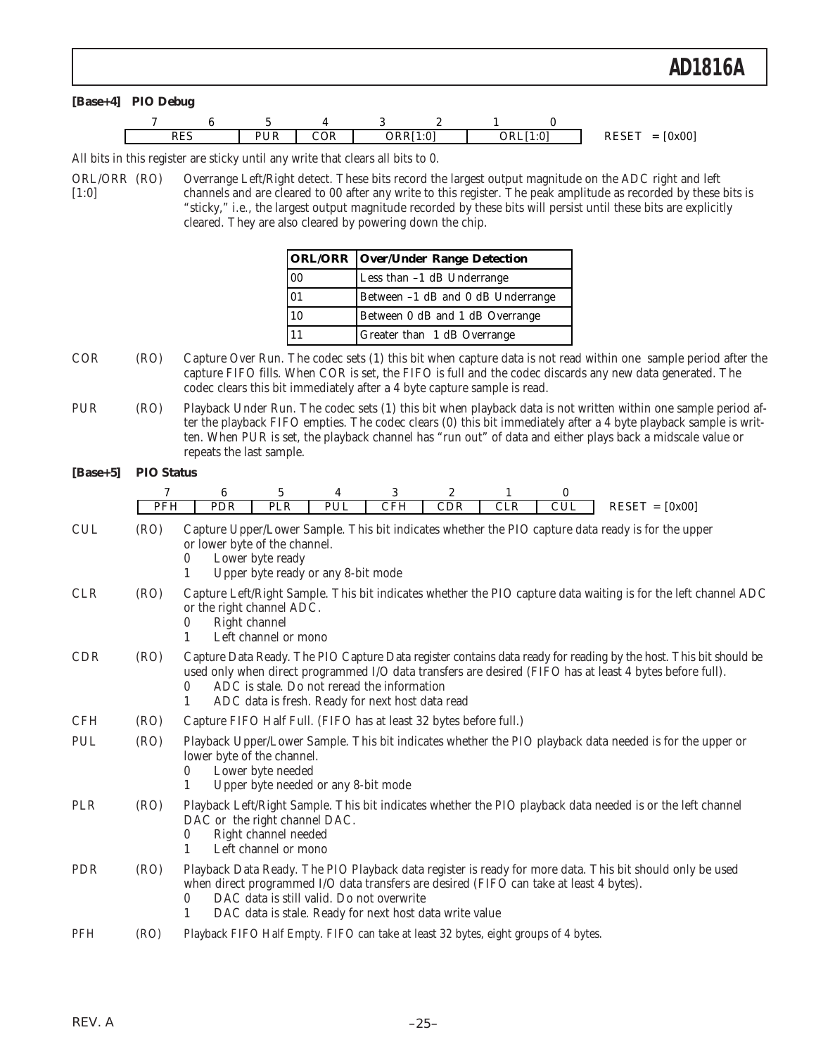All bits in this register are sticky until any write that clears all bits to 0.

ORL/ORR (RO) Overrange Left/Right detect. These bits record the largest output magnitude on the ADC right and left [1:0] channels and are cleared to 00 after any write to this register. The peak amplitude as recorded by these bits is "sticky," i.e., the largest output magnitude recorded by these bits will persist until these bits are explicitly cleared. They are also cleared by powering down the chip.

|                 | <b>ORL/ORR Over/Under Range Detection</b> |
|-----------------|-------------------------------------------|
| $ 00\rangle$    | Less than -1 dB Underrange                |
| $\overline{01}$ | Between -1 dB and 0 dB Underrange         |
| 10              | Between 0 dB and 1 dB Overrange           |
|                 | <b>Greater than 1 dB Overrange</b>        |

- COR (RO) Capture Over Run. The codec sets (1) this bit when capture data is not read within one sample period after the capture FIFO fills. When COR is set, the FIFO is full and the codec discards any new data generated. The codec clears this bit immediately after a 4 byte capture sample is read.
- PUR (RO) Playback Under Run. The codec sets (1) this bit when playback data is not written within one sample period after the playback FIFO empties. The codec clears (0) this bit immediately after a 4 byte playback sample is written. When PUR is set, the playback channel has "run out" of data and either plays back a midscale value or repeats the last sample.

### **[Base+5] PIO Status**

|            | 7          | 6                                                                                                                                                                                                                                                                                                                                          | 5                                                                                                                                                                                                  | 4   | 3          | $\overline{2}$ |            | $\bf{0}$   |                                                                                                            |
|------------|------------|--------------------------------------------------------------------------------------------------------------------------------------------------------------------------------------------------------------------------------------------------------------------------------------------------------------------------------------------|----------------------------------------------------------------------------------------------------------------------------------------------------------------------------------------------------|-----|------------|----------------|------------|------------|------------------------------------------------------------------------------------------------------------|
|            | <b>PFH</b> | <b>PDR</b>                                                                                                                                                                                                                                                                                                                                 | <b>PLR</b>                                                                                                                                                                                         | PUL | <b>CFH</b> | <b>CDR</b>     | <b>CLR</b> | <b>CUL</b> | $REST = [0x00]$                                                                                            |
| <b>CUL</b> | (RO)       | or lower byte of the channel.<br>0<br>1                                                                                                                                                                                                                                                                                                    | Lower byte ready<br>Upper byte ready or any 8-bit mode                                                                                                                                             |     |            |                |            |            | Capture Upper/Lower Sample. This bit indicates whether the PIO capture data ready is for the upper         |
| <b>CLR</b> | (RO)       | Capture Left/Right Sample. This bit indicates whether the PIO capture data waiting is for the left channel ADC<br>or the right channel ADC.<br>Right channel<br>0<br>Left channel or mono<br>1                                                                                                                                             |                                                                                                                                                                                                    |     |            |                |            |            |                                                                                                            |
| <b>CDR</b> | (RO)       | Capture Data Ready. The PIO Capture Data register contains data ready for reading by the host. This bit should be<br>used only when direct programmed I/O data transfers are desired (FIFO has at least 4 bytes before full).<br>ADC is stale. Do not reread the information<br>0<br>ADC data is fresh. Ready for next host data read<br>1 |                                                                                                                                                                                                    |     |            |                |            |            |                                                                                                            |
| <b>CFH</b> | (RO)       | Capture FIFO Half Full. (FIFO has at least 32 bytes before full.)                                                                                                                                                                                                                                                                          |                                                                                                                                                                                                    |     |            |                |            |            |                                                                                                            |
| PUL        | (RO)       | 0<br>1                                                                                                                                                                                                                                                                                                                                     | Playback Upper/Lower Sample. This bit indicates whether the PIO playback data needed is for the upper or<br>lower byte of the channel.<br>Lower byte needed<br>Upper byte needed or any 8-bit mode |     |            |                |            |            |                                                                                                            |
| PLR        | (RO)       | DAC or the right channel DAC.<br>0                                                                                                                                                                                                                                                                                                         | Right channel needed<br>Left channel or mono                                                                                                                                                       |     |            |                |            |            | Playback Left/Right Sample. This bit indicates whether the PIO playback data needed is or the left channel |
| <b>PDR</b> | (RO)       | when direct programmed I/O data transfers are desired (FIFO can take at least 4 bytes).<br>0<br>1                                                                                                                                                                                                                                          | DAC data is still valid. Do not overwrite<br>DAC data is stale. Ready for next host data write value                                                                                               |     |            |                |            |            | Playback Data Ready. The PIO Playback data register is ready for more data. This bit should only be used   |
| <b>PFH</b> | (RO)       | Playback FIFO Half Empty. FIFO can take at least 32 bytes, eight groups of 4 bytes.                                                                                                                                                                                                                                                        |                                                                                                                                                                                                    |     |            |                |            |            |                                                                                                            |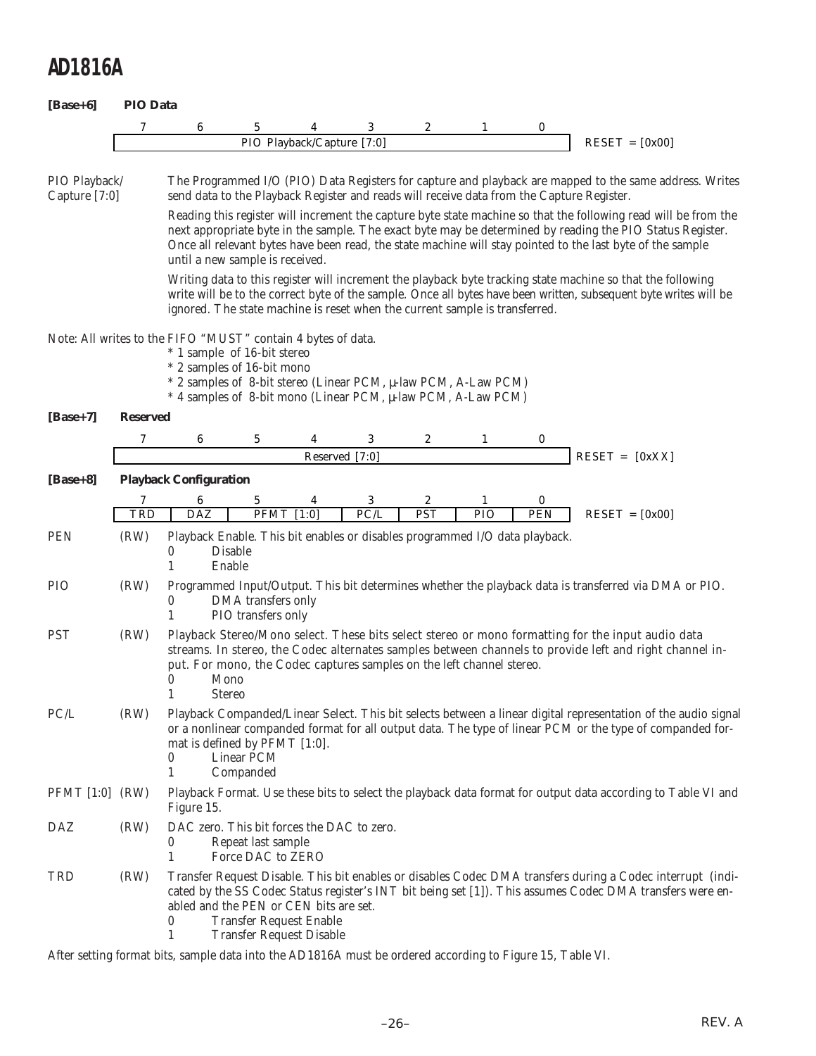| $[Base+6]$                                                                                                                                                                                                                                                                                                      | <b>PIO Data</b> |                                                                                                                                                                                                                                                                                                                                                                            |                                                                                                         |                            |                |            |              |     |                                                                                                                                                                                                                                                                                                                                            |
|-----------------------------------------------------------------------------------------------------------------------------------------------------------------------------------------------------------------------------------------------------------------------------------------------------------------|-----------------|----------------------------------------------------------------------------------------------------------------------------------------------------------------------------------------------------------------------------------------------------------------------------------------------------------------------------------------------------------------------------|---------------------------------------------------------------------------------------------------------|----------------------------|----------------|------------|--------------|-----|--------------------------------------------------------------------------------------------------------------------------------------------------------------------------------------------------------------------------------------------------------------------------------------------------------------------------------------------|
|                                                                                                                                                                                                                                                                                                                 | 7               | 6                                                                                                                                                                                                                                                                                                                                                                          | 5                                                                                                       |                            | 3              | 2          | 1            | 0   |                                                                                                                                                                                                                                                                                                                                            |
|                                                                                                                                                                                                                                                                                                                 |                 |                                                                                                                                                                                                                                                                                                                                                                            |                                                                                                         | PIO Playback/Capture [7:0] |                |            |              |     | $RESET = [0x00]$                                                                                                                                                                                                                                                                                                                           |
|                                                                                                                                                                                                                                                                                                                 |                 |                                                                                                                                                                                                                                                                                                                                                                            |                                                                                                         |                            |                |            |              |     |                                                                                                                                                                                                                                                                                                                                            |
| PIO Playback/<br>Capture [7:0]                                                                                                                                                                                                                                                                                  |                 |                                                                                                                                                                                                                                                                                                                                                                            | send data to the Playback Register and reads will receive data from the Capture Register.               |                            |                |            |              |     | The Programmed I/O (PIO) Data Registers for capture and playback are mapped to the same address. Writes                                                                                                                                                                                                                                    |
|                                                                                                                                                                                                                                                                                                                 |                 |                                                                                                                                                                                                                                                                                                                                                                            | until a new sample is received.                                                                         |                            |                |            |              |     | Reading this register will increment the capture byte state machine so that the following read will be from the<br>next appropriate byte in the sample. The exact byte may be determined by reading the PIO Status Register.<br>Once all relevant bytes have been read, the state machine will stay pointed to the last byte of the sample |
| Writing data to this register will increment the playback byte tracking state machine so that the following<br>write will be to the correct byte of the sample. Once all bytes have been written, subsequent byte writes will be<br>ignored. The state machine is reset when the current sample is transferred. |                 |                                                                                                                                                                                                                                                                                                                                                                            |                                                                                                         |                            |                |            |              |     |                                                                                                                                                                                                                                                                                                                                            |
| Note: All writes to the FIFO "MUST" contain 4 bytes of data.<br>* 1 sample of 16-bit stereo<br>* 2 samples of 16-bit mono<br>* 2 samples of 8-bit stereo (Linear PCM, µ-law PCM, A-Law PCM)<br>* 4 samples of 8-bit mono (Linear PCM, µ-law PCM, A-Law PCM)                                                     |                 |                                                                                                                                                                                                                                                                                                                                                                            |                                                                                                         |                            |                |            |              |     |                                                                                                                                                                                                                                                                                                                                            |
| $[Base+7]$                                                                                                                                                                                                                                                                                                      | <b>Reserved</b> |                                                                                                                                                                                                                                                                                                                                                                            |                                                                                                         |                            |                |            |              |     |                                                                                                                                                                                                                                                                                                                                            |
|                                                                                                                                                                                                                                                                                                                 | 7               | 6                                                                                                                                                                                                                                                                                                                                                                          | 5                                                                                                       | 4                          | 3              | 2          | 1            | 0   |                                                                                                                                                                                                                                                                                                                                            |
|                                                                                                                                                                                                                                                                                                                 |                 |                                                                                                                                                                                                                                                                                                                                                                            |                                                                                                         |                            | Reserved [7:0] |            |              |     | $RESET = [0xXX]$                                                                                                                                                                                                                                                                                                                           |
| $[Base+8]$                                                                                                                                                                                                                                                                                                      |                 | <b>Playback Configuration</b>                                                                                                                                                                                                                                                                                                                                              |                                                                                                         |                            |                |            |              |     |                                                                                                                                                                                                                                                                                                                                            |
|                                                                                                                                                                                                                                                                                                                 | 7               | 6                                                                                                                                                                                                                                                                                                                                                                          | 5                                                                                                       | 4                          | 3              | 2          | $\mathbf{1}$ | 0   |                                                                                                                                                                                                                                                                                                                                            |
|                                                                                                                                                                                                                                                                                                                 | <b>TRD</b>      | $\overline{\text{DAZ}}$                                                                                                                                                                                                                                                                                                                                                    | <b>PFMT</b>                                                                                             | $\overline{[1:0]}$         | PC/L           | <b>PST</b> | PIO          | PEN | $REST = [0x00]$                                                                                                                                                                                                                                                                                                                            |
| <b>PEN</b>                                                                                                                                                                                                                                                                                                      | (RW)            | 0<br>1                                                                                                                                                                                                                                                                                                                                                                     | Playback Enable. This bit enables or disables programmed I/O data playback.<br><b>Disable</b><br>Enable |                            |                |            |              |     |                                                                                                                                                                                                                                                                                                                                            |
| <b>PIO</b>                                                                                                                                                                                                                                                                                                      | (RW)            | $\bf{0}$<br>1                                                                                                                                                                                                                                                                                                                                                              | DMA transfers only<br>PIO transfers only                                                                |                            |                |            |              |     | Programmed Input/Output. This bit determines whether the playback data is transferred via DMA or PIO.                                                                                                                                                                                                                                      |
| <b>PST</b>                                                                                                                                                                                                                                                                                                      | (RW)            | Playback Stereo/Mono select. These bits select stereo or mono formatting for the input audio data<br>streams. In stereo, the Codec alternates samples between channels to provide left and right channel in-<br>put. For mono, the Codec captures samples on the left channel stereo.<br>0<br>Mono<br>1<br><b>Stereo</b>                                                   |                                                                                                         |                            |                |            |              |     |                                                                                                                                                                                                                                                                                                                                            |
| PC/L                                                                                                                                                                                                                                                                                                            | (RW)            | Playback Companded/Linear Select. This bit selects between a linear digital representation of the audio signal<br>or a nonlinear companded format for all output data. The type of linear PCM or the type of companded for-<br>mat is defined by PFMT [1:0].<br>Linear PCM<br>0<br>$\mathbf{1}$<br>Companded                                                               |                                                                                                         |                            |                |            |              |     |                                                                                                                                                                                                                                                                                                                                            |
| PFMT [1:0] (RW)                                                                                                                                                                                                                                                                                                 |                 | Playback Format. Use these bits to select the playback data format for output data according to Table VI and<br>Figure 15.                                                                                                                                                                                                                                                 |                                                                                                         |                            |                |            |              |     |                                                                                                                                                                                                                                                                                                                                            |
| DAZ                                                                                                                                                                                                                                                                                                             | (RW)            | 0<br>1                                                                                                                                                                                                                                                                                                                                                                     | DAC zero. This bit forces the DAC to zero.<br>Repeat last sample<br>Force DAC to ZERO                   |                            |                |            |              |     |                                                                                                                                                                                                                                                                                                                                            |
| TRD                                                                                                                                                                                                                                                                                                             | (RW)            | Transfer Request Disable. This bit enables or disables Codec DMA transfers during a Codec interrupt (indi-<br>cated by the SS Codec Status register's INT bit being set [1]). This assumes Codec DMA transfers were en-<br>abled and the PEN or CEN bits are set.<br><b>Transfer Request Enable</b><br>$\boldsymbol{0}$<br><b>Transfer Request Disable</b><br>$\mathbf{1}$ |                                                                                                         |                            |                |            |              |     |                                                                                                                                                                                                                                                                                                                                            |

After setting format bits, sample data into the AD1816A must be ordered according to Figure 15, Table VI.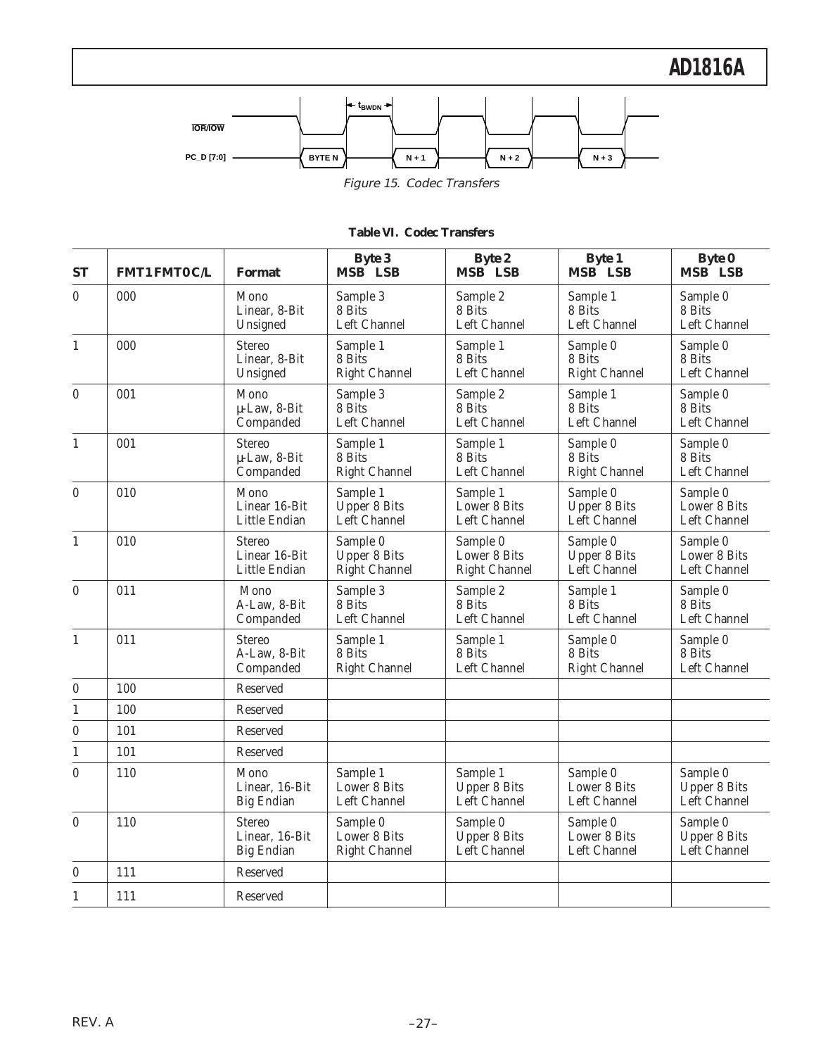

|  | <b>Table VI. Codec Transfers</b> |
|--|----------------------------------|
|  |                                  |

| <b>ST</b>        | <b>FMT1 FMT0 C/L</b> | <b>Format</b>                                        | <b>Byte 3</b><br>MSB LSB                         | <b>Byte 2</b><br>MSB LSB                         | <b>Byte 1</b><br>MSB LSB                        | <b>Byte 0</b><br>MSB LSB                        |
|------------------|----------------------|------------------------------------------------------|--------------------------------------------------|--------------------------------------------------|-------------------------------------------------|-------------------------------------------------|
| $\mathbf{0}$     | 000                  | Mono<br>Linear, 8-Bit<br>Unsigned                    | Sample 3<br>8 Bits<br>Left Channel               | Sample 2<br>8 Bits<br>Left Channel               | Sample 1<br>8 Bits<br>Left Channel              | Sample 0<br>8 Bits<br>Left Channel              |
| $\mathbf{1}$     | 000                  | <b>Stereo</b><br>Linear, 8-Bit<br>Unsigned           | Sample 1<br>8 Bits<br><b>Right Channel</b>       | Sample 1<br>8 Bits<br>Left Channel               | Sample 0<br>8 Bits<br><b>Right Channel</b>      | Sample 0<br>8 Bits<br>Left Channel              |
| $\overline{0}$   | 001                  | Mono<br>µ-Law, 8-Bit<br>Companded                    | Sample 3<br>8 Bits<br>Left Channel               | Sample 2<br>8 Bits<br>Left Channel               | Sample 1<br>8 Bits<br>Left Channel              | Sample 0<br>8 Bits<br>Left Channel              |
| $\mathbf{1}$     | 001                  | <b>Stereo</b><br>µ-Law, 8-Bit<br>Companded           | Sample 1<br>8 Bits<br><b>Right Channel</b>       | Sample 1<br>8 Bits<br>Left Channel               | Sample 0<br>8 Bits<br><b>Right Channel</b>      | Sample 0<br>8 Bits<br>Left Channel              |
| $\mathbf{0}$     | 010                  | Mono<br>Linear 16-Bit<br>Little Endian               | Sample 1<br><b>Upper 8 Bits</b><br>Left Channel  | Sample 1<br>Lower 8 Bits<br>Left Channel         | Sample 0<br>Upper 8 Bits<br>Left Channel        | Sample 0<br>Lower 8 Bits<br>Left Channel        |
| $\mathbf{1}$     | 010                  | <b>Stereo</b><br>Linear 16-Bit<br>Little Endian      | Sample 0<br><b>Upper 8 Bits</b><br>Right Channel | Sample 0<br>Lower 8 Bits<br><b>Right Channel</b> | Sample 0<br><b>Upper 8 Bits</b><br>Left Channel | Sample 0<br>Lower 8 Bits<br>Left Channel        |
| $\boldsymbol{0}$ | 011                  | Mono<br>A-Law, 8-Bit<br>Companded                    | Sample 3<br>8 Bits<br>Left Channel               | Sample 2<br>8 Bits<br>Left Channel               | Sample 1<br>8 Bits<br>Left Channel              | Sample 0<br>8 Bits<br>Left Channel              |
| $\mathbf{1}$     | 011                  | <b>Stereo</b><br>A-Law, 8-Bit<br>Companded           | Sample 1<br>8 Bits<br><b>Right Channel</b>       | Sample 1<br>8 Bits<br>Left Channel               | Sample 0<br>8 Bits<br><b>Right Channel</b>      | Sample 0<br>8 Bits<br>Left Channel              |
| $\boldsymbol{0}$ | 100                  | Reserved                                             |                                                  |                                                  |                                                 |                                                 |
| $\mathbf{1}$     | 100                  | Reserved                                             |                                                  |                                                  |                                                 |                                                 |
| $\boldsymbol{0}$ | 101                  | Reserved                                             |                                                  |                                                  |                                                 |                                                 |
| 1                | 101                  | Reserved                                             |                                                  |                                                  |                                                 |                                                 |
| $\boldsymbol{0}$ | 110                  | Mono<br>Linear, 16-Bit<br><b>Big Endian</b>          | Sample 1<br>Lower 8 Bits<br>Left Channel         | Sample 1<br><b>Upper 8 Bits</b><br>Left Channel  | Sample 0<br>Lower 8 Bits<br>Left Channel        | Sample 0<br><b>Upper 8 Bits</b><br>Left Channel |
| $\boldsymbol{0}$ | 110                  | <b>Stereo</b><br>Linear, 16-Bit<br><b>Big Endian</b> | Sample 0<br>Lower 8 Bits<br><b>Right Channel</b> | Sample 0<br><b>Upper 8 Bits</b><br>Left Channel  | Sample 0<br>Lower 8 Bits<br>Left Channel        | Sample 0<br><b>Upper 8 Bits</b><br>Left Channel |
| $\mathbf{0}$     | 111                  | Reserved                                             |                                                  |                                                  |                                                 |                                                 |
| $\mathbf{1}$     | 111                  | Reserved                                             |                                                  |                                                  |                                                 |                                                 |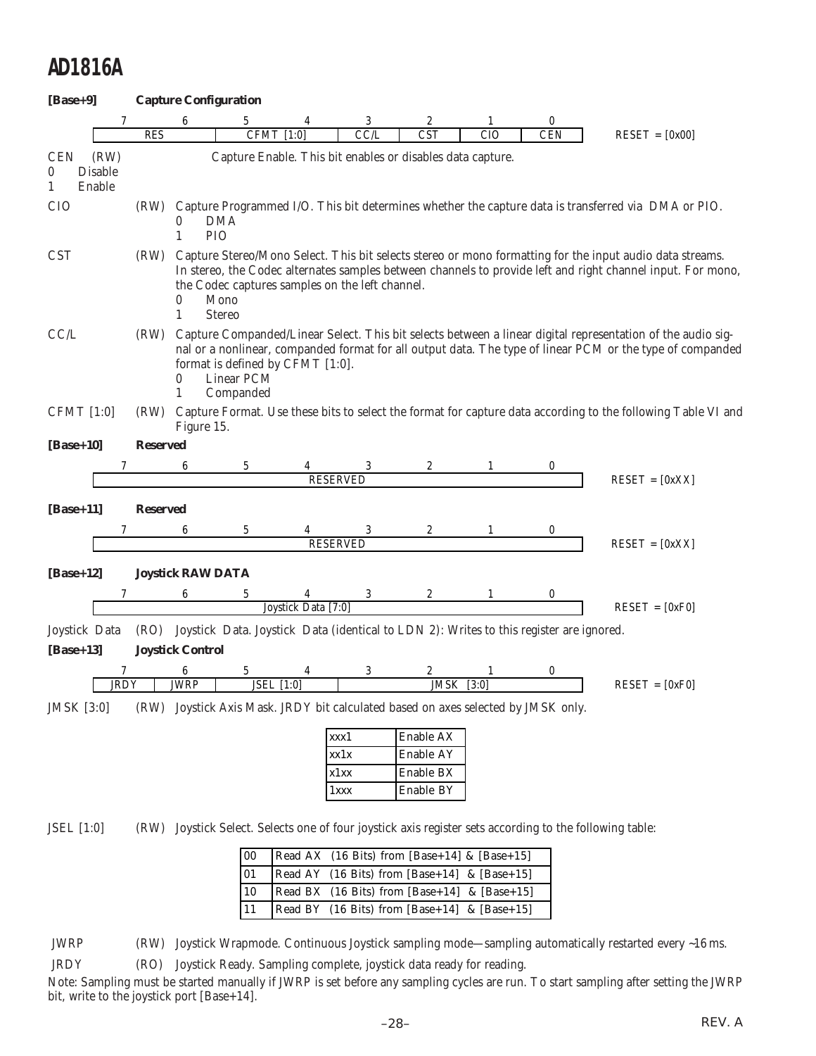| $[Base+9]$                   |                                  |                 |                          | <b>Capture Configuration</b> |                                                 |                      |                                                                                         |                 |                 |                                                                                                                                                                                                                          |
|------------------------------|----------------------------------|-----------------|--------------------------|------------------------------|-------------------------------------------------|----------------------|-----------------------------------------------------------------------------------------|-----------------|-----------------|--------------------------------------------------------------------------------------------------------------------------------------------------------------------------------------------------------------------------|
|                              | 7                                | <b>RES</b>      | 6                        | 5<br><b>CFMT</b>             | [1:0]                                           | 3<br>CCL             | 2<br><b>CST</b>                                                                         | 1<br><b>CIO</b> | 0<br><b>CEN</b> | $REST = [0x00]$                                                                                                                                                                                                          |
| <b>CEN</b><br>$\bf{0}$<br>1  | (RW)<br><b>Disable</b><br>Enable |                 |                          |                              |                                                 |                      | Capture Enable. This bit enables or disables data capture.                              |                 |                 |                                                                                                                                                                                                                          |
| <b>CIO</b>                   |                                  |                 | 0<br>1                   | <b>DMA</b><br>PIO            |                                                 |                      |                                                                                         |                 |                 | (RW) Capture Programmed I/O. This bit determines whether the capture data is transferred via DMA or PIO.                                                                                                                 |
| <b>CST</b>                   |                                  | (RW)            | 0<br>$\mathbf{1}$        | Mono<br><b>Stereo</b>        | the Codec captures samples on the left channel. |                      |                                                                                         |                 |                 | Capture Stereo/Mono Select. This bit selects stereo or mono formatting for the input audio data streams.<br>In stereo, the Codec alternates samples between channels to provide left and right channel input. For mono,  |
| CCL                          |                                  | (RW)            | 0<br>1                   | Linear PCM<br>Companded      | format is defined by CFMT [1:0].                |                      |                                                                                         |                 |                 | Capture Companded/Linear Select. This bit selects between a linear digital representation of the audio sig-<br>nal or a nonlinear, companded format for all output data. The type of linear PCM or the type of companded |
| <b>CFMT</b> [1:0]            |                                  | (RW)            | Figure 15.               |                              |                                                 |                      |                                                                                         |                 |                 | Capture Format. Use these bits to select the format for capture data according to the following Table VI and                                                                                                             |
| $[Base+10]$                  |                                  | <b>Reserved</b> |                          |                              |                                                 |                      |                                                                                         |                 |                 |                                                                                                                                                                                                                          |
|                              | 7                                |                 | 6                        | 5                            |                                                 | 3<br><b>RESERVED</b> | 2                                                                                       | 1               | 0               | $REST = [0xXX]$                                                                                                                                                                                                          |
|                              |                                  |                 |                          |                              |                                                 |                      |                                                                                         |                 |                 |                                                                                                                                                                                                                          |
| $[Base+11]$                  |                                  | <b>Reserved</b> |                          |                              |                                                 |                      |                                                                                         |                 |                 |                                                                                                                                                                                                                          |
|                              | 7                                |                 | 6                        | 5                            |                                                 | 3<br><b>RESERVED</b> | 2                                                                                       | 1               | 0               | $REST = [0xXX]$                                                                                                                                                                                                          |
| $[Base+12]$                  |                                  |                 | <b>Joystick RAW DATA</b> |                              |                                                 |                      |                                                                                         |                 |                 |                                                                                                                                                                                                                          |
|                              | 7                                |                 | 6                        | 5                            |                                                 | 3                    | 2                                                                                       | $\mathbf{1}$    | $\bf{0}$        |                                                                                                                                                                                                                          |
|                              |                                  |                 |                          |                              | Joystick Data [7:0]                             |                      |                                                                                         |                 |                 | $REST = [0xF0]$                                                                                                                                                                                                          |
| Joystick Data<br>$[Base+13]$ |                                  | (RO)            | <b>Joystick Control</b>  |                              |                                                 |                      | Joystick Data. Joystick Data (identical to LDN 2): Writes to this register are ignored. |                 |                 |                                                                                                                                                                                                                          |
|                              | 7                                |                 | 6                        | 5                            | 4                                               | 3                    |                                                                                         |                 | 0               |                                                                                                                                                                                                                          |
|                              | <b>JRDY</b>                      |                 | <b>JWRP</b>              |                              | <b>JSEL</b> [1:0]                               |                      | <b>JMSK</b>                                                                             | $[3:0]$         |                 | $REST = [0xF0]$                                                                                                                                                                                                          |
| <b>JMSK</b> [3:0]            |                                  | (RW)            |                          |                              |                                                 |                      | Joystick Axis Mask. JRDY bit calculated based on axes selected by JMSK only.            |                 |                 |                                                                                                                                                                                                                          |
|                              |                                  |                 |                          |                              |                                                 | xxx1                 | Enable AX                                                                               |                 |                 |                                                                                                                                                                                                                          |
|                              |                                  |                 |                          |                              |                                                 | xx1x                 | Enable AY                                                                               |                 |                 |                                                                                                                                                                                                                          |
|                              |                                  |                 |                          |                              |                                                 | x1xx<br>1xxx         | Enable BX<br>Enable BY                                                                  |                 |                 |                                                                                                                                                                                                                          |
|                              |                                  |                 |                          |                              |                                                 |                      |                                                                                         |                 |                 |                                                                                                                                                                                                                          |
| JSEL [1:0]                   |                                  | (RW)            |                          |                              |                                                 |                      |                                                                                         |                 |                 | Joystick Select. Selects one of four joystick axis register sets according to the following table:                                                                                                                       |

| $ 00\rangle$    | Read AX (16 Bits) from [Base+14] & [Base+15] |
|-----------------|----------------------------------------------|
| 01              | Read AY (16 Bits) from [Base+14] & [Base+15] |
| $\overline{10}$ | Read BX (16 Bits) from [Base+14] & [Base+15] |
| $ 11\rangle$    | Read BY (16 Bits) from [Base+14] & [Base+15] |

JWRP (RW) Joystick Wrapmode. Continuous Joystick sampling mode—sampling automatically restarted every ~16 ms.

JRDY (RO) Joystick Ready. Sampling complete, joystick data ready for reading.

Note: Sampling must be started manually if JWRP is set before any sampling cycles are run. To start sampling after setting the JWRP bit, write to the joystick port [Base+14].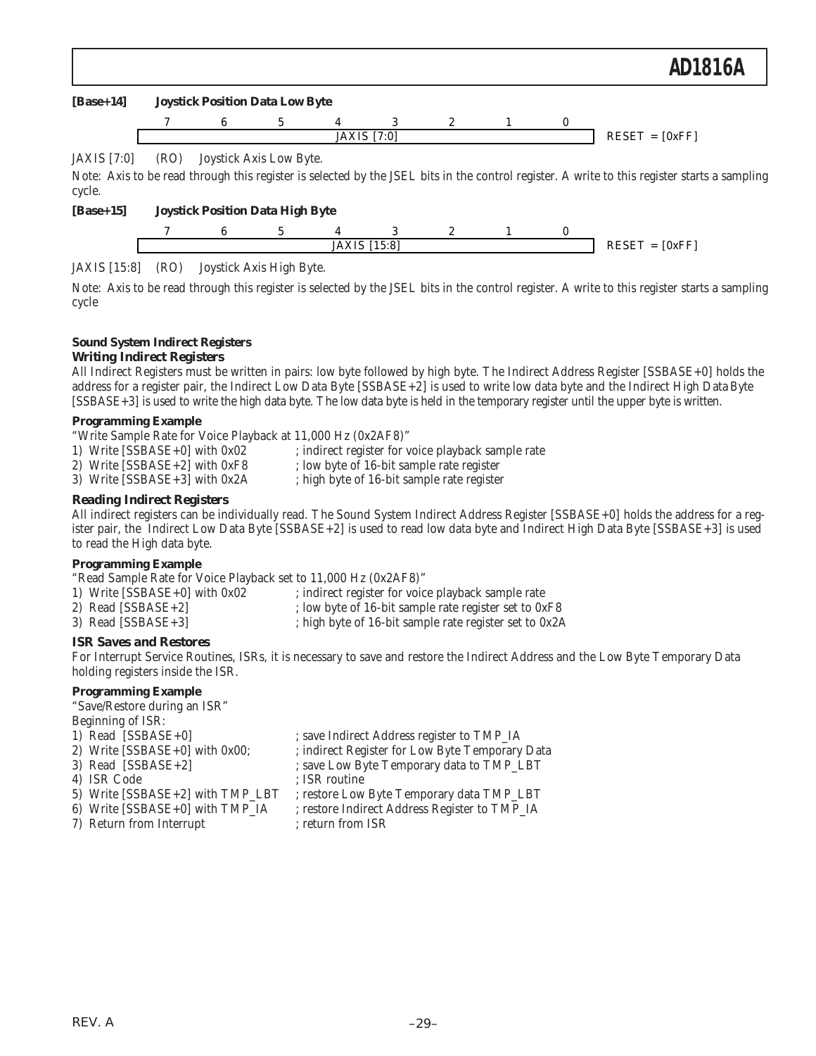### **[Base+14] Joystick Position Data Low Byte**



### JAXIS [7:0] (RO) Joystick Axis Low Byte.

Note: Axis to be read through this register is selected by the JSEL bits in the control register. A write to this register starts a sampling cycle.

### **[Base+15] Joystick Position Data High Byte**



### JAXIS [15:8] (RO) Joystick Axis High Byte.

Note: Axis to be read through this register is selected by the JSEL bits in the control register. A write to this register starts a sampling cycle

### **Sound System Indirect Registers**

### *Writing Indirect Registers*

All Indirect Registers must be written in pairs: low byte followed by high byte. The Indirect Address Register [SSBASE+0] holds the address for a register pair, the Indirect Low Data Byte [SSBASE+2] is used to write low data byte and the Indirect High Data Byte [SSBASE+3] is used to write the high data byte. The low data byte is held in the temporary register until the upper byte is written.

### **Programming Example**

| "Write Sample Rate for Voice Playback at 11,000 Hz (0x2AF8)" |  |
|--------------------------------------------------------------|--|

| 1) Write $[SSBASE+0]$ with $0x02$ | ; indirect register for voice playback sample rate |
|-----------------------------------|----------------------------------------------------|

- 2) Write  $[SSBASE+2]$  with  $0xF8$  ; low byte of 16-bit sample rate register
	-
- 
- 3) Write [SSBASE+3] with 0x2A ; high byte of 16-bit sample rate register

### *Reading Indirect Registers*

All indirect registers can be individually read. The Sound System Indirect Address Register [SSBASE+0] holds the address for a register pair, the Indirect Low Data Byte [SSBASE+2] is used to read low data byte and Indirect High Data Byte [SSBASE+3] is used to read the High data byte.

### **Programming Example**

"Read Sample Rate for Voice Playback set to 11,000 Hz (0x2AF8)"

- 1) Write [SSBASE+0] with 0x02 ; indirect register for voice playback sample rate
- 2) Read [SSBASE+2] ; low byte of 16-bit sample rate register set to 0xF8
- 3) Read [SSBASE+3] ; high byte of 16-bit sample rate register set to 0x2A

### *ISR Saves and Restores*

For Interrupt Service Routines, ISRs, it is necessary to save and restore the Indirect Address and the Low Byte Temporary Data holding registers inside the ISR.

#### **Programming Example**

"Save/Restore during an ISR"

- Beginning of ISR:
- 1) Read [SSBASE+0] ; save Indirect Address register to TMP\_IA
- 
- 2) Write  $[SSBASE+0]$  with 0x00; <br>3) Read  $[SSBASE+2]$  ; save Low Byte Temporary data to TMP\_LBT
- 
- 4) ISR Code ; ISR routine
- ; save Low Byte Temporary data to TMP\_LBT
- 5) Write [SSBASE+2] with TMP\_LBT ; restore Low Byte Temporary data TMP\_LBT
- 
- 6) Write [SSBASE+0] with TMP\_IA ; restore Indirect Address Register to TMP\_IA
- 7) Return from Interrupt ; return from ISR
-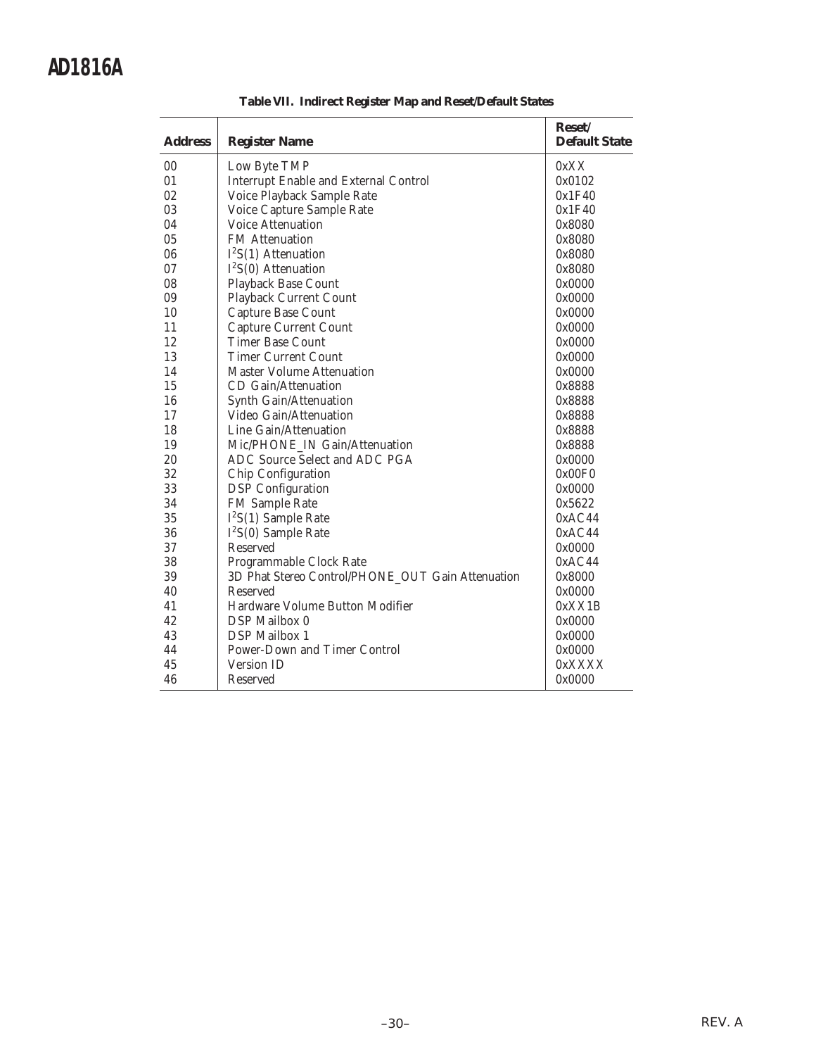| <b>Address</b> |                                                   | Reset/<br><b>Default State</b> |
|----------------|---------------------------------------------------|--------------------------------|
|                | <b>Register Name</b>                              |                                |
| 00             | Low Byte TMP                                      | 0xXX                           |
| 01             | <b>Interrupt Enable and External Control</b>      | 0x0102                         |
| 02             | Voice Playback Sample Rate                        | 0x1F40                         |
| 03             | Voice Capture Sample Rate                         | 0x1F40                         |
| 04             | <b>Voice Attenuation</b>                          | 0x8080                         |
| 05             | <b>FM</b> Attenuation                             | 0x8080                         |
| 06             | $I2S(1)$ Attenuation                              | 0x8080                         |
| 07             | $I2S(0)$ Attenuation                              | 0x8080                         |
| 08             | <b>Playback Base Count</b>                        | 0x0000                         |
| 09             | Playback Current Count                            | 0x0000                         |
| 10             | Capture Base Count                                | 0x0000                         |
| 11             | Capture Current Count                             | 0x0000                         |
| 12             | <b>Timer Base Count</b>                           | 0x0000                         |
| 13             | <b>Timer Current Count</b>                        | 0x0000                         |
| 14             | <b>Master Volume Attenuation</b>                  | 0x0000                         |
| 15             | CD Gain/Attenuation                               | 0x8888                         |
| 16             | Synth Gain/Attenuation                            | 0x8888                         |
| 17             | Video Gain/Attenuation                            | 0x8888                         |
| 18             | Line Gain/Attenuation                             | 0x8888                         |
| 19             | Mic/PHONE IN Gain/Attenuation                     | 0x8888                         |
| 20             | ADC Source Select and ADC PGA                     | 0x0000                         |
| 32             | Chip Configuration                                | 0x00F0                         |
| 33             | <b>DSP</b> Configuration                          | 0x0000                         |
| 34             | <b>FM Sample Rate</b>                             | 0x5622                         |
| 35             | $I2S(1)$ Sample Rate                              | 0xAC44                         |
| 36             | $I2S(0)$ Sample Rate                              | 0xAC44                         |
| 37             | Reserved                                          | 0x0000                         |
| 38             | Programmable Clock Rate                           | 0xAC44                         |
| 39             | 3D Phat Stereo Control/PHONE_OUT Gain Attenuation | 0x8000                         |
| 40             | Reserved                                          | 0x0000                         |
| 41             | Hardware Volume Button Modifier                   | 0xXX1B                         |
| 42             | DSP Mailbox 0                                     | 0x0000                         |
| 43             | <b>DSP</b> Mailbox 1                              | 0x0000                         |
| 44             | Power-Down and Timer Control                      | 0x0000                         |
| 45             | <b>Version ID</b>                                 | 0xXXXX                         |
| 46             | Reserved                                          | 0x0000                         |

**Table VII. Indirect Register Map and Reset/Default States**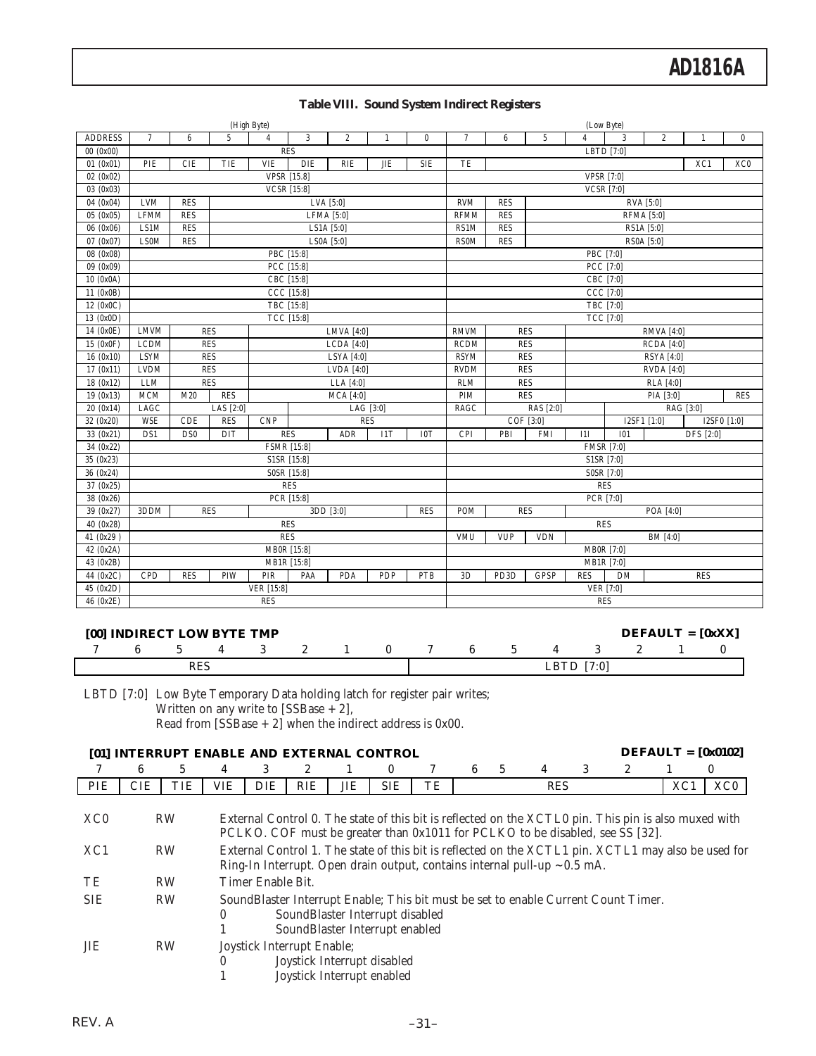|                |                                               |                 | (High Byte)    |                   |                         |                   |              |              |                          |                                 |                |                | (Low Byte)        |                   |              |            |
|----------------|-----------------------------------------------|-----------------|----------------|-------------------|-------------------------|-------------------|--------------|--------------|--------------------------|---------------------------------|----------------|----------------|-------------------|-------------------|--------------|------------|
| <b>ADDRESS</b> | $\tau$                                        | $6\phantom{.0}$ | $\overline{5}$ | $\overline{4}$    | 3                       | $\overline{2}$    | $\mathbf{1}$ | $\mathbf{0}$ | $\overline{7}$           | 6                               | $\overline{5}$ | $\overline{4}$ | 3                 | $\overline{2}$    | $\mathbf{1}$ | $\bf{0}$   |
| 00(0x00)       |                                               |                 |                |                   | <b>RES</b>              |                   |              |              |                          |                                 |                |                | LBTD [7:0]        |                   |              |            |
| 01(0x01)       | PIE                                           | <b>CIE</b>      | TIE            | <b>VIE</b>        | <b>DIE</b>              | <b>RIE</b>        | <b>JIE</b>   | <b>SIE</b>   | TE                       |                                 |                |                |                   | XC0               |              |            |
| 02(0x02)       |                                               |                 |                |                   | <b>VPSR</b> [15.8]      |                   |              |              |                          |                                 |                |                | <b>VPSR [7:0]</b> |                   |              |            |
| 03 (0x03)      |                                               |                 |                |                   | <b>VCSR</b> [15:8]      |                   |              |              |                          |                                 |                |                | <b>VCSR [7:0]</b> |                   |              |            |
| 04 (0x04)      | <b>LVM</b>                                    | <b>RES</b>      |                |                   |                         | LVA [5:0]         |              |              | <b>RVM</b>               | <b>RES</b>                      |                |                |                   | RVA [5:0]         |              |            |
| 05 (0x05)      | <b>LFMM</b>                                   | <b>RES</b>      |                |                   |                         | <b>LFMA</b> [5:0] |              |              | <b>RFMM</b>              | <b>RES</b>                      |                |                |                   | <b>RFMA</b> [5:0] |              |            |
| 06 (0x06)      | LS1M                                          | <b>RES</b>      |                |                   |                         | LS1A $[5:0]$      |              |              | RS1M                     | <b>RES</b>                      |                |                |                   | RS1A [5:0]        |              |            |
| 07 (0x07)      | <b>RES</b><br><b>LS0M</b><br>LS0A [5:0]       |                 |                |                   |                         |                   |              |              |                          | <b>RES</b>                      |                |                |                   | RS0A [5:0]        |              |            |
| 08 (0x08)      |                                               |                 |                |                   | PBC [15:8]              |                   |              |              |                          |                                 |                |                | PBC [7:0]         |                   |              |            |
| 09 (0x09)      |                                               |                 |                |                   | PCC [15:8]              |                   |              |              |                          |                                 |                |                | PCC [7:0]         |                   |              |            |
| 10 (0x0A)      |                                               |                 |                |                   | CBC [15:8]              |                   |              |              |                          |                                 |                |                | CBC [7:0]         |                   |              |            |
| 11 (0x0B)      |                                               |                 |                |                   | CCC [15:8]              |                   |              |              |                          |                                 |                |                | CCC [7:0]         |                   |              |            |
| 12 (0x0C)      |                                               |                 |                |                   | TBC [15:8]              |                   |              |              |                          |                                 |                |                | TBC [7:0]         |                   |              |            |
| 13 (0x0D)      |                                               |                 |                |                   | TCC [15:8]              |                   |              |              |                          |                                 |                |                | <b>TCC</b> [7:0]  |                   |              |            |
| 14 (0x0E)      | <b>LMVM</b>                                   | <b>RES</b>      |                |                   |                         | LMVA $[4:0]$      |              |              | <b>RMVM</b>              | <b>RES</b><br><b>RMVA</b> [4:0] |                |                |                   |                   |              |            |
| 15 (0x0F)      | <b>LCDM</b>                                   | <b>RES</b>      |                |                   |                         | LCDA [4:0]        |              |              | <b>RCDM</b>              |                                 | <b>RES</b>     |                |                   | $RCDA$ [4:0]      |              |            |
| 16(0x10)       | <b>LSYM</b>                                   |                 | <b>RES</b>     |                   |                         | <b>LSYA</b> [4:0] |              |              | <b>RSYM</b>              |                                 | <b>RES</b>     |                |                   | <b>RSYA</b> [4:0] |              |            |
| 17(0x11)       | <b>LVDM</b>                                   |                 | <b>RES</b>     |                   |                         | LVDA [4:0]        |              |              | <b>RVDM</b>              |                                 | <b>RES</b>     |                |                   | <b>RVDA</b> [4:0] |              |            |
| 18(0x12)       | <b>LLM</b>                                    | <b>RES</b>      |                |                   |                         | LLA $[4:0]$       |              |              | RLM                      |                                 | <b>RES</b>     | RLA [4:0]      |                   |                   |              |            |
| 19(0x13)       | MCM                                           | M20             | RES            |                   |                         | $MCA$ [4:0]       |              |              | PIM                      |                                 | <b>RES</b>     | PIA [3:0]      |                   |                   |              | <b>RES</b> |
| 20(0x14)       | LAGC                                          |                 | LAS [2:0]      |                   |                         |                   | LAG [3:0]    |              | RAGC                     |                                 | RAS [2:0]      | RAG [3:0]      |                   |                   |              |            |
| 32 (0x20)      | <b>WSE</b>                                    | CDE             | <b>RES</b>     | <b>CNP</b>        |                         |                   | <b>RES</b>   |              | COF [3:0]<br>I2SF1 [1:0] |                                 |                |                |                   |                   | I2SF0 [1:0]  |            |
| 33 (0x21)      | DS1                                           | DS <sub>0</sub> | DIT            |                   | <b>RES</b>              | ADR               | I1T          | I0T          | CPI                      | PBI                             | <b>FMI</b>     | I1I            | <b>I01</b>        |                   | DFS [2:0]    |            |
| 34(0x22)       |                                               |                 |                |                   | <b>FSMR [15:8]</b>      |                   |              |              | <b>FMSR [7:0]</b>        |                                 |                |                |                   |                   |              |            |
| 35 (0x23)      |                                               |                 |                |                   | S1SR [15:8]             |                   |              |              |                          |                                 |                |                | S1SR [7:0]        |                   |              |            |
| 36 (0x24)      |                                               |                 |                |                   | S0SR [15:8]             |                   |              |              |                          |                                 |                |                | S0SR [7:0]        |                   |              |            |
| 37 (0x25)      |                                               |                 |                |                   | <b>RES</b>              |                   |              |              |                          |                                 |                |                | <b>RES</b>        |                   |              |            |
| 38 (0x26)      |                                               |                 |                |                   | $\overline{PCR}$ [15:8] |                   |              |              | <b>POM</b>               |                                 |                |                | PCR [7:0]         |                   |              |            |
| 39 (0x27)      | 3DDM<br><b>RES</b><br>3DD [3:0]<br><b>RES</b> |                 |                |                   |                         |                   |              |              |                          |                                 | <b>RES</b>     |                |                   | POA [4:0]         |              |            |
| 40 (0x28)      | <b>RES</b>                                    |                 |                |                   |                         |                   |              |              |                          |                                 |                |                | <b>RES</b>        |                   |              |            |
| 41 (0x29)      | <b>RES</b>                                    |                 |                |                   |                         |                   |              |              |                          | <b>VUP</b>                      | <b>VDN</b>     |                |                   | BM [4:0]          |              |            |
| 42 (0x2A)      |                                               |                 |                | MB0R [15:8]       |                         |                   |              |              |                          |                                 |                |                | <b>MB0R</b> [7:0] |                   |              |            |
| 43 (0x2B)      |                                               |                 |                | MB1R [15:8]       |                         |                   |              |              |                          |                                 |                |                | MB1R [7:0]        |                   |              |            |
| 44 (0x2C)      | CPD                                           | <b>RES</b>      | PIW            | PIR               | PAA                     | PDA               | PDP          | PTB          | 3D                       | PD <sub>3</sub> D               | GPSP           | <b>RES</b>     | <b>DM</b>         |                   | <b>RES</b>   |            |
| 45 (0x2D)      |                                               |                 |                | <b>VER</b> [15:8] |                         |                   |              |              | <b>VER</b> [7:0]         |                                 |                |                |                   |                   |              |            |
| 46 (0x2E)      |                                               |                 |                | <b>RES</b>        |                         |                   |              |              |                          |                                 |                |                | <b>RES</b>        |                   |              |            |

| <b>Table VIII. Sound System Indirect Registers</b> |  |  |
|----------------------------------------------------|--|--|
|                                                    |  |  |

|  |     | [00] INDIRECT LOW BYTE TMP |  |  |      |  | $DEFAULT = [0xXX]$ |  |
|--|-----|----------------------------|--|--|------|--|--------------------|--|
|  |     |                            |  |  |      |  |                    |  |
|  | RES |                            |  |  | LBTD |  |                    |  |

LBTD [7:0] Low Byte Temporary Data holding latch for register pair writes;

Written on any write to [SSBase + 2],

Read from  $[SSBase + 2]$  when the indirect address is 0x00.

|                  | [01] INTERRUPT ENABLE AND EXTERNAL CONTROL |           |                                                                                                                                                                                       |                                                                                                                                                                                       |                            |     |                                                                   |    |   |   |            |   |                                                                                    | $DEFALIT = [0x0102]$ |                 |  |
|------------------|--------------------------------------------|-----------|---------------------------------------------------------------------------------------------------------------------------------------------------------------------------------------|---------------------------------------------------------------------------------------------------------------------------------------------------------------------------------------|----------------------------|-----|-------------------------------------------------------------------|----|---|---|------------|---|------------------------------------------------------------------------------------|----------------------|-----------------|--|
|                  | 6                                          | 5.        | 4                                                                                                                                                                                     | 3                                                                                                                                                                                     | 2                          |     | 0                                                                 |    | 6 | 5 | 4          | 3 | 2                                                                                  |                      | U               |  |
| PIE              | <b>CIE</b>                                 | TIE       | VIE                                                                                                                                                                                   | DIE                                                                                                                                                                                   | RIE                        | JIE | <b>SIE</b>                                                        | TE |   |   | <b>RES</b> |   |                                                                                    | XC <sub>1</sub>      | XC <sub>0</sub> |  |
| X <sub>C</sub> O |                                            | <b>RW</b> |                                                                                                                                                                                       | External Control 0. The state of this bit is reflected on the XCTL0 pin. This pin is also muxed with<br>PCLKO. COF must be greater than 0x1011 for PCLKO to be disabled, see SS [32]. |                            |     |                                                                   |    |   |   |            |   |                                                                                    |                      |                 |  |
| XC1              |                                            | <b>RW</b> | External Control 1. The state of this bit is reflected on the XCTL1 pin. XCTL1 may also be used for<br>Ring-In Interrupt. Open drain output, contains internal pull-up $\sim 0.5$ mA. |                                                                                                                                                                                       |                            |     |                                                                   |    |   |   |            |   |                                                                                    |                      |                 |  |
| TE               |                                            | <b>RW</b> |                                                                                                                                                                                       | Timer Enable Bit.                                                                                                                                                                     |                            |     |                                                                   |    |   |   |            |   |                                                                                    |                      |                 |  |
| <b>SIE</b>       |                                            | <b>RW</b> | $\theta$                                                                                                                                                                              |                                                                                                                                                                                       |                            |     | SoundBlaster Interrupt disabled<br>SoundBlaster Interrupt enabled |    |   |   |            |   | SoundBlaster Interrupt Enable; This bit must be set to enable Current Count Timer. |                      |                 |  |
| JIE              |                                            | <b>RW</b> | $\theta$                                                                                                                                                                              |                                                                                                                                                                                       | Joystick Interrupt Enable; |     | Joystick Interrupt disabled<br>Joystick Interrupt enabled         |    |   |   |            |   |                                                                                    |                      |                 |  |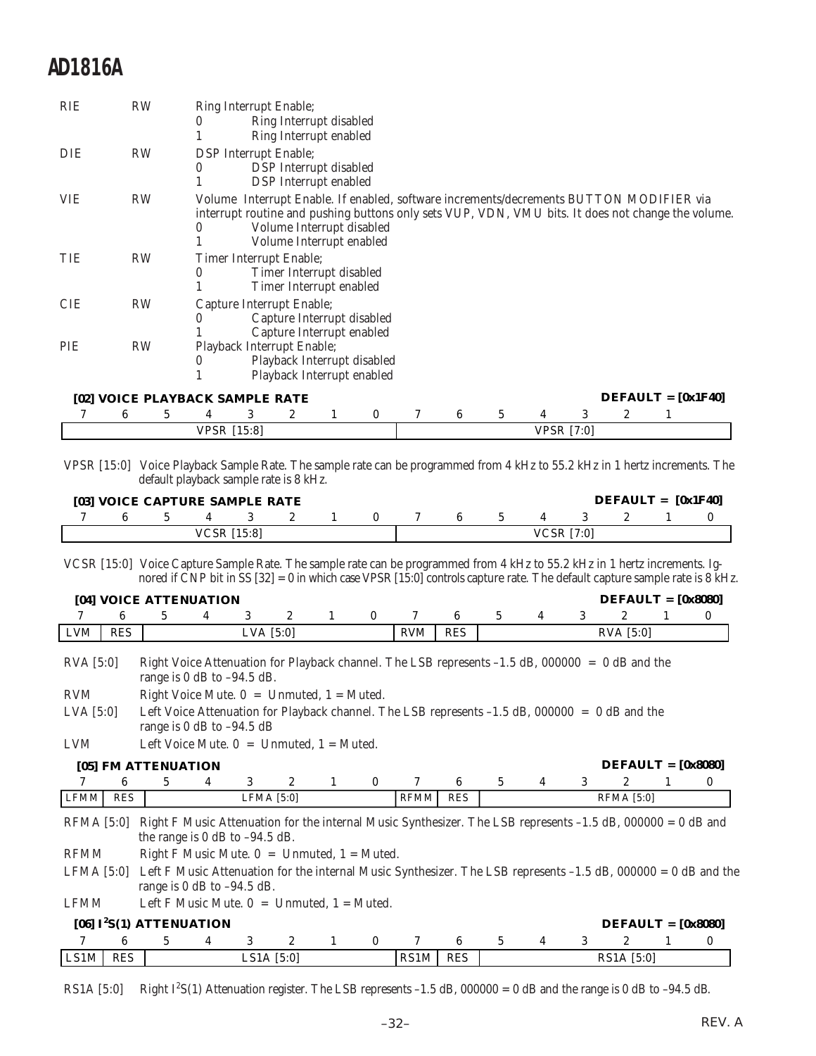| <b>RIE</b> | <b>RW</b> | Ring Interrupt Enable;                                                                                                                                                                                                                                 |  |
|------------|-----------|--------------------------------------------------------------------------------------------------------------------------------------------------------------------------------------------------------------------------------------------------------|--|
|            |           | Ring Interrupt disabled<br>0                                                                                                                                                                                                                           |  |
|            |           | Ring Interrupt enabled                                                                                                                                                                                                                                 |  |
| <b>DIE</b> | <b>RW</b> | <b>DSP</b> Interrupt Enable;                                                                                                                                                                                                                           |  |
|            |           | DSP Interrupt disabled<br>$\bf{0}$                                                                                                                                                                                                                     |  |
|            |           | <b>DSP</b> Interrupt enabled                                                                                                                                                                                                                           |  |
| <b>VIE</b> | <b>RW</b> | Volume Interrupt Enable. If enabled, software increments/decrements BUTTON MODIFIER via<br>interrupt routine and pushing buttons only sets VUP, VDN, VMU bits. It does not change the volume.<br>Volume Interrupt disabled<br>Volume Interrupt enabled |  |
| TIE        | <b>RW</b> | Timer Interrupt Enable;                                                                                                                                                                                                                                |  |
|            |           | Timer Interrupt disabled<br>0                                                                                                                                                                                                                          |  |
|            |           | Timer Interrupt enabled                                                                                                                                                                                                                                |  |
| <b>CIE</b> | RW        | Capture Interrupt Enable;                                                                                                                                                                                                                              |  |
|            |           | Capture Interrupt disabled                                                                                                                                                                                                                             |  |
|            |           | Capture Interrupt enabled                                                                                                                                                                                                                              |  |
| PIE        | <b>RW</b> | Playback Interrupt Enable;                                                                                                                                                                                                                             |  |
|            |           | Playback Interrupt disabled<br>0                                                                                                                                                                                                                       |  |
|            |           | Playback Interrupt enabled                                                                                                                                                                                                                             |  |
|            |           | $DEFALIT = [0x1F40]$<br>[02] VOICE PLAYBACK SAMPLE RATE                                                                                                                                                                                                |  |

|  |  |                    | $\mathbf{2}$ |  |                   |  |  |  |  |  |  |                                                                                                                             |  |
|--|--|--------------------|--------------|--|-------------------|--|--|--|--|--|--|-----------------------------------------------------------------------------------------------------------------------------|--|
|  |  | <b>VPSR</b> [15:8] |              |  | <b>VPSR [7:0]</b> |  |  |  |  |  |  |                                                                                                                             |  |
|  |  |                    |              |  |                   |  |  |  |  |  |  |                                                                                                                             |  |
|  |  |                    |              |  |                   |  |  |  |  |  |  | VPSR [15:0] Voice Playback Sample Rate. The sample rate can be programmed from 4 kHz to 55.2 kHz in 1 hertz increments. The |  |

default playback sample rate is 8 kHz.

|  | [03] VOICE CAPTURE SAMPLE RATE |  |  |  |  |                   | $DEFAULT = [0x1F40]$ |  |
|--|--------------------------------|--|--|--|--|-------------------|----------------------|--|
|  |                                |  |  |  |  |                   |                      |  |
|  | <b>VCSR</b> [15:8]             |  |  |  |  | <b>VCSR</b> [7:0] |                      |  |

VCSR [15:0] Voice Capture Sample Rate. The sample rate can be programmed from 4 kHz to 55.2 kHz in 1 hertz increments. Ignored if CNP bit in SS [32] = 0 in which case VPSR [15:0] controls capture rate. The default capture sample rate is 8 kHz.

|             |            | [04] VOICE ATTENUATION                                                                                                                          |   |             |                       |   |          |             |            |   |   |   | $DEFALIT = [0x8080]$  |   |          |
|-------------|------------|-------------------------------------------------------------------------------------------------------------------------------------------------|---|-------------|-----------------------|---|----------|-------------|------------|---|---|---|-----------------------|---|----------|
|             | 6          | 5                                                                                                                                               | 4 | 3           | $\mathbf{2}$          | 1 | $\bf{0}$ |             | 6          | 5 | 4 | 3 | $\mathbf{2}$          | 1 | $\bf{0}$ |
| LVM         | <b>RES</b> |                                                                                                                                                 |   | LVA $[5:0]$ |                       |   |          | <b>RVM</b>  | <b>RES</b> |   |   |   | $RVA$ [5:0]           |   |          |
| $RVA$ [5:0] |            | Right Voice Attenuation for Playback channel. The LSB represents $-1.5$ dB, 000000 = 0 dB and the<br>range is $0$ dB to $-94.5$ dB.             |   |             |                       |   |          |             |            |   |   |   |                       |   |          |
| RVM         |            | Right Voice Mute. $0 =$ Unmuted, $1 =$ Muted.                                                                                                   |   |             |                       |   |          |             |            |   |   |   |                       |   |          |
| LVA $[5:0]$ |            | Left Voice Attenuation for Playback channel. The LSB represents -1.5 dB, 000000 = 0 dB and the<br>range is $0$ dB to $-94.5$ dB                 |   |             |                       |   |          |             |            |   |   |   |                       |   |          |
| <b>LVM</b>  |            | Left Voice Mute. $0 =$ Unmuted, $1 =$ Muted.                                                                                                    |   |             |                       |   |          |             |            |   |   |   |                       |   |          |
|             |            | [05] FM ATTENUATION                                                                                                                             |   |             |                       |   |          |             |            |   |   |   | $DEFAULT = [0x8080]$  |   |          |
|             | 6          | 5.                                                                                                                                              | 4 | 3           | $\mathbf{2}^{\prime}$ | 1 | $\bf{0}$ |             | 6          | 5 | 4 | 3 | $\mathbf{2}^{\prime}$ |   | $\bf{0}$ |
| <b>LFMM</b> | <b>RES</b> |                                                                                                                                                 |   | LFMA [5:0]  |                       |   |          | <b>RFMM</b> | <b>RES</b> |   |   |   | <b>RFMA</b> [5:0]     |   |          |
| RFMA [5:0]  |            | Right F Music Attenuation for the internal Music Synthesizer. The LSB represents -1.5 dB, 000000 = 0 dB and<br>the range is 0 dB to $-94.5$ dB. |   |             |                       |   |          |             |            |   |   |   |                       |   |          |
| <b>RFMM</b> |            | Right F Music Mute. $0 =$ Unmuted, $1 =$ Muted.                                                                                                 |   |             |                       |   |          |             |            |   |   |   |                       |   |          |
|             |            | LFMA [5:0] Left F Music Attenuation for the internal Music Synthesizer. The LSB represents -1.5 dB, 000000 = 0 dB and the                       |   |             |                       |   |          |             |            |   |   |   |                       |   |          |

range is 0 dB to –94.5 dB.

LFMM Left F Music Mute.  $0 =$  Unmuted,  $1 =$  Muted.

|      |            | [06] $I^2S(1)$ ATTENUATION |  |              |  |      |            |  | $DEFALIT = [0x8080]$ |  |
|------|------------|----------------------------|--|--------------|--|------|------------|--|----------------------|--|
|      |            |                            |  |              |  |      |            |  |                      |  |
| LS1M | <b>RES</b> |                            |  | LS1A $[5:0]$ |  | RS1M | <b>RES</b> |  | RS1A [5:0]           |  |

 $RS1A [5:0]$ Right  $I^2S(1)$  Attenuation register. The LSB represents –1.5 dB, 000000 = 0 dB and the range is 0 dB to –94.5 dB.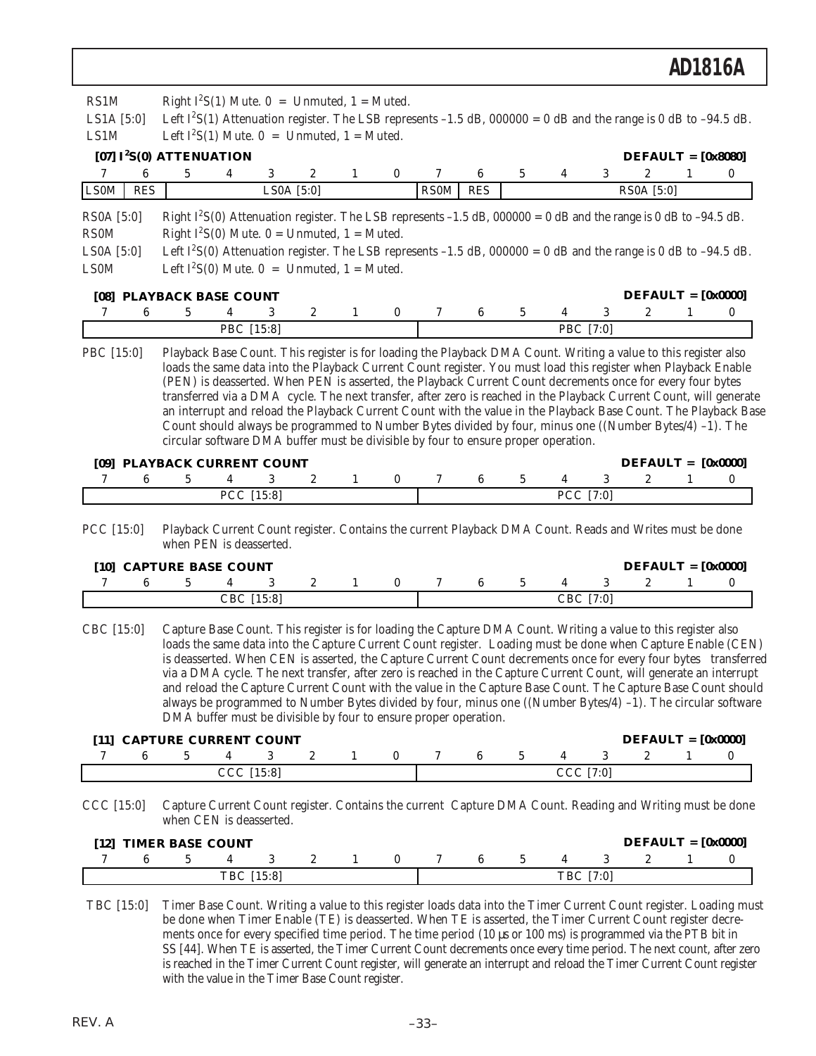| RS1M         |            |                                  | Right $I^2S(1)$ Mute. $0 =$ Unmuted, $1 =$ Muted.                                  |              |   |   |                  |             |            |   |           |                |                                                                                                                             |   |          |
|--------------|------------|----------------------------------|------------------------------------------------------------------------------------|--------------|---|---|------------------|-------------|------------|---|-----------|----------------|-----------------------------------------------------------------------------------------------------------------------------|---|----------|
| LS1A $[5:0]$ |            |                                  |                                                                                    |              |   |   |                  |             |            |   |           |                | Left $I^2S(1)$ Attenuation register. The LSB represents -1.5 dB, 000000 = 0 dB and the range is 0 dB to -94.5 dB.           |   |          |
| LS1M         |            |                                  | Left $I^2S(1)$ Mute. 0 = Unmuted, 1 = Muted.                                       |              |   |   |                  |             |            |   |           |                |                                                                                                                             |   |          |
|              |            | [07] $I^2S(0)$ ATTENUATION       |                                                                                    |              |   |   |                  |             |            |   |           |                | $DEFAULT = [0x8080]$                                                                                                        |   |          |
| 7            | 6          | 5                                | 4                                                                                  | 3            | 2 | 1 | $\bf{0}$         | 7           | 6          | 5 | 4         | 3              | 2                                                                                                                           | 1 | $\bf{0}$ |
| <b>LS0M</b>  | <b>RES</b> |                                  |                                                                                    | LS0A $[5:0]$ |   |   |                  | <b>RS0M</b> | <b>RES</b> |   |           |                | RS0A [5:0]                                                                                                                  |   |          |
| RS0A [5:0]   |            |                                  |                                                                                    |              |   |   |                  |             |            |   |           |                | Right $I^2S(0)$ Attenuation register. The LSB represents -1.5 dB, 000000 = 0 dB and the range is 0 dB to -94.5 dB.          |   |          |
| <b>RS0M</b>  |            |                                  | Right $I^2S(0)$ Mute. 0 = Unmuted, 1 = Muted.                                      |              |   |   |                  |             |            |   |           |                |                                                                                                                             |   |          |
| LS0A [5:0]   |            |                                  |                                                                                    |              |   |   |                  |             |            |   |           |                | Left I <sup>2</sup> S(0) Attenuation register. The LSB represents -1.5 dB, 000000 = 0 dB and the range is 0 dB to -94.5 dB. |   |          |
| <b>LS0M</b>  |            |                                  | Left $I^2S(0)$ Mute. 0 = Unmuted, 1 = Muted.                                       |              |   |   |                  |             |            |   |           |                |                                                                                                                             |   |          |
|              |            | [08] PLAYBACK BASE COUNT         |                                                                                    |              |   |   |                  |             |            |   |           |                | $DEFAULT = [0x0000]$                                                                                                        |   |          |
| 7            | 6          | 5                                | 4                                                                                  | 3            | 2 | 1 | $\bf{0}$         | 7           | 6          | 5 |           | 3              | $\boldsymbol{2}$                                                                                                            | 1 | 0        |
|              |            |                                  | PBC [15:8]                                                                         |              |   |   |                  |             |            |   |           | PBC [7:0]      |                                                                                                                             |   |          |
| PBC [15:0]   |            |                                  |                                                                                    |              |   |   |                  |             |            |   |           |                | Playback Base Count. This register is for loading the Playback DMA Count. Writing a value to this register also             |   |          |
|              |            |                                  |                                                                                    |              |   |   |                  |             |            |   |           |                | loads the same data into the Playback Current Count register. You must load this register when Playback Enable              |   |          |
|              |            |                                  |                                                                                    |              |   |   |                  |             |            |   |           |                | (PEN) is deasserted. When PEN is asserted, the Playback Current Count decrements once for every four bytes                  |   |          |
|              |            |                                  |                                                                                    |              |   |   |                  |             |            |   |           |                | transferred via a DMA cycle. The next transfer, after zero is reached in the Playback Current Count, will generate          |   |          |
|              |            |                                  |                                                                                    |              |   |   |                  |             |            |   |           |                | an interrupt and reload the Playback Current Count with the value in the Playback Base Count. The Playback Base             |   |          |
|              |            |                                  |                                                                                    |              |   |   |                  |             |            |   |           |                | Count should always be programmed to Number Bytes divided by four, minus one ((Number Bytes/4) -1). The                     |   |          |
|              |            |                                  | circular software DMA buffer must be divisible by four to ensure proper operation. |              |   |   |                  |             |            |   |           |                |                                                                                                                             |   |          |
|              |            |                                  |                                                                                    |              |   |   |                  |             |            |   |           |                | $DEFAULT = [0x0000]$                                                                                                        |   |          |
| 7            | 6          | [09] PLAYBACK CURRENT COUNT<br>5 | 4                                                                                  | 3            | 2 | 1 | 0                | 7           | 6          | 5 | 4         | 3              | 2                                                                                                                           | 1 | 0        |
|              |            |                                  | PCC [15:8]                                                                         |              |   |   |                  |             |            |   |           | PCC [7:0]      |                                                                                                                             |   |          |
|              |            |                                  |                                                                                    |              |   |   |                  |             |            |   |           |                |                                                                                                                             |   |          |
| PCC [15:0]   |            |                                  |                                                                                    |              |   |   |                  |             |            |   |           |                | Playback Current Count register. Contains the current Playback DMA Count. Reads and Writes must be done                     |   |          |
|              |            |                                  | when PEN is deasserted.                                                            |              |   |   |                  |             |            |   |           |                |                                                                                                                             |   |          |
|              |            |                                  |                                                                                    |              |   |   |                  |             |            |   |           |                |                                                                                                                             |   |          |
|              |            | [10] CAPTURE BASE COUNT          |                                                                                    |              |   |   |                  |             |            |   |           |                | $DEFAULT = [0x0000]$                                                                                                        |   |          |
| 7            | 6          | 5                                | 4<br>CBC [15:8]                                                                    | 3            | 2 | 1 | $\bf{0}$         | 7           | 6          | 5 | 4         | 3<br>CBC [7:0] | 2                                                                                                                           | 1 | 0        |
|              |            |                                  |                                                                                    |              |   |   |                  |             |            |   |           |                |                                                                                                                             |   |          |
| CBC [15:0]   |            |                                  |                                                                                    |              |   |   |                  |             |            |   |           |                | Capture Base Count. This register is for loading the Capture DMA Count. Writing a value to this register also               |   |          |
|              |            |                                  |                                                                                    |              |   |   |                  |             |            |   |           |                | loads the same data into the Capture Current Count register. Loading must be done when Capture Enable (CEN)                 |   |          |
|              |            |                                  |                                                                                    |              |   |   |                  |             |            |   |           |                | is deasserted. When CEN is asserted, the Capture Current Count decrements once for every four bytes transferred             |   |          |
|              |            |                                  |                                                                                    |              |   |   |                  |             |            |   |           |                | via a DMA cycle. The next transfer, after zero is reached in the Capture Current Count, will generate an interrupt          |   |          |
|              |            |                                  |                                                                                    |              |   |   |                  |             |            |   |           |                | and reload the Capture Current Count with the value in the Capture Base Count. The Capture Base Count should                |   |          |
|              |            |                                  |                                                                                    |              |   |   |                  |             |            |   |           |                | always be programmed to Number Bytes divided by four, minus one ((Number Bytes/4) -1). The circular software                |   |          |
|              |            |                                  | DMA buffer must be divisible by four to ensure proper operation.                   |              |   |   |                  |             |            |   |           |                |                                                                                                                             |   |          |
|              |            |                                  |                                                                                    |              |   |   |                  |             |            |   |           |                |                                                                                                                             |   |          |
|              |            | [11] CAPTURE CURRENT COUNT       |                                                                                    |              |   |   |                  |             |            |   |           |                | $DEFALIT = [0x0000]$                                                                                                        |   |          |
| 7            | 6          | 5                                | 4                                                                                  | 3            | 2 | 1 | 0                | 7           | 6          | 5 | 4         | 3              | 2                                                                                                                           | 1 | 0        |
|              |            |                                  | CCC [15:8]                                                                         |              |   |   |                  |             |            |   | CCC [7:0] |                |                                                                                                                             |   |          |
| CCC [15:0]   |            |                                  |                                                                                    |              |   |   |                  |             |            |   |           |                | Capture Current Count register. Contains the current Capture DMA Count. Reading and Writing must be done                    |   |          |
|              |            |                                  | when CEN is deasserted.                                                            |              |   |   |                  |             |            |   |           |                |                                                                                                                             |   |          |
|              |            | [12] TIMER BASE COUNT            |                                                                                    |              |   |   |                  |             |            |   |           |                | $DEFAULT = [0x0000]$                                                                                                        |   |          |
| 7            | 6          | 5                                | 4                                                                                  | 3            | 2 |   | $\boldsymbol{0}$ |             | 6          | 5 |           | 3              | 2                                                                                                                           |   | 0        |

TBC [15:0] Timer Base Count. Writing a value to this register loads data into the Timer Current Count register. Loading must be done when Timer Enable (TE) is deasserted. When TE is asserted, the Timer Current Count register decrements once for every specified time period. The time period (10 µs or 100 ms) is programmed via the PTB bit in SS [44]. When TE is asserted, the Timer Current Count decrements once every time period. The next count, after zero is reached in the Timer Current Count register, will generate an interrupt and reload the Timer Current Count register with the value in the Timer Base Count register.

TBC [15:8] TBC [7:0]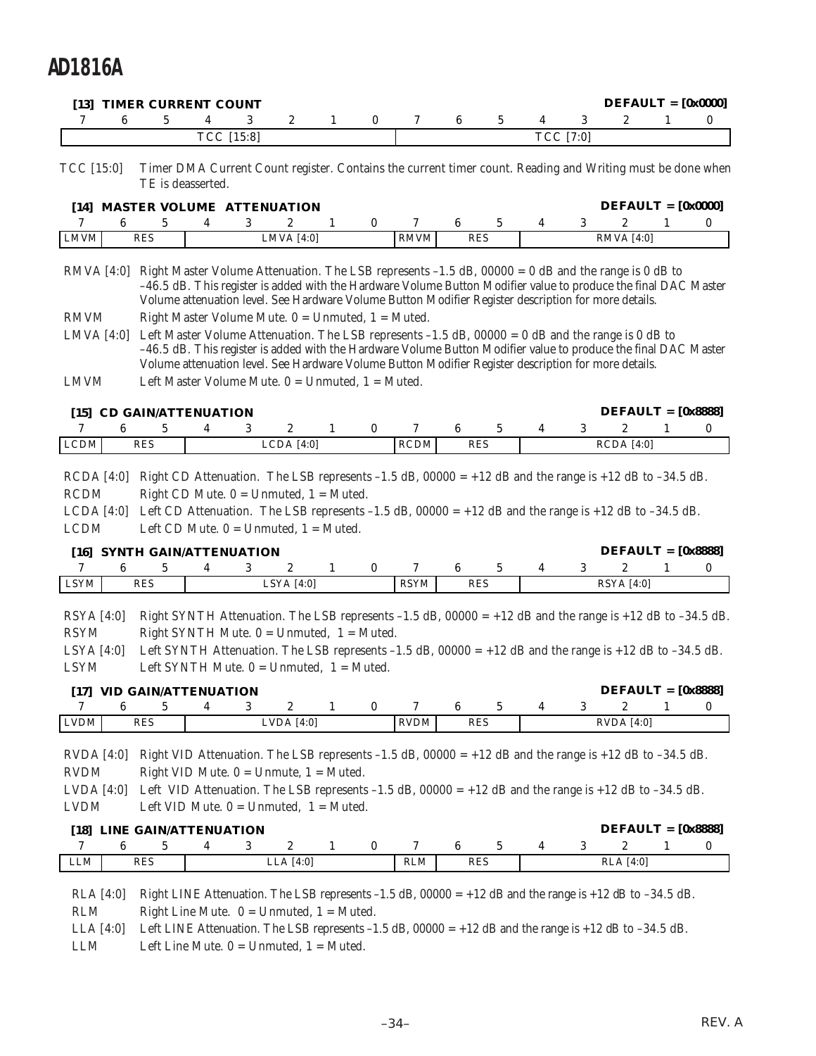|                                                          |   | [13] TIMER CURRENT COUNT                                                                                                   |   |            |                  |              |          |             |                               |   |                  |   | $DEFAULT = [0x0000]$                                                                                                                                                                                                                                                                                                            |   |   |
|----------------------------------------------------------|---|----------------------------------------------------------------------------------------------------------------------------|---|------------|------------------|--------------|----------|-------------|-------------------------------|---|------------------|---|---------------------------------------------------------------------------------------------------------------------------------------------------------------------------------------------------------------------------------------------------------------------------------------------------------------------------------|---|---|
| 7                                                        | 6 | 5                                                                                                                          | 4 | 3          | 2                | 1            | 0        | 7           | 6                             | 5 | 4                | 3 | 2                                                                                                                                                                                                                                                                                                                               | 1 | 0 |
|                                                          |   |                                                                                                                            |   | TCC [15:8] |                  |              |          |             |                               |   | TCC [7:0]        |   |                                                                                                                                                                                                                                                                                                                                 |   |   |
| TCC [15:0]                                               |   | TE is deasserted.                                                                                                          |   |            |                  |              |          |             |                               |   |                  |   | Timer DMA Current Count register. Contains the current timer count. Reading and Writing must be done when                                                                                                                                                                                                                       |   |   |
|                                                          |   | [14] MASTER VOLUME ATTENUATION                                                                                             |   |            |                  |              |          |             |                               |   |                  |   | $DEFAULT = [0x0000]$                                                                                                                                                                                                                                                                                                            |   |   |
| 7                                                        | 6 | 5                                                                                                                          | 4 | 3          | 2                | 1            | 0        | 7           | 6                             | 5 | 4                | 3 | 2                                                                                                                                                                                                                                                                                                                               | 1 | 0 |
| ${\rm LMVM}$                                             |   | <b>RES</b>                                                                                                                 |   |            | LMVA [4:0]       |              |          | <b>RMVM</b> | <b>RES</b>                    |   |                  |   | <b>RMVA</b> [4:0]                                                                                                                                                                                                                                                                                                               |   |   |
| $RMVA$ [4:0]                                             |   |                                                                                                                            |   |            |                  |              |          |             |                               |   |                  |   | Right Master Volume Attenuation. The LSB represents $-1.5$ dB, 00000 = 0 dB and the range is 0 dB to<br>-46.5 dB. This register is added with the Hardware Volume Button Modifier value to produce the final DAC Master<br>Volume attenuation level. See Hardware Volume Button Modifier Register description for more details. |   |   |
| <b>RMVM</b>                                              |   | Right Master Volume Mute. $0 =$ Unmuted, $1 =$ Muted.                                                                      |   |            |                  |              |          |             |                               |   |                  |   |                                                                                                                                                                                                                                                                                                                                 |   |   |
| LMVA $[4:0]$<br><b>LMVM</b>                              |   | Left Master Volume Mute. $0 =$ Unmuted, $1 =$ Muted.                                                                       |   |            |                  |              |          |             |                               |   |                  |   | Left Master Volume Attenuation. The LSB represents $-1.5$ dB, 00000 = 0 dB and the range is 0 dB to<br>-46.5 dB. This register is added with the Hardware Volume Button Modifier value to produce the final DAC Master<br>Volume attenuation level. See Hardware Volume Button Modifier Register description for more details.  |   |   |
|                                                          |   | [15] CD GAIN/ATTENUATION                                                                                                   |   |            |                  |              |          |             |                               |   |                  |   | $DEFAULT = [0x8888]$                                                                                                                                                                                                                                                                                                            |   |   |
| 7                                                        | 6 | 5                                                                                                                          | 4 | 3          | 2                | 1            | 0        | 7           | $6\phantom{.0}$               | 5 | 4                | 3 | 2                                                                                                                                                                                                                                                                                                                               | 1 | 0 |
| $\ensuremath{\mathsf{LCDM}}$                             |   | <b>RES</b>                                                                                                                 |   |            | LCDA [4:0]       |              |          | <b>RCDM</b> | <b>RES</b>                    |   |                  |   | $RCDA$ [4:0]                                                                                                                                                                                                                                                                                                                    |   |   |
| LCDA [4:0]<br><b>LCDM</b>                                |   | Left CD Mute. $0 =$ Unmuted, $1 =$ Muted.<br>[16] SYNTH GAIN/ATTENUATION                                                   |   |            |                  |              |          |             |                               |   |                  |   | Left CD Attenuation. The LSB represents -1.5 dB, $00000 = +12$ dB and the range is +12 dB to -34.5 dB.<br>$DEFALIT = [0x8888]$                                                                                                                                                                                                  |   |   |
| 7                                                        | 6 | 5                                                                                                                          | 4 | 3          | 2                | 1            | 0        | 7           | 6                             | 5 | 4                | 3 | 2                                                                                                                                                                                                                                                                                                                               | 1 | 0 |
| <b>LSYM</b>                                              |   | <b>RES</b>                                                                                                                 |   |            | LSYA [4:0]       |              |          | <b>RSYM</b> | <b>RES</b>                    |   |                  |   | <b>RSYA</b> [4:0]                                                                                                                                                                                                                                                                                                               |   |   |
| $RSYA$ [4:0]<br><b>RSYM</b><br>LSYA [4:0]<br><b>LSYM</b> |   | Right SYNTH Mute. $0 =$ Unmuted, $1 =$ Muted.<br>Left SYNTH Mute. $0 =$ Unmuted, $1 =$ Muted.<br>[17] VID GAIN/ATTENUATION |   |            |                  |              |          |             |                               |   |                  |   | Right SYNTH Attenuation. The LSB represents -1.5 dB, $00000 = +12$ dB and the range is +12 dB to -34.5 dB.<br>Left SYNTH Attenuation. The LSB represents $-1.5$ dB, 00000 = +12 dB and the range is +12 dB to $-34.5$ dB.<br>$DEFALIT = [0x8888]$                                                                               |   |   |
| 7                                                        | 6 | 5                                                                                                                          | 4 | 3          | $\boldsymbol{2}$ | $\mathbf{1}$ | $\bf{0}$ | 7           | 6                             | 5 | 4                | 3 | $\boldsymbol{2}$                                                                                                                                                                                                                                                                                                                | 1 | 0 |
| ${\rm LVDM}$                                             |   | <b>RES</b>                                                                                                                 |   |            | LVDA $[4:0]$     |              |          | <b>RVDM</b> | <b>RES</b>                    |   |                  |   | <b>RVDA</b> [4:0]                                                                                                                                                                                                                                                                                                               |   |   |
| RVDA[4:0]<br><b>RVDM</b><br>LVDA [4:0]<br><b>LVDM</b>    |   | Right VID Mute. $0 =$ Unmute, $1 =$ Muted.<br>Left VID Mute. $0 =$ Unmuted, $1 =$ Muted.<br>[18] LINE GAIN/ATTENUATION     |   |            |                  |              |          |             |                               |   |                  |   | Right VID Attenuation. The LSB represents $-1.5$ dB, $00000 = +12$ dB and the range is $+12$ dB to $-34.5$ dB.<br>Left VID Attenuation. The LSB represents -1.5 dB, 00000 = +12 dB and the range is +12 dB to -34.5 dB.<br>$DEFAULT = [0x8888]$                                                                                 |   |   |
| 7                                                        | 6 | 5                                                                                                                          | 4 |            |                  |              |          |             |                               |   |                  |   |                                                                                                                                                                                                                                                                                                                                 |   | 0 |
| LLM                                                      |   |                                                                                                                            |   | 3          |                  |              |          | 7           |                               |   |                  |   |                                                                                                                                                                                                                                                                                                                                 | 1 |   |
|                                                          |   | RES                                                                                                                        |   |            | 2<br>LLA [4:0]   | $\mathbf{1}$ | $\bf{0}$ | <b>RLM</b>  | $6\phantom{.0}$<br><b>RES</b> | 5 | $\boldsymbol{4}$ | 3 | 2<br>RLA [4:0]                                                                                                                                                                                                                                                                                                                  |   |   |

LLA [4:0] Left LINE Attenuation. The LSB represents -1.5 dB, 00000 = +12 dB and the range is +12 dB to -34.5 dB.

LLM Left Line Mute. 0 = Unmuted, 1 = Muted.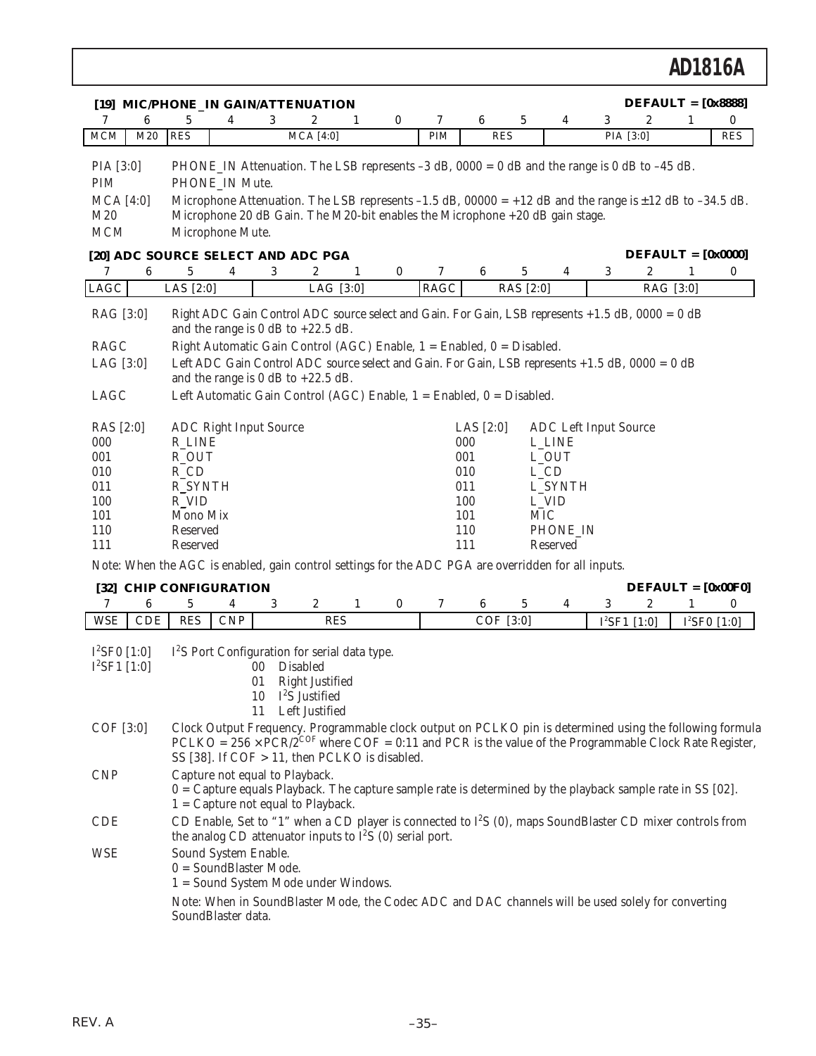| 6<br>7                                                      | [19] MIC/PHONE_IN GAIN/ATTENUATION<br>5<br>3<br>4                                                                                                                                                                                                                                                                                        | 2<br>1                                                                  | 0        | 7           | 6                                | 5                              | 4        | 3                            | $DEFAULT = [0x8888]$<br>2 | 1              | 0          |
|-------------------------------------------------------------|------------------------------------------------------------------------------------------------------------------------------------------------------------------------------------------------------------------------------------------------------------------------------------------------------------------------------------------|-------------------------------------------------------------------------|----------|-------------|----------------------------------|--------------------------------|----------|------------------------------|---------------------------|----------------|------------|
| MCM<br>M20                                                  | <b>RES</b>                                                                                                                                                                                                                                                                                                                               | $MCA$ [4:0]                                                             |          | PIM         | <b>RES</b>                       |                                |          | PIA [3:0]                    |                           |                | <b>RES</b> |
| PIA [3:0]<br><b>PIM</b><br>$MCA$ [4:0]<br>M20<br><b>MCM</b> | PHONE_IN Attenuation. The LSB represents $-3$ dB, $0000 = 0$ dB and the range is 0 dB to $-45$ dB.<br>PHONE IN Mute.<br>Microphone Attenuation. The LSB represents -1.5 dB, 00000 = +12 dB and the range is $\pm$ 12 dB to -34.5 dB.<br>Microphone 20 dB Gain. The M20-bit enables the Microphone +20 dB gain stage.<br>Microphone Mute. |                                                                         |          |             |                                  |                                |          |                              |                           |                |            |
|                                                             | [20] ADC SOURCE SELECT AND ADC PGA                                                                                                                                                                                                                                                                                                       |                                                                         |          |             |                                  |                                |          |                              | $DEFAULT = [0x0000]$      |                |            |
| 6<br>7                                                      | 3<br>5<br>4                                                                                                                                                                                                                                                                                                                              | 2<br>1                                                                  | 0        | 7           | 6                                | 5                              | 4        | 3                            | 2                         | 1              | 0          |
| LAGC                                                        | LAS [2:0]                                                                                                                                                                                                                                                                                                                                | LAG [3:0]                                                               |          | <b>RAGC</b> |                                  | RAS [2:0]                      |          |                              | RAG [3:0]                 |                |            |
| RAG [3:0]                                                   | Right ADC Gain Control ADC source select and Gain. For Gain, LSB represents +1.5 dB, 0000 = 0 dB<br>and the range is 0 dB to $+22.5$ dB.                                                                                                                                                                                                 |                                                                         |          |             |                                  |                                |          |                              |                           |                |            |
| <b>RAGC</b><br>LAG $[3:0]$                                  | Right Automatic Gain Control (AGC) Enable, 1 = Enabled, 0 = Disabled.<br>Left ADC Gain Control ADC source select and Gain. For Gain, LSB represents $+1.5$ dB, $0000 = 0$ dB<br>and the range is $0$ dB to $+22.5$ dB.                                                                                                                   |                                                                         |          |             |                                  |                                |          |                              |                           |                |            |
| LAGC                                                        | Left Automatic Gain Control (AGC) Enable, $1 =$ Enabled, $0 =$ Disabled.                                                                                                                                                                                                                                                                 |                                                                         |          |             |                                  |                                |          |                              |                           |                |            |
| RAS [2:0]<br>000<br>001<br>010                              | <b>ADC Right Input Source</b><br><b>R_LINE</b><br>R_OUT<br>$R$ <sub>_CD</sub>                                                                                                                                                                                                                                                            |                                                                         |          |             | LAS $[2:0]$<br>000<br>001<br>010 | <b>L_LINE</b><br>L_OUT<br>L_CD |          | <b>ADC</b> Left Input Source |                           |                |            |
| 011                                                         | <b>R_SYNTH</b>                                                                                                                                                                                                                                                                                                                           |                                                                         |          |             | 011                              |                                | L_SYNTH  |                              |                           |                |            |
| 100                                                         | R_VID                                                                                                                                                                                                                                                                                                                                    |                                                                         |          |             | 100                              | L_VID                          |          |                              |                           |                |            |
| 101                                                         | Mono Mix                                                                                                                                                                                                                                                                                                                                 |                                                                         |          |             | 101                              | <b>MIC</b>                     |          |                              |                           |                |            |
| 110<br>111                                                  | Reserved<br>Reserved                                                                                                                                                                                                                                                                                                                     |                                                                         |          |             | 110<br>111                       | Reserved                       | PHONE_IN |                              |                           |                |            |
|                                                             | Note: When the AGC is enabled, gain control settings for the ADC PGA are overridden for all inputs.                                                                                                                                                                                                                                      |                                                                         |          |             |                                  |                                |          |                              |                           |                |            |
|                                                             | [32] CHIP CONFIGURATION                                                                                                                                                                                                                                                                                                                  |                                                                         |          |             |                                  |                                |          |                              | $DEFAULT = [0x00F0]$      |                |            |
| 7<br>6                                                      | $\bf 5$<br>4<br>3                                                                                                                                                                                                                                                                                                                        | 2<br>$\mathbf{1}$                                                       | $\bf{0}$ | 7           | 6                                | 5                              | 4        | 3                            | $\boldsymbol{2}$          | $\mathbf{1}$   | 0          |
| <b>WSE</b><br>CDE                                           | <b>RES</b><br>CNP                                                                                                                                                                                                                                                                                                                        | <b>RES</b>                                                              |          |             | COF [3:0]                        |                                |          | $I^2SF1$ [1:0]               |                           | $I^2SF0$ [1:0] |            |
| $I^2$ SF0 [1:0]<br>$I^2$ SF1 [1:0]                          | I <sup>2</sup> S Port Configuration for serial data type.<br>00 <sup>°</sup><br>11                                                                                                                                                                                                                                                       | Disabled<br>01 Right Justified<br>10 $I^2S$ Justified<br>Left Justified |          |             |                                  |                                |          |                              |                           |                |            |
| $COF$ [3:0]                                                 | Clock Output Frequency. Programmable clock output on PCLKO pin is determined using the following formula<br>PCLKO = $256 \times PCR/2^{COF}$ where COF = 0:11 and PCR is the value of the Programmable Clock Rate Register,<br>SS [38]. If $COF > 11$ , then PCLKO is disabled.                                                          |                                                                         |          |             |                                  |                                |          |                              |                           |                |            |
| <b>CNP</b>                                                  | Capture not equal to Playback.<br>$0 =$ Capture equals Playback. The capture sample rate is determined by the playback sample rate in SS [02].<br>$1$ = Capture not equal to Playback.                                                                                                                                                   |                                                                         |          |             |                                  |                                |          |                              |                           |                |            |
| <b>CDE</b>                                                  | CD Enable, Set to "1" when a CD player is connected to I <sup>2</sup> S (0), maps SoundBlaster CD mixer controls from                                                                                                                                                                                                                    |                                                                         |          |             |                                  |                                |          |                              |                           |                |            |
| <b>WSE</b>                                                  | the analog CD attenuator inputs to $I^2S$ (0) serial port.<br>Sound System Enable.<br>$0 = SoundBlaster Mode.$<br>1 = Sound System Mode under Windows.<br>Note: When in SoundBlaster Mode, the Codec ADC and DAC channels will be used solely for converting<br>SoundBlaster data.                                                       |                                                                         |          |             |                                  |                                |          |                              |                           |                |            |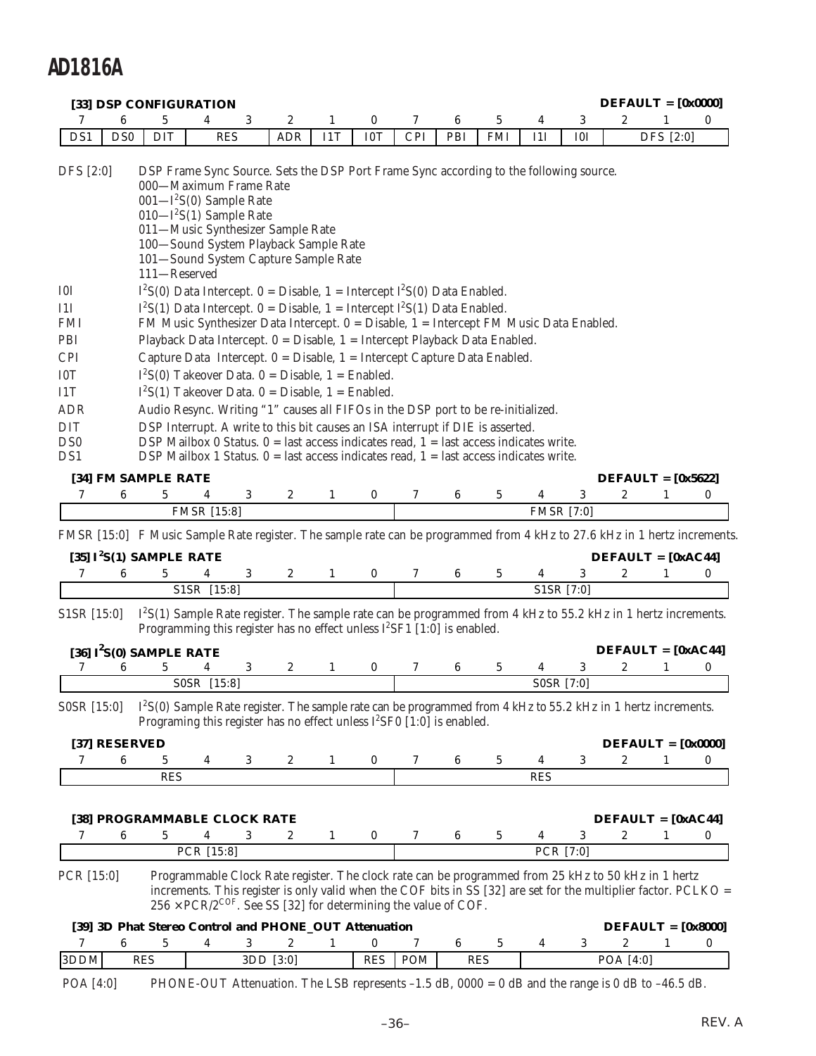|                   |                 | [33] DSP CONFIGURATION                                                                                                                                                                                                                                                                                                                                                                               |                                                                          |   |            |              |            |            |     |            |            |                   |                  | $DEFAULT = [0x0000]$                                                                                                                                                                                                   |          |
|-------------------|-----------------|------------------------------------------------------------------------------------------------------------------------------------------------------------------------------------------------------------------------------------------------------------------------------------------------------------------------------------------------------------------------------------------------------|--------------------------------------------------------------------------|---|------------|--------------|------------|------------|-----|------------|------------|-------------------|------------------|------------------------------------------------------------------------------------------------------------------------------------------------------------------------------------------------------------------------|----------|
| 7                 | 6               | 5                                                                                                                                                                                                                                                                                                                                                                                                    | 4                                                                        | 3 | 2          | 1            | 0          | 7          | 6   | 5          | 4          | 3                 | $\boldsymbol{2}$ |                                                                                                                                                                                                                        | $\bf{0}$ |
| DS1               | D <sub>S0</sub> | <b>DIT</b>                                                                                                                                                                                                                                                                                                                                                                                           | <b>RES</b>                                                               |   | <b>ADR</b> | I1T          | I0T        | <b>CPI</b> | PBI | <b>FMI</b> | 11I        | I <sub>0</sub> I  |                  | DFS [2:0]                                                                                                                                                                                                              |          |
| DFS [2:0]         |                 | DSP Frame Sync Source. Sets the DSP Port Frame Sync according to the following source.<br>000-Maximum Frame Rate<br>$001 - I^2S(0)$ Sample Rate<br>$010 - I^2S(1)$ Sample Rate<br>011-Music Synthesizer Sample Rate<br>100-Sound System Playback Sample Rate<br>101-Sound System Capture Sample Rate<br>111-Reserved<br>$I^2S(0)$ Data Intercept. 0 = Disable, 1 = Intercept $I^2S(0)$ Data Enabled. |                                                                          |   |            |              |            |            |     |            |            |                   |                  |                                                                                                                                                                                                                        |          |
| I0I               |                 | $I^2S(1)$ Data Intercept. 0 = Disable, 1 = Intercept $I^2S(1)$ Data Enabled.                                                                                                                                                                                                                                                                                                                         |                                                                          |   |            |              |            |            |     |            |            |                   |                  |                                                                                                                                                                                                                        |          |
| 11I<br><b>FMI</b> |                 | FM Music Synthesizer Data Intercept. 0 = Disable, 1 = Intercept FM Music Data Enabled.                                                                                                                                                                                                                                                                                                               |                                                                          |   |            |              |            |            |     |            |            |                   |                  |                                                                                                                                                                                                                        |          |
| PBI               |                 | Playback Data Intercept. 0 = Disable, 1 = Intercept Playback Data Enabled.                                                                                                                                                                                                                                                                                                                           |                                                                          |   |            |              |            |            |     |            |            |                   |                  |                                                                                                                                                                                                                        |          |
| <b>CPI</b>        |                 | Capture Data Intercept. 0 = Disable, 1 = Intercept Capture Data Enabled.                                                                                                                                                                                                                                                                                                                             |                                                                          |   |            |              |            |            |     |            |            |                   |                  |                                                                                                                                                                                                                        |          |
| I0T               |                 | $I^2S(0)$ Takeover Data. 0 = Disable, 1 = Enabled.                                                                                                                                                                                                                                                                                                                                                   |                                                                          |   |            |              |            |            |     |            |            |                   |                  |                                                                                                                                                                                                                        |          |
| I1T               |                 | $I^2S(1)$ Takeover Data. 0 = Disable, 1 = Enabled.                                                                                                                                                                                                                                                                                                                                                   |                                                                          |   |            |              |            |            |     |            |            |                   |                  |                                                                                                                                                                                                                        |          |
| <b>ADR</b>        |                 | Audio Resync. Writing "1" causes all FIFOs in the DSP port to be re-initialized.                                                                                                                                                                                                                                                                                                                     |                                                                          |   |            |              |            |            |     |            |            |                   |                  |                                                                                                                                                                                                                        |          |
| <b>DIT</b>        |                 | DSP Interrupt. A write to this bit causes an ISA interrupt if DIE is asserted.                                                                                                                                                                                                                                                                                                                       |                                                                          |   |            |              |            |            |     |            |            |                   |                  |                                                                                                                                                                                                                        |          |
| DS <sub>0</sub>   |                 | DSP Mailbox 0 Status. $0 =$ last access indicates read, $1 =$ last access indicates write.                                                                                                                                                                                                                                                                                                           |                                                                          |   |            |              |            |            |     |            |            |                   |                  |                                                                                                                                                                                                                        |          |
| DS <sub>1</sub>   |                 | DSP Mailbox 1 Status. $0 =$ last access indicates read, $1 =$ last access indicates write.                                                                                                                                                                                                                                                                                                           |                                                                          |   |            |              |            |            |     |            |            |                   |                  |                                                                                                                                                                                                                        |          |
|                   |                 | [34] FM SAMPLE RATE                                                                                                                                                                                                                                                                                                                                                                                  |                                                                          |   |            |              |            |            |     |            |            |                   |                  | $DEFALIT = [0x5622]$                                                                                                                                                                                                   |          |
| 7                 | 6               | 5                                                                                                                                                                                                                                                                                                                                                                                                    | 4                                                                        | 3 | 2          | 1            | 0          | 7          | 6   | 5          | 4          | 3                 | $\boldsymbol{2}$ |                                                                                                                                                                                                                        | 0        |
|                   |                 |                                                                                                                                                                                                                                                                                                                                                                                                      | <b>FMSR</b> [15:8]                                                       |   |            |              |            |            |     |            |            | <b>FMSR</b> [7:0] |                  |                                                                                                                                                                                                                        |          |
|                   |                 |                                                                                                                                                                                                                                                                                                                                                                                                      |                                                                          |   |            |              |            |            |     |            |            |                   |                  | FMSR [15:0] F Music Sample Rate register. The sample rate can be programmed from 4 kHz to 27.6 kHz in 1 hertz increments.                                                                                              |          |
|                   |                 | [35] $I^2S(1)$ SAMPLE RATE                                                                                                                                                                                                                                                                                                                                                                           |                                                                          |   |            |              |            |            |     |            |            |                   |                  | $DEFAULT = [0xAC44]$                                                                                                                                                                                                   |          |
| 7                 | 6               | 5                                                                                                                                                                                                                                                                                                                                                                                                    | 4                                                                        | 3 | 2          | 1            | 0          | 7          | 6   | 5          | 4          | 3                 | 2                | 1                                                                                                                                                                                                                      | 0        |
|                   |                 |                                                                                                                                                                                                                                                                                                                                                                                                      | S1SR [15:8]                                                              |   |            |              |            |            |     |            |            | S1SR [7:0]        |                  |                                                                                                                                                                                                                        |          |
| $S1SR$ [15:0]     |                 | Programming this register has no effect unless $[^{2}SF1$ [1:0] is enabled.                                                                                                                                                                                                                                                                                                                          |                                                                          |   |            |              |            |            |     |            |            |                   |                  | $I2S(1)$ Sample Rate register. The sample rate can be programmed from 4 kHz to 55.2 kHz in 1 hertz increments.                                                                                                         |          |
|                   |                 | [36] $I^2S(0)$ SAMPLE RATE                                                                                                                                                                                                                                                                                                                                                                           |                                                                          |   |            |              |            |            |     |            |            |                   |                  | $DEFAULT = [0xAC44]$                                                                                                                                                                                                   |          |
| 7                 | 6               | 5                                                                                                                                                                                                                                                                                                                                                                                                    |                                                                          | 3 | 2          | 1            | 0          | 7          | 6   | 5          | 4          | 3                 | 2                |                                                                                                                                                                                                                        | 0        |
|                   |                 |                                                                                                                                                                                                                                                                                                                                                                                                      | S0SR [15:8]                                                              |   |            |              |            |            |     |            |            | S0SR [7:0]        |                  |                                                                                                                                                                                                                        |          |
| SOSR [15:0]       |                 | Programing this register has no effect unless $I^2$ SF0 [1:0] is enabled.                                                                                                                                                                                                                                                                                                                            |                                                                          |   |            |              |            |            |     |            |            |                   |                  | I <sup>2</sup> S(0) Sample Rate register. The sample rate can be programmed from 4 kHz to 55.2 kHz in 1 hertz increments.                                                                                              |          |
|                   |                 | [37] RESERVED                                                                                                                                                                                                                                                                                                                                                                                        |                                                                          |   |            |              |            |            |     |            |            |                   |                  | $DEFALIT = [0x0000]$                                                                                                                                                                                                   |          |
| 7                 | 6               | 5                                                                                                                                                                                                                                                                                                                                                                                                    | 4                                                                        | 3 | 2          | 1            | 0          | 7          | 6   | 5          | 4          | 3                 | 2                | 1                                                                                                                                                                                                                      | 0        |
|                   |                 | <b>RES</b>                                                                                                                                                                                                                                                                                                                                                                                           |                                                                          |   |            |              |            |            |     |            | <b>RES</b> |                   |                  |                                                                                                                                                                                                                        |          |
|                   |                 | [38] PROGRAMMABLE CLOCK RATE                                                                                                                                                                                                                                                                                                                                                                         |                                                                          |   |            |              |            |            |     |            |            |                   |                  | $DEFAULT = [0xAC44]$                                                                                                                                                                                                   |          |
| 7                 | 6               | 5                                                                                                                                                                                                                                                                                                                                                                                                    | 4                                                                        | 3 | 2          | $\mathbf{1}$ | 0          | 7          | 6   | 5          | 4          | 3                 | 2                | 1                                                                                                                                                                                                                      | 0        |
|                   |                 |                                                                                                                                                                                                                                                                                                                                                                                                      | PCR [15:8]                                                               |   |            |              |            |            |     |            |            | PCR [7:0]         |                  |                                                                                                                                                                                                                        |          |
| PCR [15:0]        |                 |                                                                                                                                                                                                                                                                                                                                                                                                      | $256 \times PCR/2^{COF}$ . See SS [32] for determining the value of COF. |   |            |              |            |            |     |            |            |                   |                  | Programmable Clock Rate register. The clock rate can be programmed from 25 kHz to 50 kHz in 1 hertz<br>increments. This register is only valid when the COF bits in SS [32] are set for the multiplier factor. PCLKO = |          |
|                   |                 | [39] 3D Phat Stereo Control and PHONE_OUT Attenuation                                                                                                                                                                                                                                                                                                                                                |                                                                          |   |            |              |            |            |     |            |            |                   |                  | $DEFAULT = [0x8000]$                                                                                                                                                                                                   |          |
| 7                 | 6               | 5                                                                                                                                                                                                                                                                                                                                                                                                    | 4                                                                        | 3 | 2          | $\mathbf{1}$ | 0          | 7          | 6   | 5          | 4          | 3                 | $\boldsymbol{2}$ | 1                                                                                                                                                                                                                      | 0        |
| 3DDM              |                 | <b>RES</b>                                                                                                                                                                                                                                                                                                                                                                                           |                                                                          |   | 3DD [3:0]  |              | <b>RES</b> | POM        |     | <b>RES</b> |            |                   | POA [4:0]        |                                                                                                                                                                                                                        |          |
| POA [4:0]         |                 |                                                                                                                                                                                                                                                                                                                                                                                                      |                                                                          |   |            |              |            |            |     |            |            |                   |                  | PHONE-OUT Attenuation. The LSB represents $-1.5$ dB, $0000 = 0$ dB and the range is 0 dB to $-46.5$ dB.                                                                                                                |          |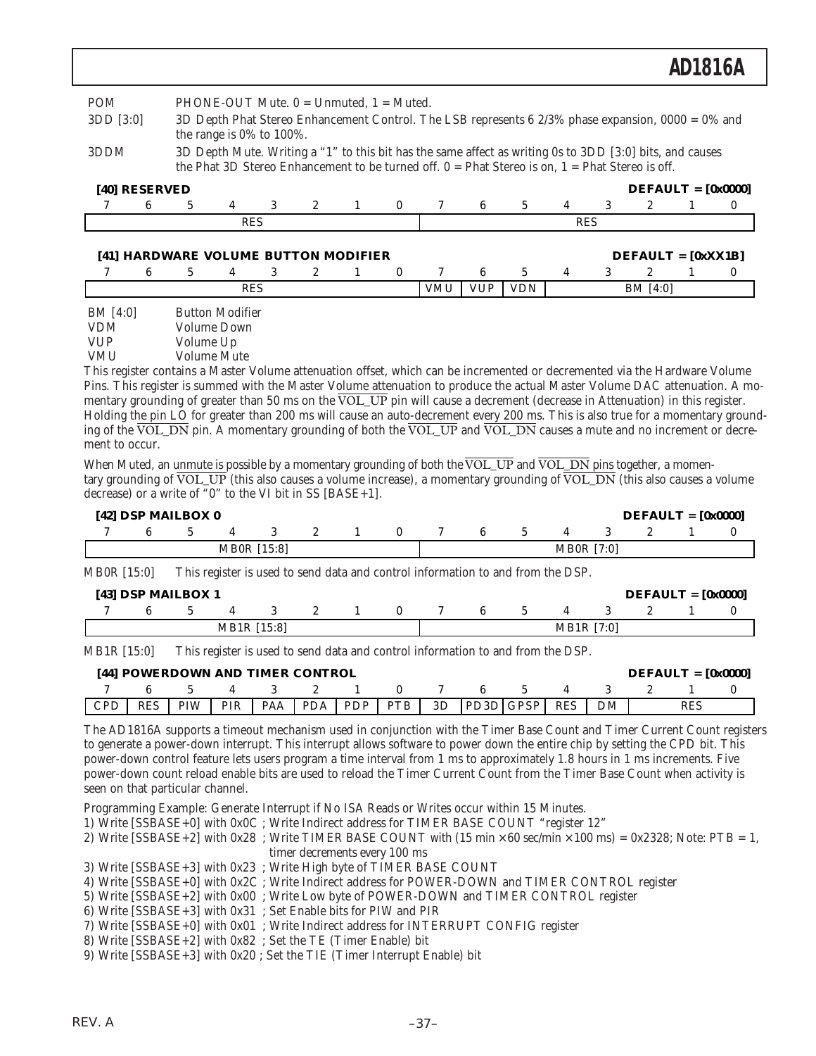| <b>POM</b><br>3DD [3:0]              |   |   | the range is $0\%$ to $100\%$ . |                       | PHONE-OUT Mute. $0 =$ Unmuted, $1 =$ Muted. |              | 3D Depth Phat Stereo Enhancement Control. The LSB represents 6 2/3% phase expansion, $0000 = 0\%$ and                                                                                                           |            |            |   |            |                      |          |
|--------------------------------------|---|---|---------------------------------|-----------------------|---------------------------------------------|--------------|-----------------------------------------------------------------------------------------------------------------------------------------------------------------------------------------------------------------|------------|------------|---|------------|----------------------|----------|
| 3DDM                                 |   |   |                                 |                       |                                             |              | 3D Depth Mute. Writing a "1" to this bit has the same affect as writing 0s to 3DD [3:0] bits, and causes<br>the Phat 3D Stereo Enhancement to be turned off. $0 =$ Phat Stereo is on, $1 =$ Phat Stereo is off. |            |            |   |            |                      |          |
| [40] RESERVED                        |   |   |                                 |                       |                                             |              |                                                                                                                                                                                                                 |            |            |   |            | $DEFAULT = [0x0000]$ |          |
| 6<br>7                               | 5 | 4 | 3                               | $\mathbf{2}^{\prime}$ | 1                                           | $\mathbf{0}$ | 7                                                                                                                                                                                                               | 6          | 5          | 4 | 3          | 2                    | $\bf{0}$ |
|                                      |   |   |                                 |                       |                                             |              |                                                                                                                                                                                                                 |            |            |   |            |                      |          |
|                                      |   |   | <b>RES</b>                      |                       |                                             |              |                                                                                                                                                                                                                 |            |            |   | <b>RES</b> |                      |          |
| [41] HARDWARE VOLUME BUTTON MODIFIER |   |   |                                 |                       |                                             |              |                                                                                                                                                                                                                 |            |            |   |            | $DEFAULT = [0xXX1B]$ |          |
| 6                                    | 5 | 4 | 3                               | $\mathbf{2}$          | 1                                           | $\bf{0}$     | 7                                                                                                                                                                                                               | 6          | 5          | 4 | 3          | $\mathbf{2}$         | $\bf{0}$ |
|                                      |   |   | <b>RES</b>                      |                       |                                             |              | <b>VMU</b>                                                                                                                                                                                                      | <b>VUP</b> | <b>VDN</b> |   |            | BM [4:0]             |          |

Pins. This register is summed with the Master Volume attenuation to produce the actual Master Volume DAC attenuation. A momentary grounding of greater than 50 ms on the VOL\_UP pin will cause a decrement (decrease in Attenuation) in this register. Holding the pin LO for greater than 200 ms will cause an auto-decrement every 200 ms. This is also true for a momentary grounding of the VOL\_DN pin. A momentary grounding of both the  $\overline{VOL}$  UP and  $\overline{VOL}$  DN causes a mute and no increment or decrement to occur.

When Muted, an unmute is possible by a momentary grounding of both the VOL UP and VOL DN pins together, a momentary grounding of  $\overline{VOL\_UP}$  (this also causes a volume increase), a momentary grounding of  $\overline{VOL\_DN}$  (this also causes a volume decrease) or a write of "0" to the VI bit in SS [BASE+1].

| $[42]$ DSP MAILBOX 0 |  |                    |  |  |  |                   | $DEFAULT = [0x0000]$ |  |
|----------------------|--|--------------------|--|--|--|-------------------|----------------------|--|
|                      |  |                    |  |  |  |                   |                      |  |
|                      |  | <b>MB0R</b> [15:8] |  |  |  | <b>MB0R</b> [7:0] |                      |  |

MB0R [15:0] This register is used to send data and control information to and from the DSP.

| $[43]$ DSP MAILBOX 1 |             |  |  |  |            | $DEFAULT = [0x0000]$ |  |
|----------------------|-------------|--|--|--|------------|----------------------|--|
|                      |             |  |  |  |            |                      |  |
|                      | MB1R [15:8] |  |  |  | MB1R [7:0] |                      |  |

MB1R [15:0] This register is used to send data and control information to and from the DSP.

|     |            | [44] POWERDOWN AND TIMER CONTROL |            |     |            |            |    |           |            |  | $DEFAULT = [0x0000]$ |  |
|-----|------------|----------------------------------|------------|-----|------------|------------|----|-----------|------------|--|----------------------|--|
|     |            |                                  |            |     |            |            |    |           |            |  |                      |  |
| CPP | <b>RES</b> | PIW                              | <b>PIR</b> | PAA | <b>PDA</b> | IPDP PTB I | 3D | PD3D GPSP | <b>RES</b> |  | RES                  |  |

The AD1816A supports a timeout mechanism used in conjunction with the Timer Base Count and Timer Current Count registers to generate a power-down interrupt. This interrupt allows software to power down the entire chip by setting the CPD bit. This power-down control feature lets users program a time interval from 1 ms to approximately 1.8 hours in 1 ms increments. Five power-down count reload enable bits are used to reload the Timer Current Count from the Timer Base Count when activity is seen on that particular channel.

Programming Example: Generate Interrupt if No ISA Reads or Writes occur within 15 Minutes.

1) Write [SSBASE+0] with 0x0C ; Write Indirect address for TIMER BASE COUNT "register 12"

- 2) Write  $[SSBASE+2]$  with  $0x28$ ; Write TIMER BASE COUNT with  $(15 min \times 60 sec/min \times 100 ms) = 0x2328$ ; Note: PTB = 1, timer decrements every 100 ms
- 3) Write [SSBASE+3] with 0x23 ; Write High byte of TIMER BASE COUNT
- 4) Write [SSBASE+0] with 0x2C ; Write Indirect address for POWER-DOWN and TIMER CONTROL register
- 5) Write [SSBASE+2] with 0x00 ; Write Low byte of POWER-DOWN and TIMER CONTROL register
- 6) Write [SSBASE+3] with 0x31 ; Set Enable bits for PIW and PIR
- 7) Write [SSBASE+0] with 0x01 ; Write Indirect address for INTERRUPT CONFIG register
- 8) Write [SSBASE+2] with 0x82 ; Set the TE (Timer Enable) bit
- 9) Write [SSBASE+3] with 0x20 ; Set the TIE (Timer Interrupt Enable) bit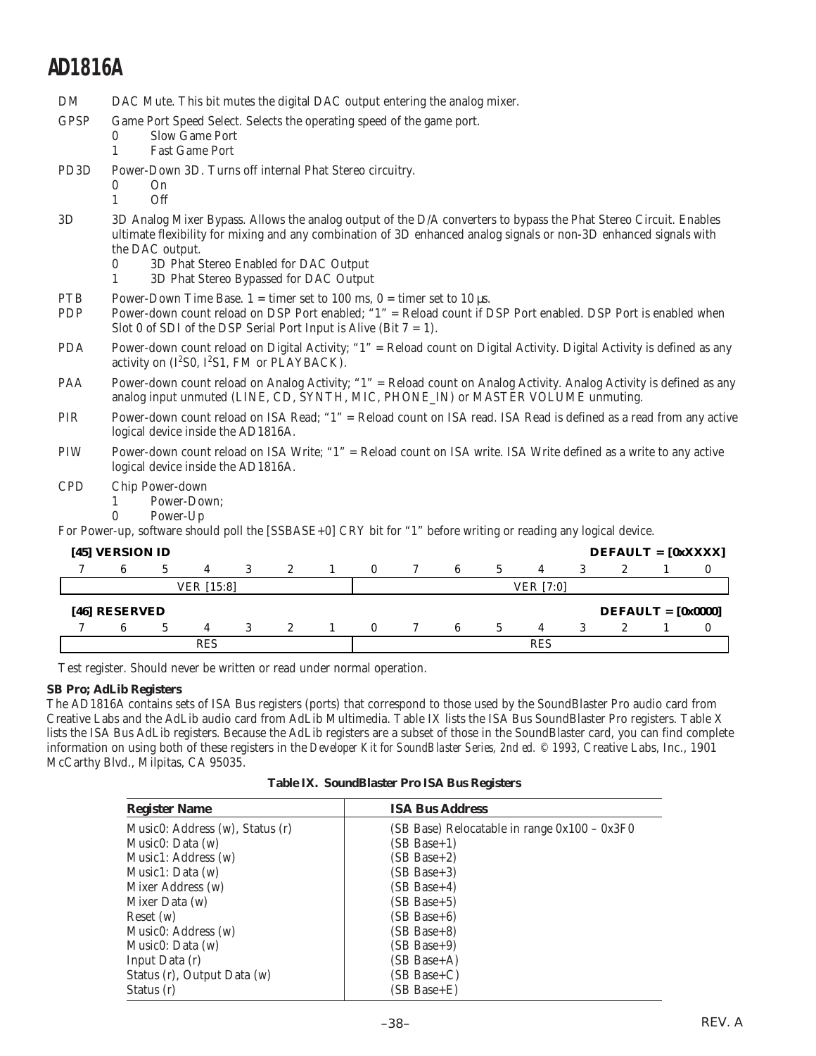DM DAC Mute. This bit mutes the digital DAC output entering the analog mixer.

| GPSP | Game Port Speed Select. Selects the operating speed of the game port. |  |  |  |
|------|-----------------------------------------------------------------------|--|--|--|
|      |                                                                       |  |  |  |

- 0 Slow Game Port
- 1 Fast Game Port
- PD3D Power-Down 3D. Turns off internal Phat Stereo circuitry.
	- $0$  On 1 Off
- 3D 3D Analog Mixer Bypass. Allows the analog output of the D/A converters to bypass the Phat Stereo Circuit. Enables ultimate flexibility for mixing and any combination of 3D enhanced analog signals or non-3D enhanced signals with the DAC output.
	- 0 3D Phat Stereo Enabled for DAC Output
	- 1 3D Phat Stereo Bypassed for DAC Output
	- PTB Power-Down Time Base. 1 = timer set to 100 ms, 0 = timer set to 10  $\mu$ s.
	- PDP Power-down count reload on DSP Port enabled; "1" = Reload count if DSP Port enabled. DSP Port is enabled when Slot 0 of SDI of the DSP Serial Port Input is Alive (Bit  $7 = 1$ ).
	- PDA Power-down count reload on Digital Activity; "1" = Reload count on Digital Activity. Digital Activity is defined as any activity on  $(I^2SO, I^2S1, FM$  or  $PLAYBACK)$ .
	- PAA Power-down count reload on Analog Activity; "1" = Reload count on Analog Activity. Analog Activity is defined as any analog input unmuted (LINE, CD, SYNTH, MIC, PHONE\_IN) or MASTER VOLUME unmuting.
	- PIR Power-down count reload on ISA Read; "1" = Reload count on ISA read. ISA Read is defined as a read from any active logical device inside the AD1816A.
	- PIW Power-down count reload on ISA Write; "1" = Reload count on ISA write. ISA Write defined as a write to any active logical device inside the AD1816A.
	- CPD Chip Power-down
		- 1 Power-Down;<br>0 Power-Up
		- Power-Up

For Power-up, software should poll the [SSBASE+0] CRY bit for "1" before writing or reading any logical device.

|               | [45] VERSION ID |    |            |  |             |  |            |  |   |    |                  | $DEFAULT = [0xXXX]$  |  |
|---------------|-----------------|----|------------|--|-------------|--|------------|--|---|----|------------------|----------------------|--|
| $\mathcal{L}$ |                 | h. |            |  | 2           |  | $^{\circ}$ |  | 6 | h. |                  |                      |  |
|               |                 |    | VER [15:8] |  |             |  |            |  |   |    | <b>VER</b> [7:0] |                      |  |
|               | [46] RESERVED   |    |            |  |             |  |            |  |   |    |                  | $DEFAULT = [0x0000]$ |  |
|               |                 |    |            |  |             |  |            |  |   |    |                  |                      |  |
|               |                 | h. |            |  | $2^{\circ}$ |  | $^{\circ}$ |  | 6 | h. |                  |                      |  |

Test register. Should never be written or read under normal operation.

### **SB Pro; AdLib Registers**

The AD1816A contains sets of ISA Bus registers (ports) that correspond to those used by the SoundBlaster Pro audio card from Creative Labs and the AdLib audio card from AdLib Multimedia. Table IX lists the ISA Bus SoundBlaster Pro registers. Table X lists the ISA Bus AdLib registers. Because the AdLib registers are a subset of those in the SoundBlaster card, you can find complete information on using both of these registers in the *Developer Kit for SoundBlaster Series, 2nd ed. © 1993*, Creative Labs, Inc., 1901 McCarthy Blvd., Milpitas, CA 95035.

**Table IX. SoundBlaster Pro ISA Bus Registers**

| <b>Register Name</b>            | <b>ISA Bus Address</b>                       |
|---------------------------------|----------------------------------------------|
| Music0: Address (w), Status (r) | (SB Base) Relocatable in range 0x100 – 0x3F0 |
| Music $0: Data(w)$              | (SB Base+1)                                  |
| Music1: Address (w)             | $(SB Base+2)$                                |
| Music1: Data $(w)$              | (SB Base+3)                                  |
| Mixer Address (w)               | (SB Base+4)                                  |
| Mixer Data (w)                  | (SB Base+5)                                  |
| Reset(w)                        | (SB Base+6)                                  |
| Music0: Address (w)             | (SB Base+8)                                  |
| Music $0: Data(w)$              | $(SB Base+9)$                                |
| Input Data (r)                  | (SB Base+A)                                  |
| Status (r), Output Data (w)     | (SB Base+C)                                  |
| Status (r)                      | (SB Base+E)                                  |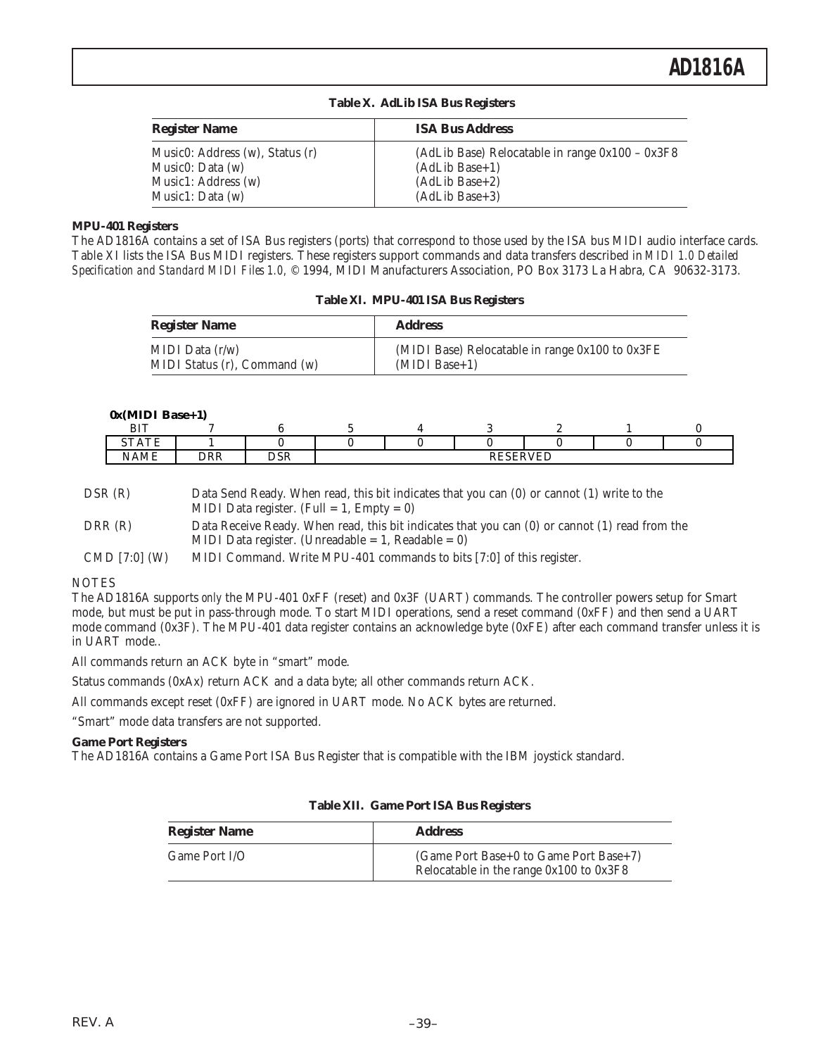| <b>Register Name</b>                                | <b>ISA Bus Address</b>                                                |
|-----------------------------------------------------|-----------------------------------------------------------------------|
| Music0: Address (w), Status (r)<br>Music0: Data (w) | (AdLib Base) Relocatable in range $0x100 - 0x3F8$<br>$(AdLib Base+1)$ |
| Music1: Address (w)                                 | $(AdLib Base+2)$                                                      |
| Music1: Data (w)                                    | $(AdLib Base+3)$                                                      |

|  |  |  |  | Table X. AdLib ISA Bus Registers |
|--|--|--|--|----------------------------------|
|--|--|--|--|----------------------------------|

### **MPU-401 Registers**

The AD1816A contains a set of ISA Bus registers (ports) that correspond to those used by the ISA bus MIDI audio interface cards. Table XI lists the ISA Bus MIDI registers. These registers support commands and data transfers described in *MIDI 1.0 Detailed Specification and Standard MIDI Files 1.0,* © 1994, MIDI Manufacturers Association, PO Box 3173 La Habra, CA 90632-3173.

|  |  | Table XI. MPU-401 ISA Bus Registers |
|--|--|-------------------------------------|
|  |  |                                     |

| <b>Register Name</b>         | <b>Address</b>                                  |
|------------------------------|-------------------------------------------------|
| MIDI Data $(r/w)$            | (MIDI Base) Relocatable in range 0x100 to 0x3FE |
| MIDI Status (r), Command (w) | $(MIDI Base+1)$                                 |

#### **0x(MIDI Base+1)**

| <b>BIT</b>                                     |            |                      |  |                        |   |  |
|------------------------------------------------|------------|----------------------|--|------------------------|---|--|
| $\lambda$<br>$\sim$<br>. <b>.</b><br>ັ<br>---- |            |                      |  |                        |   |  |
| . <del>.</del> <i>.</i> .<br><b>NAME</b>       | <b>DRR</b> | $n \alpha n$<br>יוטע |  | <b>DECEDVED</b><br>1v. | ப |  |
|                                                |            |                      |  |                        |   |  |

| DSR(R)        | Data Send Ready. When read, this bit indicates that you can (0) or cannot (1) write to the     |
|---------------|------------------------------------------------------------------------------------------------|
|               | MIDI Data register. (Full = 1, Empty = 0)                                                      |
| DRR (R)       | Data Receive Ready. When read, this bit indicates that you can (0) or cannot (1) read from the |
|               | MIDI Data register. (Unreadable $= 1$ , Readable $= 0$ )                                       |
| CMD [7:0] (W) | MIDI Command. Write MPU-401 commands to bits [7:0] of this register.                           |

#### NOTES

The AD1816A supports *only* the MPU-401 0xFF (reset) and 0x3F (UART) commands. The controller powers setup for Smart mode, but must be put in pass-through mode. To start MIDI operations, send a reset command (0xFF) and then send a UART mode command (0x3F). The MPU-401 data register contains an acknowledge byte (0xFE) after each command transfer unless it is in UART mode..

All commands return an ACK byte in "smart" mode.

Status commands (0xAx) return ACK and a data byte; all other commands return ACK.

All commands except reset (0xFF) are ignored in UART mode. No ACK bytes are returned.

"Smart" mode data transfers are not supported.

#### **Game Port Registers**

The AD1816A contains a Game Port ISA Bus Register that is compatible with the IBM joystick standard.

| <b>Register Name</b> | <b>Address</b>                          |
|----------------------|-----------------------------------------|
| Game Port I/O        | (Game Port Base+0 to Game Port Base+7)  |
|                      | Relocatable in the range 0x100 to 0x3F8 |

#### **Table XII. Game Port ISA Bus Registers**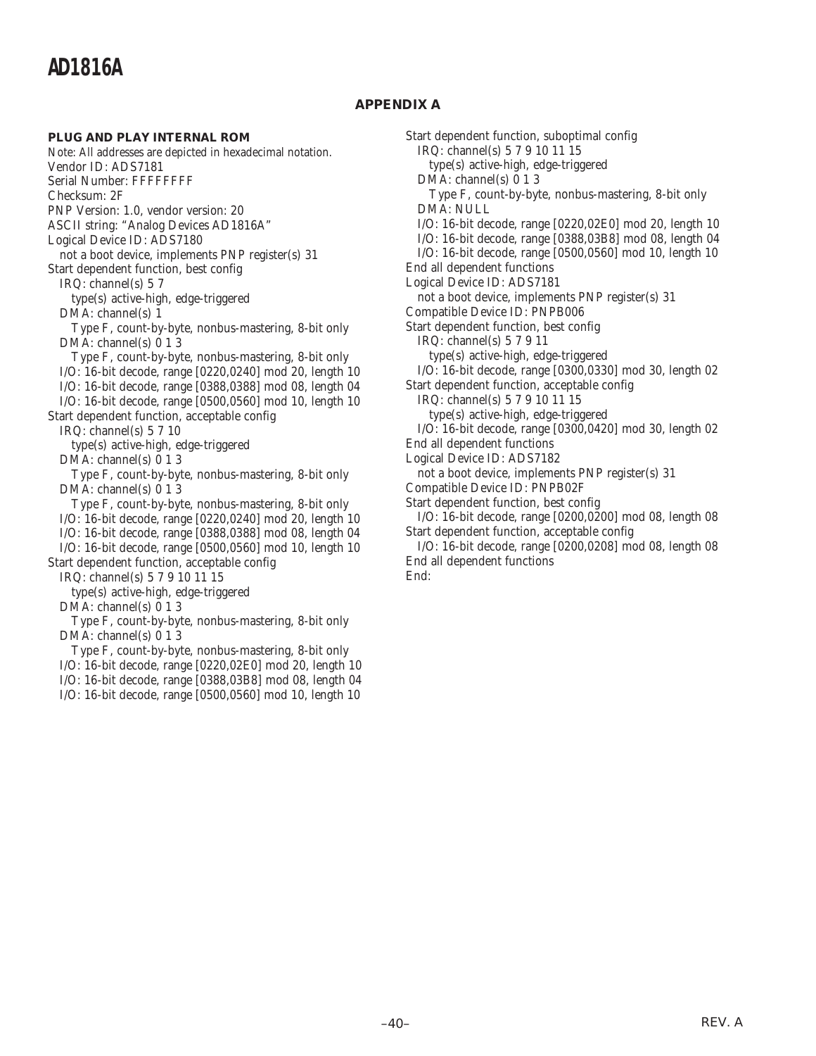### **APPENDIX A**

### **PLUG AND PLAY INTERNAL ROM**

Note: All addresses are depicted in hexadecimal notation. Vendor ID: ADS7181 Serial Number: FFFFFFFF Checksum: 2F PNP Version: 1.0, vendor version: 20 ASCII string: "Analog Devices AD1816A" Logical Device ID: ADS7180 not a boot device, implements PNP register(s) 31 Start dependent function, best config IRQ: channel(s) 5 7 type(s) active-high, edge-triggered DMA: channel(s) 1 Type F, count-by-byte, nonbus-mastering, 8-bit only DMA: channel(s) 0 1 3 Type F, count-by-byte, nonbus-mastering, 8-bit only I/O: 16-bit decode, range [0220,0240] mod 20, length 10 I/O: 16-bit decode, range [0388,0388] mod 08, length 04 I/O: 16-bit decode, range [0500,0560] mod 10, length 10 Start dependent function, acceptable config IRQ: channel(s) 5 7 10 type(s) active-high, edge-triggered DMA: channel(s) 0 1 3 Type F, count-by-byte, nonbus-mastering, 8-bit only DMA: channel(s) 0 1 3 Type F, count-by-byte, nonbus-mastering, 8-bit only I/O: 16-bit decode, range [0220,0240] mod 20, length 10 I/O: 16-bit decode, range [0388,0388] mod 08, length 04 I/O: 16-bit decode, range [0500,0560] mod 10, length 10 Start dependent function, acceptable config IRQ: channel(s) 5 7 9 10 11 15 type(s) active-high, edge-triggered DMA: channel(s) 0 1 3 Type F, count-by-byte, nonbus-mastering, 8-bit only DMA: channel(s) 0 1 3

Type F, count-by-byte, nonbus-mastering, 8-bit only

I/O: 16-bit decode, range [0220,02E0] mod 20, length 10

I/O: 16-bit decode, range [0388,03B8] mod 08, length 04

I/O: 16-bit decode, range [0500,0560] mod 10, length 10

Start dependent function, suboptimal config IRQ: channel(s) 5 7 9 10 11 15 type(s) active-high, edge-triggered DMA: channel(s) 0 1 3 Type F, count-by-byte, nonbus-mastering, 8-bit only DMA: NULL I/O: 16-bit decode, range [0220,02E0] mod 20, length 10 I/O: 16-bit decode, range [0388,03B8] mod 08, length 04 I/O: 16-bit decode, range [0500,0560] mod 10, length 10 End all dependent functions Logical Device ID: ADS7181 not a boot device, implements PNP register(s) 31 Compatible Device ID: PNPB006 Start dependent function, best config IRQ: channel(s) 5 7 9 11 type(s) active-high, edge-triggered I/O: 16-bit decode, range [0300,0330] mod 30, length 02 Start dependent function, acceptable config IRQ: channel(s) 5 7 9 10 11 15 type(s) active-high, edge-triggered I/O: 16-bit decode, range [0300,0420] mod 30, length 02 End all dependent functions Logical Device ID: ADS7182 not a boot device, implements PNP register(s) 31 Compatible Device ID: PNPB02F Start dependent function, best config I/O: 16-bit decode, range [0200,0200] mod 08, length 08 Start dependent function, acceptable config I/O: 16-bit decode, range [0200,0208] mod 08, length 08 End all dependent functions

End: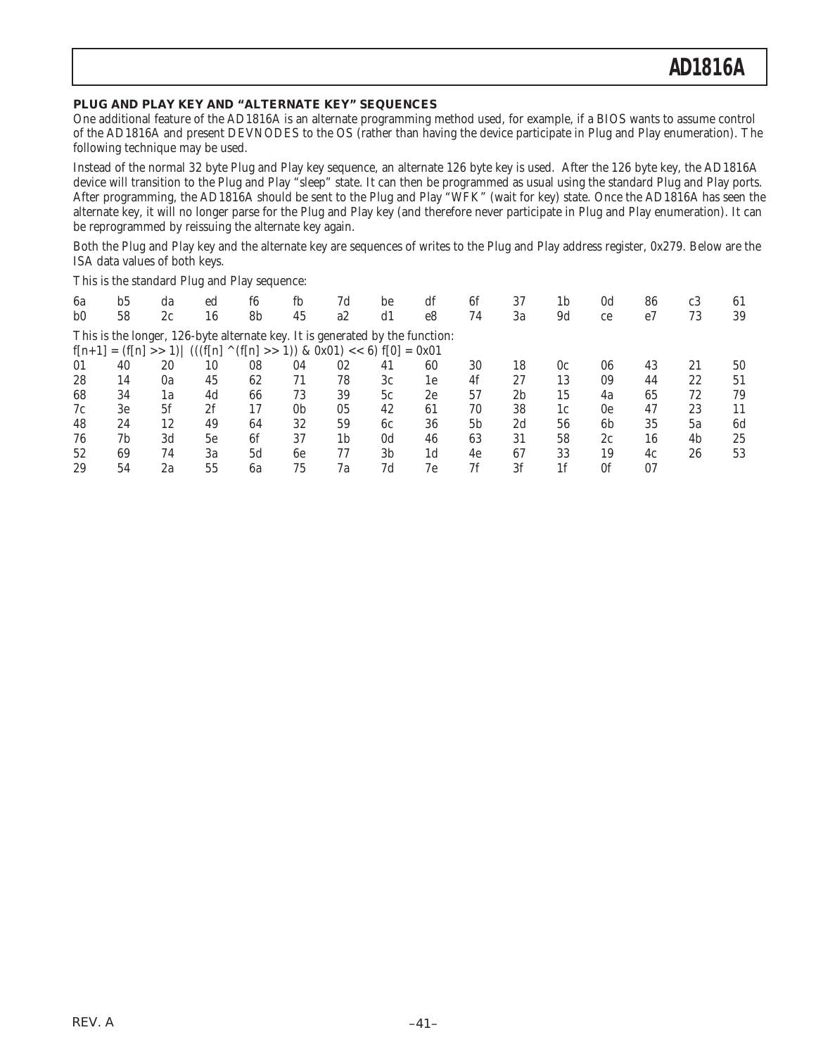### **PLUG AND PLAY KEY AND "ALTERNATE KEY" SEQUENCES**

One additional feature of the AD1816A is an alternate programming method used, for example, if a BIOS wants to assume control of the AD1816A and present DEVNODES to the OS (rather than having the device participate in Plug and Play enumeration). The following technique may be used.

Instead of the normal 32 byte Plug and Play key sequence, an alternate 126 byte key is used. After the 126 byte key, the AD1816A device will transition to the Plug and Play "sleep" state. It can then be programmed as usual using the standard Plug and Play ports. After programming, the AD1816A should be sent to the Plug and Play "WFK" (wait for key) state. Once the AD1816A has seen the alternate key, it will no longer parse for the Plug and Play key (and therefore never participate in Plug and Play enumeration). It can be reprogrammed by reissuing the alternate key again.

Both the Plug and Play key and the alternate key are sequences of writes to the Plug and Play address register, 0x279. Below are the ISA data values of both keys.

This is the standard Plug and Play sequence:

| 6a                     | b5 | da | ed                                                                           | f6 | fb                                        | 7d             | be             | df             | 6f             | 37             | 1b             | 0d             | 86 | c <sub>3</sub> | 61 |
|------------------------|----|----|------------------------------------------------------------------------------|----|-------------------------------------------|----------------|----------------|----------------|----------------|----------------|----------------|----------------|----|----------------|----|
| b <sub>0</sub>         | 58 | 2c | 16                                                                           | 8b | 45                                        | a2             | d1             | e <sup>8</sup> | 74             | 3a             | 9d             | ce             | e7 | 73             | 39 |
|                        |    |    | This is the longer, 126-byte alternate key. It is generated by the function: |    |                                           |                |                |                |                |                |                |                |    |                |    |
| $f[n+1] = (f[n] >> 1)$ |    |    | $(((f[n])^{\wedge})^{\wedge})^{\wedge})$                                     |    | $(f[n] >> 1)$ & 0x01) << 6) $f[0] = 0x01$ |                |                |                |                |                |                |                |    |                |    |
| 01                     | 40 | 20 | 10                                                                           | 08 | 04                                        | 02             | 41             | 60             | 30             | 18             | 0c             | 06             | 43 | 21             | 50 |
| 28                     | 14 | 0a | 45                                                                           | 62 | 71                                        | 78             | 3c             | 1e             | 4f             | 27             | 13             | 09             | 44 | 22             | 51 |
| 68                     | 34 | 1a | 4d                                                                           | 66 | 73                                        | 39             | 5c             | 2e             | 57             | 2 <sub>b</sub> | 15             | 4a             | 65 | 72             | 79 |
| 7c                     | 3e | 5f | 2f                                                                           | 17 | 0 <sub>b</sub>                            | 05             | 42             | 61             | 70             | 38             | 1c             | 0e             | 47 | 23             | 11 |
| 48                     | 24 | 12 | 49                                                                           | 64 | 32                                        | 59             | 6c             | 36             | 5 <sub>b</sub> | 2d             | 56             | 6 <sub>b</sub> | 35 | 5a             | 6d |
| 76                     | 7b | 3d | 5e                                                                           | 6f | 37                                        | 1 <sub>b</sub> | 0 <sub>d</sub> | 46             | 63             | 31             | 58             | 2c             | 16 | 4b             | 25 |
| 52                     | 69 | 74 | 3a                                                                           | 5d | 6e                                        | 77             | 3 <sub>b</sub> | 1 <sub>d</sub> | 4e             | 67             | 33             | 19             | 4c | 26             | 53 |
| 29                     | 54 | 2a | 55                                                                           | 6a | 75                                        | 7a             | 7d             | 7e             | 7f             | 3f             | 1 <sub>f</sub> | 0f             | 07 |                |    |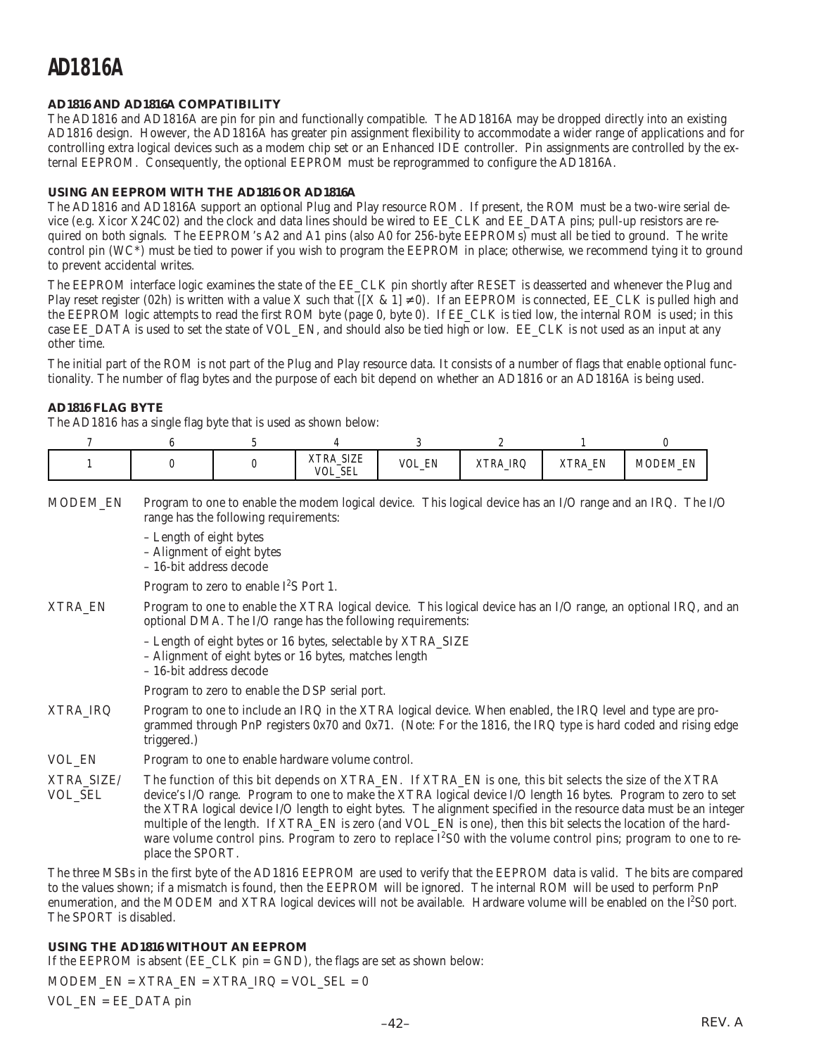### **AD1816 AND AD1816A COMPATIBILITY**

The AD1816 and AD1816A are pin for pin and functionally compatible. The AD1816A may be dropped directly into an existing AD1816 design. However, the AD1816A has greater pin assignment flexibility to accommodate a wider range of applications and for controlling extra logical devices such as a modem chip set or an Enhanced IDE controller. Pin assignments are controlled by the external EEPROM. Consequently, the optional EEPROM must be reprogrammed to configure the AD1816A.

### **USING AN EEPROM WITH THE AD1816 OR AD1816A**

The AD1816 and AD1816A support an optional Plug and Play resource ROM. If present, the ROM must be a two-wire serial device (e.g. Xicor X24C02) and the clock and data lines should be wired to EE\_CLK and EE\_DATA pins; pull-up resistors are required on both signals. The EEPROM's A2 and A1 pins (also A0 for 256-byte EEPROMs) must all be tied to ground. The write control pin  $(WC^*)$  must be tied to power if you wish to program the EEPROM in place; otherwise, we recommend tying it to ground to prevent accidental writes.

The EEPROM interface logic examines the state of the EE\_CLK pin shortly after RESET is deasserted and whenever the Plug and Play reset register (02h) is written with a value X such that ( $[X & 1] \neq 0$ ). If an EEPROM is connected, EE\_CLK is pulled high and the EEPROM logic attempts to read the first ROM byte (page 0, byte 0). If EE\_CLK is tied low, the internal ROM is used; in this case EE\_DATA is used to set the state of VOL\_EN, and should also be tied high or low. EE\_CLK is not used as an input at any other time.

The initial part of the ROM is not part of the Plug and Play resource data. It consists of a number of flags that enable optional functionality. The number of flag bytes and the purpose of each bit depend on whether an AD1816 or an AD1816A is being used.

### **AD1816 FLAG BYTE**

The AD1816 has a single flag byte that is used as shown below:

|  | XTRA_SIZE<br><b>VOL_SEL</b> | VOL_EN | IRQ<br>XTRA_ | EN<br>XTRA <sub>_</sub> | <b>MODEM EN</b> |
|--|-----------------------------|--------|--------------|-------------------------|-----------------|

MODEM\_EN Program to one to enable the modem logical device. This logical device has an I/O range and an IRQ. The I/O range has the following requirements:

– Length of eight bytes

– Alignment of eight bytes

– 16-bit address decode

Program to zero to enable  $I^2S$  Port 1.

- XTRA\_EN Program to one to enable the XTRA logical device. This logical device has an I/O range, an optional IRQ, and an optional DMA. The I/O range has the following requirements:
	- Length of eight bytes or 16 bytes, selectable by XTRA\_SIZE
	- Alignment of eight bytes or 16 bytes, matches length
	- 16-bit address decode

Program to zero to enable the DSP serial port.

- XTRA\_IRQ Program to one to include an IRQ in the XTRA logical device. When enabled, the IRQ level and type are programmed through PnP registers 0x70 and 0x71. (Note: For the 1816, the IRQ type is hard coded and rising edge triggered.)
- VOL EN Program to one to enable hardware volume control.

XTRA\_SIZE/ The function of this bit depends on XTRA\_EN. If XTRA\_EN is one, this bit selects the size of the XTRA VOL\_SEL device's I/O range. Program to one to make the XTRA logical device I/O length 16 bytes. Program to zero to set the XTRA logical device I/O length to eight bytes. The alignment specified in the resource data must be an integer multiple of the length. If XTRA\_EN is zero (and VOL\_EN is one), then this bit selects the location of the hardware volume control pins. Program to zero to replace I<sup>2</sup>S0 with the volume control pins; program to one to replace the SPORT.

The three MSBs in the first byte of the AD1816 EEPROM are used to verify that the EEPROM data is valid. The bits are compared to the values shown; if a mismatch is found, then the EEPROM will be ignored. The internal ROM will be used to perform PnP enumeration, and the MODEM and XTRA logical devices will not be available. Hardware volume will be enabled on the  $l^2$ S0 port. The SPORT is disabled.

### **USING THE AD1816 WITHOUT AN EEPROM**

If the EEPROM is absent (EE\_CLK pin = GND), the flags are set as shown below:

MODEM\_EN =  $XTRA$   $EN = XTRA$   $IRQ = VOL$   $SEL = 0$ VOL\_EN = EE\_DATA pin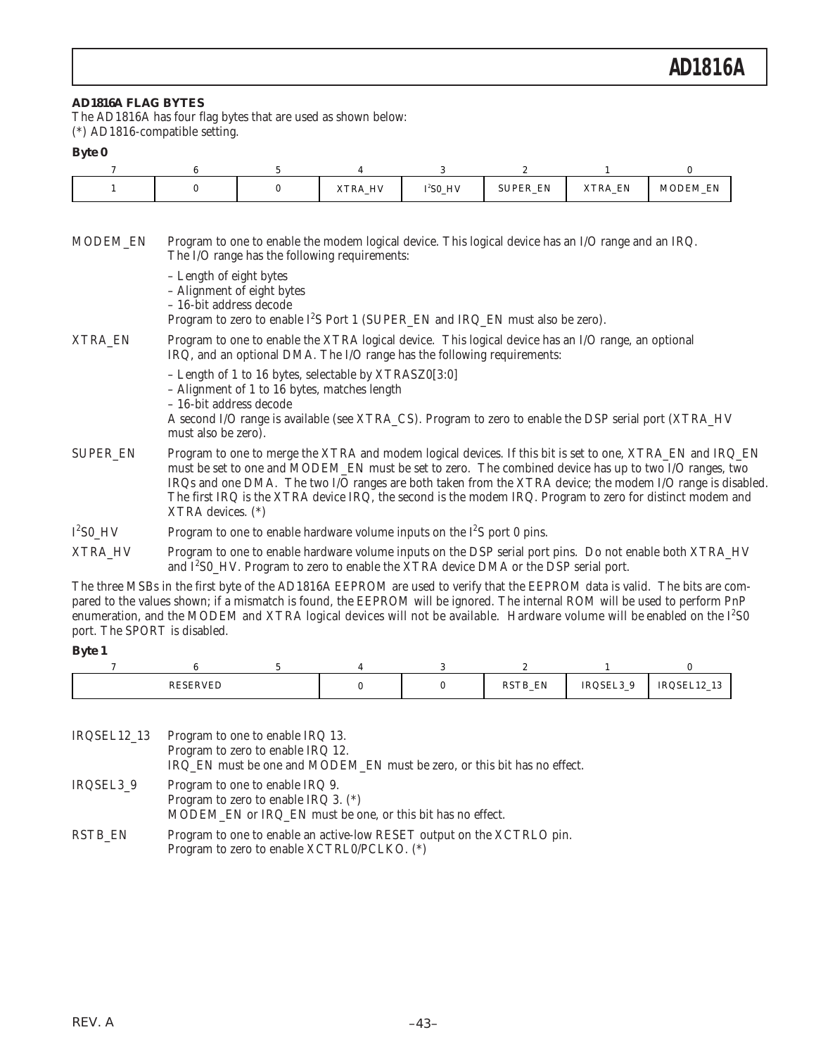### **AD1816A FLAG BYTES**

The AD1816A has four flag bytes that are used as shown below: (\*) AD1816-compatible setting.

### **Byte 0**

|  |  | XTRA_HV | $I2SO_HV$ | EN<br><b>SUPER</b><br>$-$ | XTRA_EN | <b>MODEM EN</b> |
|--|--|---------|-----------|---------------------------|---------|-----------------|

MODEM\_EN Program to one to enable the modem logical device. This logical device has an I/O range and an IRQ. The I/O range has the following requirements: – Length of eight bytes – Alignment of eight bytes – 16-bit address decode Program to zero to enable  $I^2S$  Port 1 (SUPER\_EN and IRQ\_EN must also be zero). XTRA\_EN Program to one to enable the XTRA logical device. This logical device has an I/O range, an optional IRQ, and an optional DMA. The I/O range has the following requirements: – Length of 1 to 16 bytes, selectable by XTRASZ0[3:0] – Alignment of 1 to 16 bytes, matches length – 16-bit address decode A second I/O range is available (see XTRA\_CS). Program to zero to enable the DSP serial port (XTRA\_HV must also be zero). SUPER\_EN Program to one to merge the XTRA and modem logical devices. If this bit is set to one, XTRA\_EN and IRQ\_EN must be set to one and MODEM\_EN must be set to zero. The combined device has up to two I/O ranges, two IRQs and one DMA. The two I/O ranges are both taken from the XTRA device; the modem I/O range is disabled. The first IRQ is the XTRA device IRQ, the second is the modem IRQ. Program to zero for distinct modem and XTRA devices. (\*)  $I^2$ S0\_HV Program to one to enable hardware volume inputs on the  $I^2S$  port 0 pins. XTRA HV Program to one to enable hardware volume inputs on the DSP serial port pins. Do not enable both XTRA\_HV and  $I^2$ S0\_HV. Program to zero to enable the XTRA device DMA or the DSP serial port.

The three MSBs in the first byte of the AD1816A EEPROM are used to verify that the EEPROM data is valid. The bits are compared to the values shown; if a mismatch is found, the EEPROM will be ignored. The internal ROM will be used to perform PnP enumeration, and the MODEM and XTRA logical devices will not be available. Hardware volume will be enabled on the  $I^2$ S0 port. The SPORT is disabled.

#### **Byte 1**

| the contract of the contract of the contract of the contract of the contract of the contract of the contract of |  | <b>EN</b><br>DCTD<br><b>IND TT</b><br>. .<br>. — | IRQSEL3<br><u>, ripo</u> | τRι<br>$\sim$<br>10<br>.<br><br>the contract of the contract of the |
|-----------------------------------------------------------------------------------------------------------------|--|--------------------------------------------------|--------------------------|---------------------------------------------------------------------|

IRQSEL12\_13 Program to one to enable IRQ 13. Program to zero to enable IRQ 12. IRQ\_EN must be one and MODEM\_EN must be zero, or this bit has no effect. IRQSEL3\_9 Program to one to enable IRQ 9. Program to zero to enable IRQ 3. (\*) MODEM\_EN or IRQ\_EN must be one, or this bit has no effect. RSTB\_EN Program to one to enable an active-low RESET output on the XCTRLO pin.

Program to zero to enable XCTRL0/PCLKO. (\*)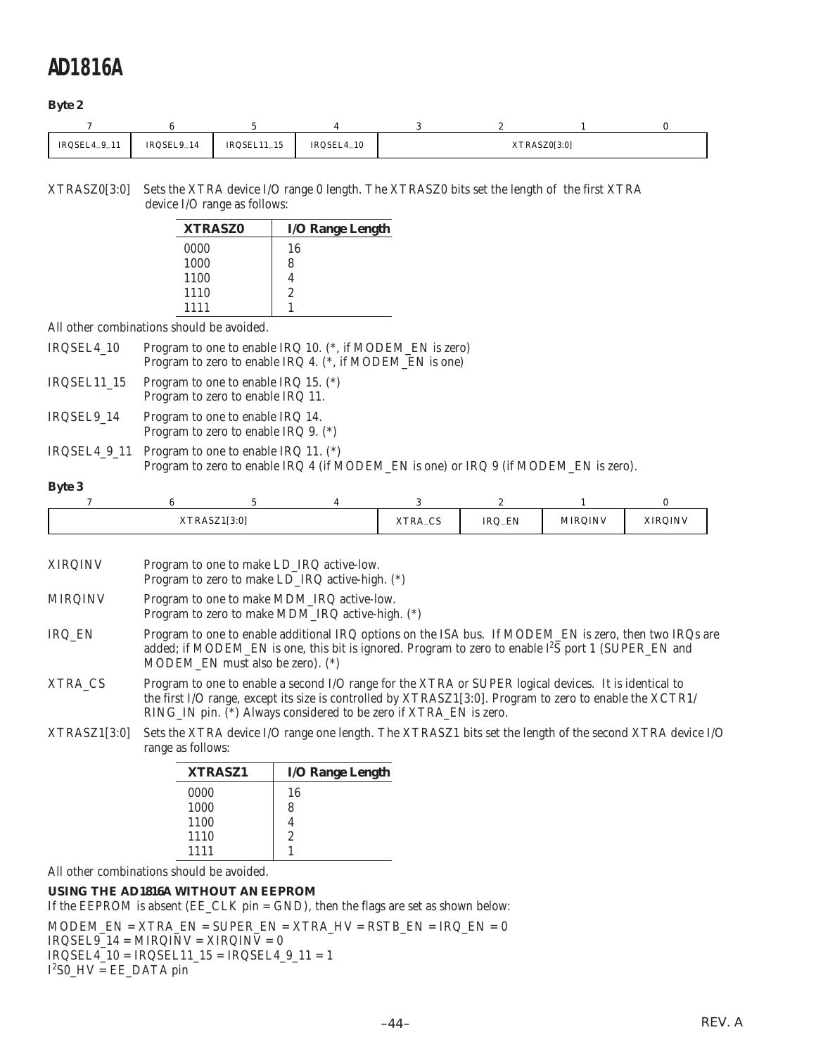### **Byte 2**

| IRQSEL4_9_11 | IRQSEL9_14 | $IRQSEL11_15$ | IRQSEL4_10 |  | XTRASZ0[3:0] |  |
|--------------|------------|---------------|------------|--|--------------|--|

XTRASZ0[3:0] Sets the XTRA device I/O range 0 length. The XTRASZ0 bits set the length of the first XTRA device I/O range as follows:

| <b>XTRASZ0</b> | <b>I/O Range Length</b> |
|----------------|-------------------------|
| 0000           | 16                      |
| 1000           | 8                       |
| 1100           |                         |
| 1110           | 2                       |
| 1111           |                         |
|                |                         |

All other combinations should be avoided.

| IRQSEL4_10  | Program to one to enable IRQ 10. (*, if MODEM_EN is zero)<br>Program to zero to enable IRQ 4. (*, if MODEM_EN is one)                       |
|-------------|---------------------------------------------------------------------------------------------------------------------------------------------|
| IRQSEL11_15 | Program to one to enable IRQ 15. $(*)$<br>Program to zero to enable IRQ 11.                                                                 |
| IRQSEL9 14  | Program to one to enable IRQ 14.<br>Program to zero to enable IRQ 9. $(*)$                                                                  |
|             | IRQSEL4_9_11 Program to one to enable IRQ 11. $(*)$<br>Program to zero to enable IRQ 4 (if MODEM EN is one) or IRQ 9 (if MODEM EN is zero). |

### **Byte 3**

| <b>AIRAJL</b> | ASZ1[3:0] | $\sim$<br>XTRA_CS | <b>EN</b><br>IRQ_EN | <b>MIRQINV</b> | <b>XIROINV</b><br>. |
|---------------|-----------|-------------------|---------------------|----------------|---------------------|

| <b>XIRQINV</b> | Program to one to make LD_IRQ active-low.<br>Program to zero to make LD_IRQ active-high. (*)                                                                                                                                                                                           |
|----------------|----------------------------------------------------------------------------------------------------------------------------------------------------------------------------------------------------------------------------------------------------------------------------------------|
| <b>MIRQINV</b> | Program to one to make MDM_IRQ active-low.<br>Program to zero to make MDM_IRQ active-high. (*)                                                                                                                                                                                         |
| IRQ_EN         | Program to one to enable additional IRQ options on the ISA bus. If MODEM_EN is zero, then two IRQs are<br>added; if MODEM_EN is one, this bit is ignored. Program to zero to enable 1 <sup>2</sup> S port 1 (SUPER_EN and<br>MODEM EN must also be zero). (*)                          |
| XTRA CS        | Program to one to enable a second I/O range for the XTRA or SUPER logical devices. It is identical to<br>the first I/O range, except its size is controlled by XTRASZ1[3:0]. Program to zero to enable the XCTR1/<br>RING_IN pin. (*) Always considered to be zero if XTRA_EN is zero. |
| XTRASZ1[3:0]   | Sets the XTRA device I/O range one length. The XTRASZ1 bits set the length of the second XTRA device I/O<br>range as follows:                                                                                                                                                          |

| <b>XTRASZ1</b> | <b>I/O Range Length</b> |
|----------------|-------------------------|
| 0000           | 16                      |
| 1000           | 8                       |
| 1100           |                         |
| 1110           | 2                       |
| 1111           |                         |
|                |                         |

All other combinations should be avoided.

### **USING THE AD1816A WITHOUT AN EEPROM**

If the EEPROM is absent (EE\_CLK pin = GND), then the flags are set as shown below:

 $\text{MODEM\_EN} = \text{XTRA\_EN} = \text{SUPER\_EN} = \text{XTRA\_HV} = \text{RSTB\_EN} = \text{IRQ\_EN} = 0$  $IRQSEL9_14 = MIRQINV = XIRQINV = 0$  $IRQSEL4_10 = IRQSEL11_15 = IRQSEL4_9_11 = 1$ 

I 2 S0\_HV = EE\_DATA pin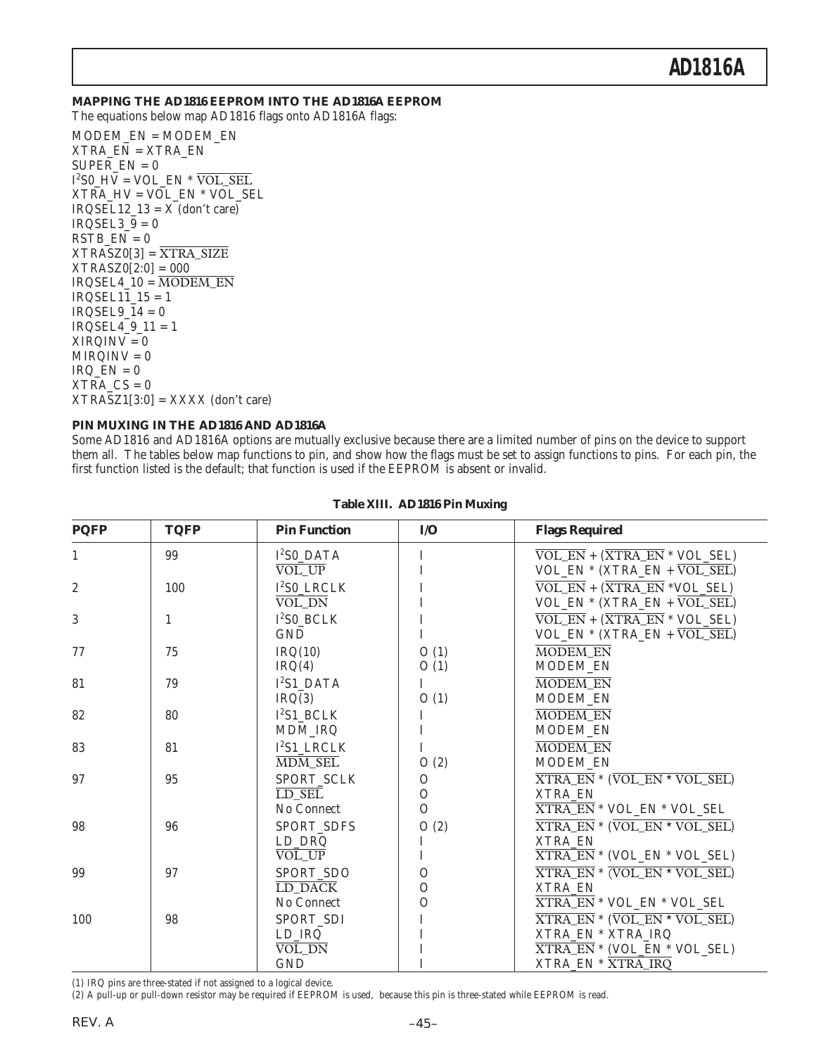#### **MAPPING THE AD1816 EEPROM INTO THE AD1816A EEPROM**

The equations below map AD1816 flags onto AD1816A flags:

MODEM\_EN = MODEM\_EN XTRA\_EN = XTRA\_EN  $SUPER EN = 0$ I 2 S0\_HV = VOL\_EN \* VOL\_SEL XTRA\_HV = VOL\_EN \* VOL\_SEL  $IRQSEL12_13 = X$  (don't care)  $IRQSEL3_9 = 0$  $RSTB$   $EN = 0$  $XTRASZ0[3] = \overline{XTRA_SIZE}$ XTRASZ0[2:0] = 000  $IRQSEL4_10 = \overline{MODEM_EN}$  $IRQSEL11_15 = 1$  $IRQSEL9_14 = 0$  $IRQSEL4$   $9$   $11 = 1$  $XIRQINV = 0$  $MIRQINV = 0$  $IRQ_EN = 0$  $XTRA_CS = 0$  $XTRASZ1[3:0] = XXXX$  (don't care)

#### **PIN MUXING IN THE AD1816 AND AD1816A**

Some AD1816 and AD1816A options are mutually exclusive because there are a limited number of pins on the device to support them all. The tables below map functions to pin, and show how the flags must be set to assign functions to pins. For each pin, the first function listed is the default; that function is used if the EEPROM is absent or invalid.

| <b>PQFP</b>    | <b>TQFP</b> | <b>Pin Function</b>         | I/O           | <b>Flags Required</b>                                                                   |
|----------------|-------------|-----------------------------|---------------|-----------------------------------------------------------------------------------------|
| 1              | 99          | $I2S0$ DATA                 | I             | $\overline{\text{VOL\_EN}} + (\overline{\text{XTRA\_EN}} * \text{VOL\_SEL})$            |
|                |             | VOL UP                      | T             | $VOL$ EN * (XTRA_EN + $\overline{VOL}$ SEL)                                             |
| $\overline{2}$ | 100         | $I2SO$ LRCLK                | I             | $\overline{\text{VOL\_EN}} + (\overline{\text{XTRA\_EN}} * \text{VOL\_SEL})$            |
|                |             | $\overline{\text{VOL\_DN}}$ | I             | $VOL$ EN * (XTRA_EN + $\overline{VOL}$ SEL)                                             |
| 3              | 1           | $I2SO$ BCLK                 | I             | $\overline{\text{VOL\_EN}} + (\overline{\text{XTRA\_EN}} * \text{VOL\_SEL})$            |
|                |             | <b>GND</b>                  | I             | $VOL$ EN * (XTRA_EN + $\overline{VOL}$ SEL)                                             |
| 77             | 75          | IRQ(10)                     | O(1)          | <b>MODEM EN</b>                                                                         |
|                |             | IRQ(4)                      | O(1)          | <b>MODEM EN</b>                                                                         |
| 81             | 79          | $I^2S1$ DATA                | L             | <b>MODEM EN</b>                                                                         |
|                |             | IRQ(3)                      | O(1)          | MODEM_EN                                                                                |
| 82             | 80          | $I^2S1$ BCLK                | L             | <b>MODEM EN</b>                                                                         |
|                |             | MDM_IRQ                     | I             | MODEM_EN                                                                                |
| 83             | 81          | $I^2S1$ LRCLK               | I             | <b>MODEM EN</b>                                                                         |
|                |             | MDM_SEL                     | O(2)          | <b>MODEM EN</b>                                                                         |
| 97             | 95          | SPORT SCLK                  | $\Omega$      | <b>XTRA_EN</b> * (VOL_EN * VOL_SEL)                                                     |
|                |             | LD SEL                      | $\Omega$      | <b>XTRA EN</b>                                                                          |
|                |             | No Connect                  | $\Omega$      | <b>XTRA_EN * VOL_EN * VOL_SEL</b>                                                       |
| 98             | 96          | SPORT_SDFS                  | O(2)          | $\overline{\text{XTRA\_EN}} * (\overline{\text{VOL\_EN}} * \overline{\text{VOL\_SEL}})$ |
|                |             | LD_DRQ                      | I             | <b>XTRA EN</b>                                                                          |
|                |             | VOL_UP                      | I             | <b>XTRA_EN</b> * (VOL_EN * VOL_SEL)                                                     |
| 99             | 97          | SPORT SDO                   | $\mathcal{O}$ | $\overline{\text{XTRA\_EN}} * \overline{\text{VOL\_EN}} * \overline{\text{VOL\_SEL}}$   |
|                |             | LD_DACK                     | $\mathcal{O}$ | <b>XTRA_EN</b>                                                                          |
|                |             | No Connect                  | $\mathcal{O}$ | <b>XTRA_EN * VOL_EN * VOL_SEL</b>                                                       |
| 100            | 98          | SPORT_SDI                   | I             | <b>XTRA_EN</b> * (VOL_EN * VOL_SEL)                                                     |
|                |             | LD_IRQ                      |               | XTRA_EN * XTRA_IRQ                                                                      |
|                |             | $\overline{\text{VOL}}$ DN  | I<br>I        | <b>XTRA_EN</b> * (VOL_EN * VOL_SEL)                                                     |
|                |             | <b>GND</b>                  |               | XTRA_EN * XTRA_IRQ                                                                      |

#### **Table XIII. AD1816 Pin Muxing**

(1) IRQ pins are three-stated if not assigned to a logical device.

(2) A pull-up or pull-down resistor may be required if EEPROM is used, because this pin is three-stated while EEPROM is read.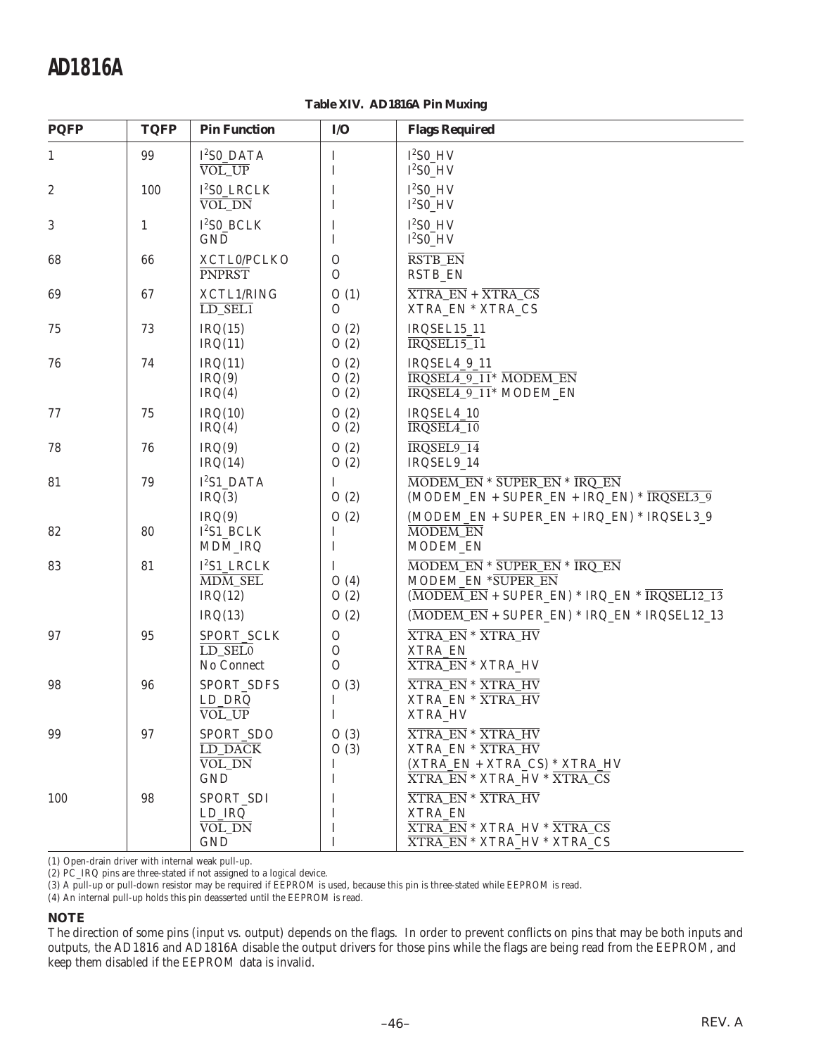**Table XIV. AD1816A Pin Muxing**

| <b>PQFP</b>  | <b>TQFP</b>  | <b>Pin Function</b>                                      | I/O                                           | <b>Flags Required</b>                                                                                                                               |
|--------------|--------------|----------------------------------------------------------|-----------------------------------------------|-----------------------------------------------------------------------------------------------------------------------------------------------------|
| $\mathbf{1}$ | 99           | $I^2$ S0_DATA<br>VOL UP                                  | I<br>I                                        | $I2SO$ HV<br>$I^2SO_HV$                                                                                                                             |
| 2            | 100          | $I2SO_LRCLK$<br>VOL_DN                                   | I<br>I                                        | $I2SO$ HV<br>$I^2$ S0_HV                                                                                                                            |
| 3            | $\mathbf{1}$ | $I2SO_BCLK$<br><b>GND</b>                                | I<br>I                                        | $I^2S0$ HV<br>$I^2$ S0_HV                                                                                                                           |
| 68           | 66           | XCTL0/PCLKO<br><b>PNPRST</b>                             | $\overline{O}$<br>$\mathcal{O}$               | <b>RSTB EN</b><br><b>RSTB_EN</b>                                                                                                                    |
| 69           | 67           | XCTL1/RING<br>$LD$ <sub>SEL1</sub>                       | O(1)<br>$\overline{O}$                        | $\overline{\text{XTRA\_EN}} + \overline{\text{XTRA\_CS}}$<br>XTRA_EN * XTRA_CS                                                                      |
| 75           | 73           | IRQ(15)<br>IRQ(11)                                       | O(2)<br>O(2)                                  | IRQSEL15_11<br>$IRQSEL15_11$                                                                                                                        |
| 76           | 74           | IRQ(11)<br>IRQ(9)<br>IRQ(4)                              | O(2)<br>O(2)<br>O(2)                          | IRQSEL4_9_11<br>IRQSEL4_9_11* MODEM_EN<br>IRQSEL4_9_11* MODEM_EN                                                                                    |
| 77           | 75           | IRQ(10)<br>IRQ(4)                                        | O(2)<br>O(2)                                  | IRQSEL4_10<br>IRQSEL4_10                                                                                                                            |
| 78           | 76           | IRQ(9)<br>IRQ(14)                                        | O(2)<br>O(2)                                  | IRQSEL9 14<br>IRQSEL9_14                                                                                                                            |
| 81           | 79           | I <sup>2</sup> S1 DATA<br>IRQ(3)                         | I<br>O(2)                                     | MODEM EN * SUPER EN * IRQ EN<br>(MODEM EN + SUPER EN + IRQ EN) * $\overline{IRQSEL39}$                                                              |
| 82           | 80           | IRQ(9)<br>$I^2S1$ _BCLK<br>MDM_IRQ                       | O(2)<br>I<br>I                                | (MODEM_EN + SUPER_EN + IRQ_EN) * IRQSEL3_9<br>MODEM_EN<br>MODEM_EN                                                                                  |
| 83           | 81           | $I^2S1$ LRCLK<br>MDM_SEL<br>IRQ(12)                      | Ι<br>O(4)<br>O(2)                             | MODEM_EN * SUPER_EN * IRQ_EN<br>MODEM_EN *SUPER_EN<br>$(\overline{MODEM\_EN} + \text{SUPER\_EN}) * \text{IRQ\_EN} * \overline{\text{IRQSEL12\_13}}$ |
|              |              | IRQ(13)                                                  | O(2)                                          | $(\overline{MODEM\_EN} + \text{SUPER\_EN}) * \text{IRQ\_EN} * \text{IRQSEL12\_13})$                                                                 |
| 97           | 95           | SPORT_SCLK<br>LD SELO<br>No Connect                      | $\mathcal O$<br>$\mathcal O$<br>$\mathcal{O}$ | <b>XTRA EN * XTRA HV</b><br>XTRA_EN<br>XTRA_EN * XTRA_HV                                                                                            |
| 98           | 96           | SPORT_SDFS<br>LD_DRQ<br>VOL_UP                           | O(3)<br>I<br>I                                | <b>XTRA_EN * XTRA_HV</b><br>XTRA_EN * XTRA_HV<br>XTRA_HV                                                                                            |
| 99           | 97           | SPORT SDO<br>LD_DACK<br>VOL_DN<br><b>GND</b>             | O(3)<br>O(3)<br>Ι<br>I                        | <b>XTRA_EN * XTRA_HV</b><br>XTRA_EN * XTRA_HV<br>(XTRA_EN + XTRA_CS) * XTRA_HV<br><b>XTRA_EN * XTRA_HV * XTRA_CS</b>                                |
| 100          | 98           | SPORT_SDI<br>$LD$ <sub>IRQ</sub><br>VOL_DN<br><b>GND</b> | $\bf{l}$<br>I<br>Ι<br>Ι                       | <b>XTRA_EN * XTRA_HV</b><br>XTRA_EN<br><b>XTRA_EN * XTRA_HV * XTRA_CS</b><br><b>XTRA_EN * XTRA_HV * XTRA_CS</b>                                     |

(1) Open-drain driver with internal weak pull-up.

(2) PC\_IRQ pins are three-stated if not assigned to a logical device.

(3) A pull-up or pull-down resistor may be required if EEPROM is used, because this pin is three-stated while EEPROM is read.

(4) An internal pull-up holds this pin deasserted until the EEPROM is read.

#### **NOTE**

The direction of some pins (input vs. output) depends on the flags. In order to prevent conflicts on pins that may be both inputs and outputs, the AD1816 and AD1816A disable the output drivers for those pins while the flags are being read from the EEPROM, and keep them disabled if the EEPROM data is invalid.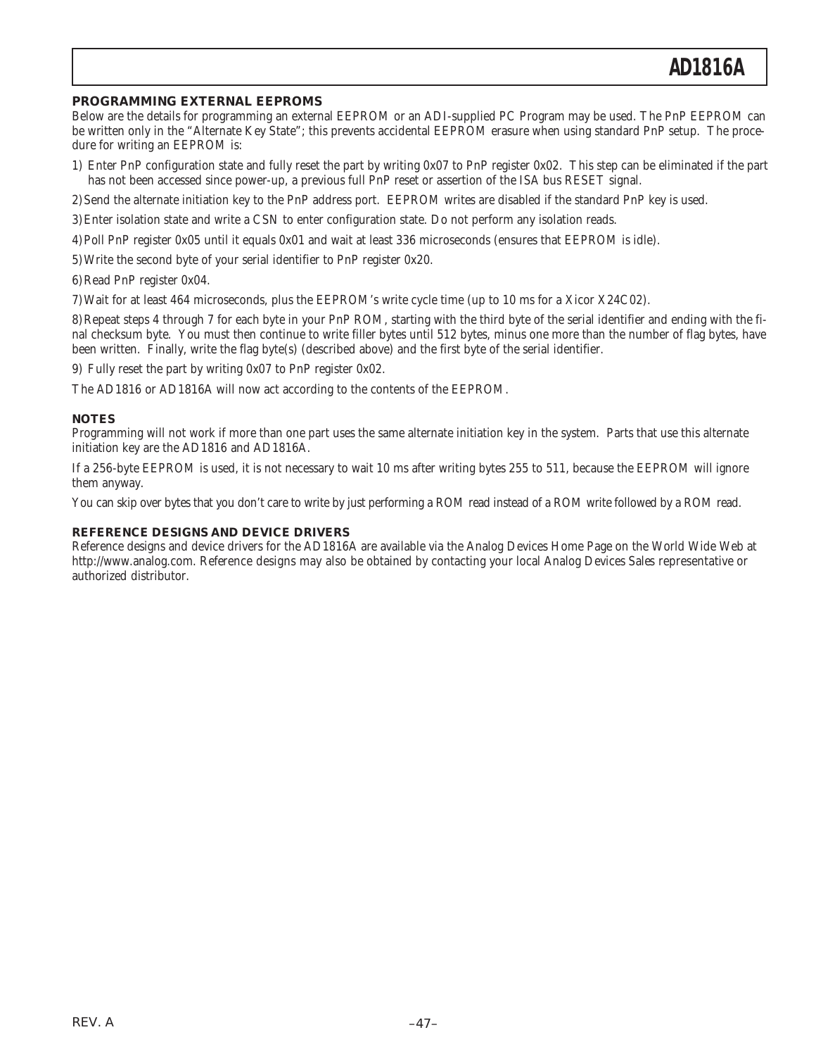### **PROGRAMMING EXTERNAL EEPROMS**

Below are the details for programming an external EEPROM or an ADI-supplied PC Program may be used. The PnP EEPROM can be written only in the "Alternate Key State"; this prevents accidental EEPROM erasure when using standard PnP setup. The procedure for writing an EEPROM is:

- 1) Enter PnP configuration state and fully reset the part by writing 0x07 to PnP register 0x02. This step can be eliminated if the part has not been accessed since power-up, a previous full PnP reset or assertion of the ISA bus RESET signal.
- 2)Send the alternate initiation key to the PnP address port. EEPROM writes are disabled if the standard PnP key is used.
- 3)Enter isolation state and write a CSN to enter configuration state. Do not perform any isolation reads.
- 4)Poll PnP register 0x05 until it equals 0x01 and wait at least 336 microseconds (ensures that EEPROM is idle).
- 5)Write the second byte of your serial identifier to PnP register 0x20.
- 6)Read PnP register 0x04.
- 7)Wait for at least 464 microseconds, plus the EEPROM's write cycle time (up to 10 ms for a Xicor X24C02).

8)Repeat steps 4 through 7 for each byte in your PnP ROM, starting with the third byte of the serial identifier and ending with the final checksum byte. You must then continue to write filler bytes until 512 bytes, minus one more than the number of flag bytes, have been written. Finally, write the flag byte(s) (described above) and the first byte of the serial identifier.

9) Fully reset the part by writing 0x07 to PnP register 0x02.

The AD1816 or AD1816A will now act according to the contents of the EEPROM.

### **NOTES**

Programming will not work if more than one part uses the same alternate initiation key in the system. Parts that use this alternate initiation key are the AD1816 and AD1816A.

If a 256-byte EEPROM is used, it is not necessary to wait 10 ms after writing bytes 255 to 511, because the EEPROM will ignore them anyway.

You can skip over bytes that you don't care to write by just performing a ROM read instead of a ROM write followed by a ROM read.

### **REFERENCE DESIGNS AND DEVICE DRIVERS**

Reference designs and device drivers for the AD1816A are available via the Analog Devices Home Page on the World Wide Web at http://www.analog.com. Reference designs may also be obtained by contacting your local Analog Devices Sales representative or authorized distributor.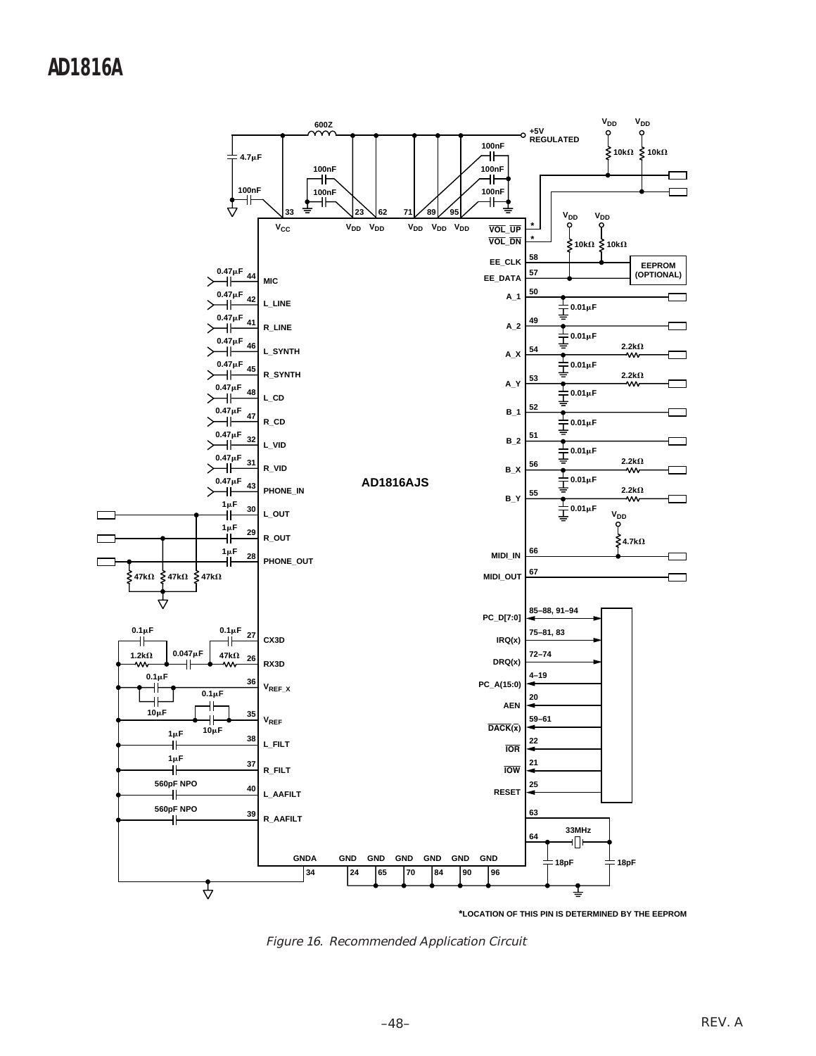

**\*LOCATION OF THIS PIN IS DETERMINED BY THE EEPROM**

Figure 16. Recommended Application Circuit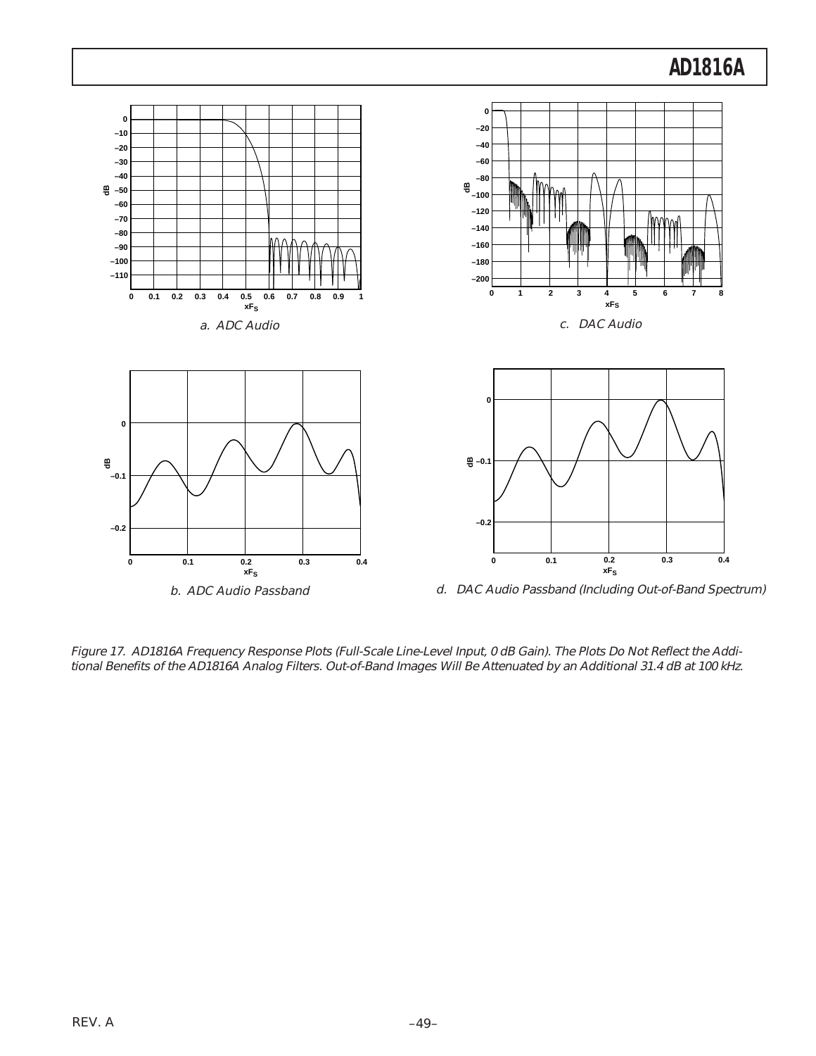

Figure 17. AD1816A Frequency Response Plots (Full-Scale Line-Level Input, 0 dB Gain). The Plots Do Not Reflect the Additional Benefits of the AD1816A Analog Filters. Out-of-Band Images Will Be Attenuated by an Additional 31.4 dB at 100 kHz.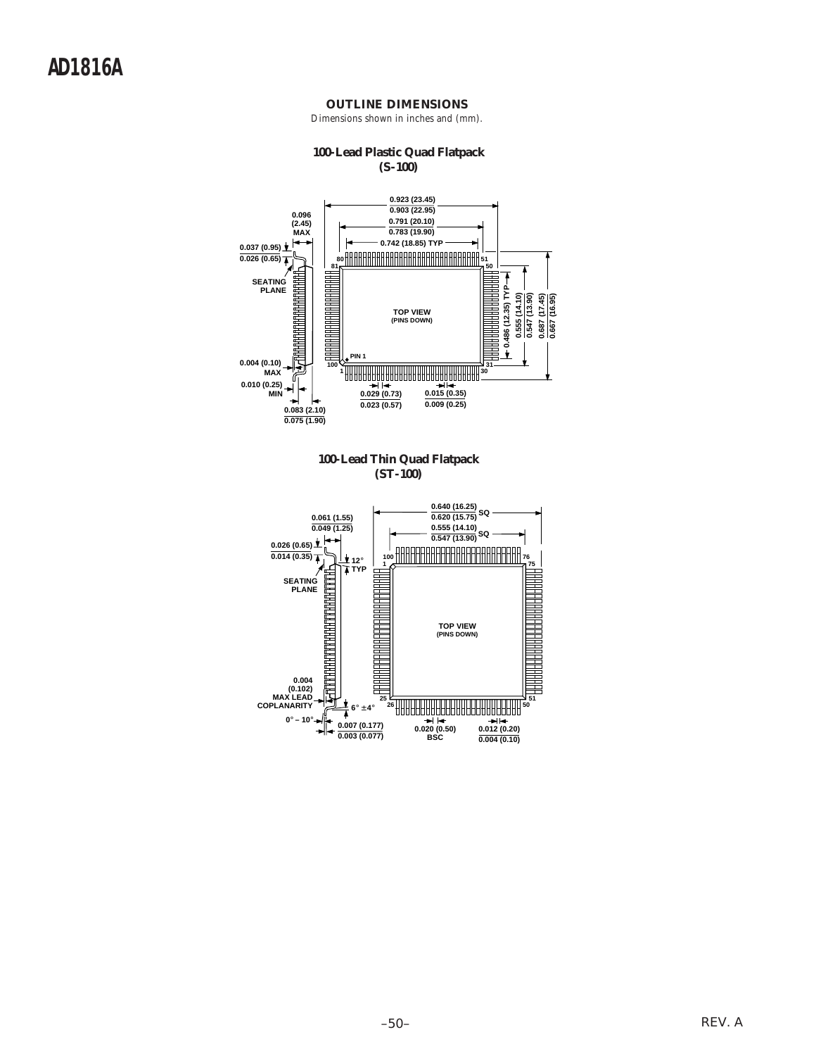

### **OUTLINE DIMENSIONS**

Dimensions shown in inches and (mm).

**0.004 (0.10)**